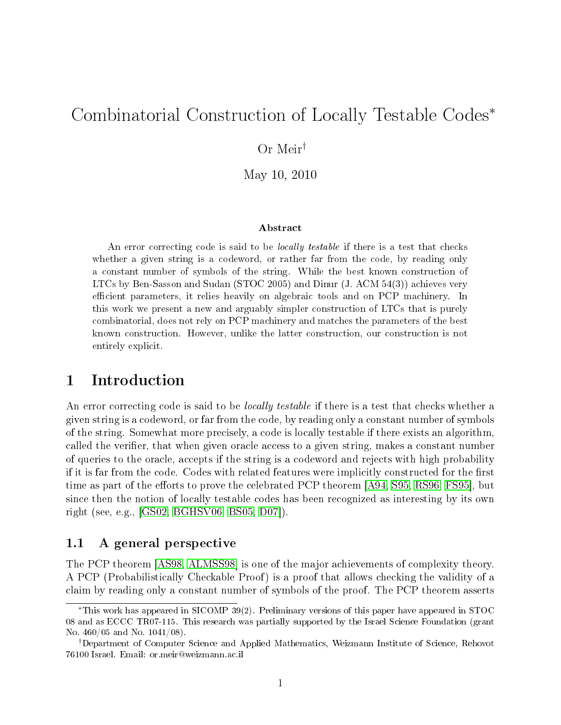# Combinatorial Construction of Locally Testable Codes<sup>∗</sup>

# Or Meir†

May 10, 2010

#### Abstract

An error correcting code is said to be *locally testable* if there is a test that checks whether a given string is a codeword, or rather far from the code, by reading only a constant number of symbols of the string. While the best known construction of LTCs by Ben-Sasson and Sudan (STOC 2005) and Dinur (J. ACM 54(3)) achieves very efficient parameters, it relies heavily on algebraic tools and on PCP machinery. In this work we present a new and arguably simpler construction of LTCs that is purely combinatorial, does not rely on PCP machinery and matches the parameters of the best known construction. However, unlike the latter construction, our construction is not entirely explicit.

# 1 Introduction

An error correcting code is said to be *locally testable* if there is a test that checks whether a given string is a codeword, or far from the code, by reading only a constant number of symbols of the string. Somewhat more precisely, a code is locally testable if there exists an algorithm, called the verifier, that when given oracle access to a given string, makes a constant number of queries to the oracle, accepts if the string is a codeword and rejects with high probability if it is far from the code. Codes with related features were implicitly constructed for the first time as part of the efforts to prove the celebrated PCP theorem  $[A94, S95, RS96, FS95]$  $[A94, S95, RS96, FS95]$  $[A94, S95, RS96, FS95]$  $[A94, S95, RS96, FS95]$ , but since then the notion of locally testable codes has been recognized as interesting by its own right (see, e.g., [\[GS02,](#page-58-2) [BGHSV06,](#page-57-1) [BS05,](#page-57-2) [D07\]](#page-57-3)).

## <span id="page-0-0"></span>1.1 A general perspective

The PCP theorem [\[AS98,](#page-56-1) [ALMSS98\]](#page-56-2) is one of the major achievements of complexity theory. A PCP (Probabilistically Checkable Proof) is a proof that allows checking the validity of a claim by reading only a constant number of symbols of the proof. The PCP theorem asserts

<sup>∗</sup>This work has appeared in SICOMP 39(2). Preliminary versions of this paper have appeared in STOC 08 and as ECCC TR07-115. This research was partially supported by the Israel Science Foundation (grant No. 460/05 and No. 1041/08).

<sup>†</sup>Department of Computer Science and Applied Mathematics, Weizmann Institute of Science, Rehovot 76100 Israel. Email: or.meir@weizmann.ac.il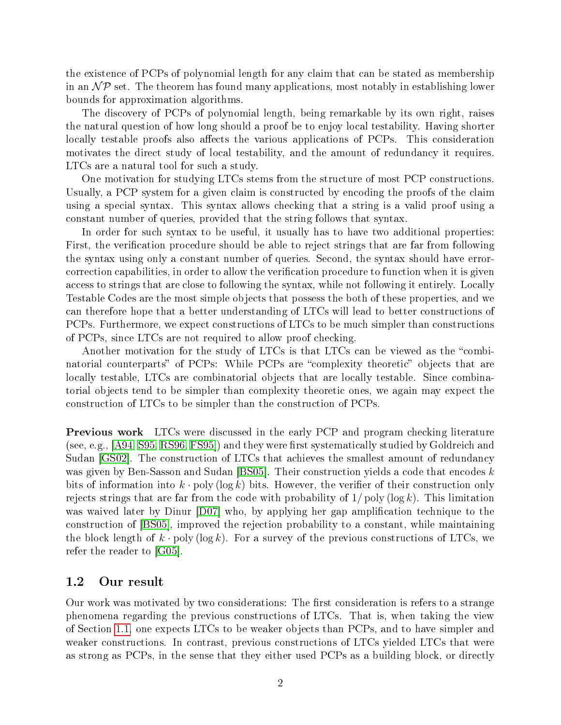the existence of PCPs of polynomial length for any claim that can be stated as membership in an  $\mathcal{NP}$  set. The theorem has found many applications, most notably in establishing lower bounds for approximation algorithms.

The discovery of PCPs of polynomial length, being remarkable by its own right, raises the natural question of how long should a proof be to enjoy local testability. Having shorter locally testable proofs also affects the various applications of PCPs. This consideration motivates the direct study of local testability, and the amount of redundancy it requires. LTCs are a natural tool for such a study.

One motivation for studying LTCs stems from the structure of most PCP constructions. Usually, a PCP system for a given claim is constructed by encoding the proofs of the claim using a special syntax. This syntax allows checking that a string is a valid proof using a constant number of queries, provided that the string follows that syntax.

In order for such syntax to be useful, it usually has to have two additional properties: First, the verification procedure should be able to reject strings that are far from following the syntax using only a constant number of queries. Second, the syntax should have errorcorrection capabilities, in order to allow the verification procedure to function when it is given access to strings that are close to following the syntax, while not following it entirely. Locally Testable Codes are the most simple objects that possess the both of these properties, and we can therefore hope that a better understanding of LTCs will lead to better constructions of PCPs. Furthermore, we expect constructions of LTCs to be much simpler than constructions of PCPs, since LTCs are not required to allow proof checking.

Another motivation for the study of LTCs is that LTCs can be viewed as the "combinatorial counterparts" of PCPs: While PCPs are "complexity theoretic" objects that are locally testable, LTCs are combinatorial objects that are locally testable. Since combinatorial objects tend to be simpler than complexity theoretic ones, we again may expect the construction of LTCs to be simpler than the construction of PCPs.

Previous work LTCs were discussed in the early PCP and program checking literature (see, e.g.,  $[A94, S95, RS96, FS95]$  $[A94, S95, RS96, FS95]$  $[A94, S95, RS96, FS95]$  $[A94, S95, RS96, FS95]$ ) and they were first systematically studied by Goldreich and Sudan [\[GS02\]](#page-58-2). The construction of LTCs that achieves the smallest amount of redundancy was given by Ben-Sasson and Sudan [\[BS05\]](#page-57-2). Their construction yields a code that encodes k bits of information into  $k \cdot \text{poly}(\log k)$  bits. However, the verifier of their construction only rejects strings that are far from the code with probability of  $1/\text{poly}(\log k)$ . This limitation was waived later by Dinur [\[D07\]](#page-57-3) who, by applying her gap amplification technique to the construction of [\[BS05\]](#page-57-2), improved the rejection probability to a constant, while maintaining the block length of  $k \cdot \text{poly}(\log k)$ . For a survey of the previous constructions of LTCs, we refer the reader to [\[G05\]](#page-57-4).

#### 1.2 Our result

Our work was motivated by two considerations: The first consideration is refers to a strange phenomena regarding the previous constructions of LTCs. That is, when taking the view of Section [1.1,](#page-0-0) one expects LTCs to be weaker objects than PCPs, and to have simpler and weaker constructions. In contrast, previous constructions of LTCs yielded LTCs that were as strong as PCPs, in the sense that they either used PCPs as a building block, or directly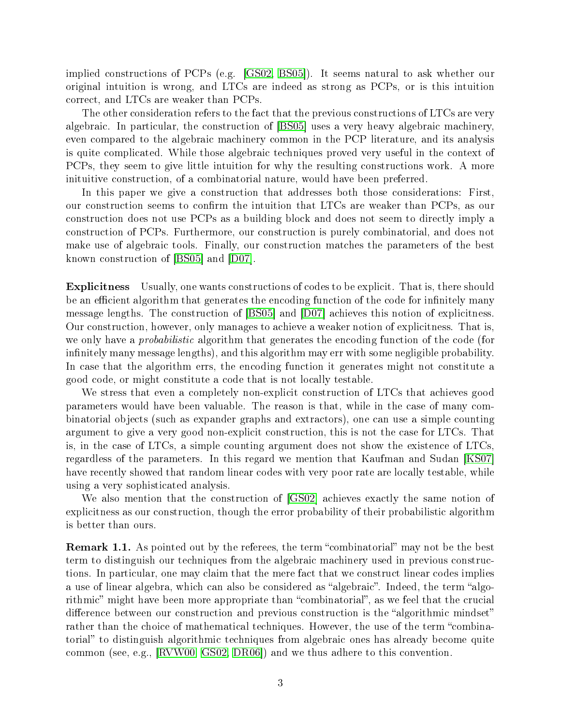implied constructions of PCPs (e.g. [\[GS02,](#page-58-2) [BS05\]](#page-57-2)). It seems natural to ask whether our original intuition is wrong, and LTCs are indeed as strong as PCPs, or is this intuition correct, and LTCs are weaker than PCPs.

The other consideration refers to the fact that the previous constructions of LTCs are very algebraic. In particular, the construction of [\[BS05\]](#page-57-2) uses a very heavy algebraic machinery, even compared to the algebraic machinery common in the PCP literature, and its analysis is quite complicated. While those algebraic techniques proved very useful in the context of PCPs, they seem to give little intuition for why the resulting constructions work. A more inituitive construction, of a combinatorial nature, would have been preferred.

In this paper we give a construction that addresses both those considerations: First, our construction seems to confirm the intuition that LTCs are weaker than PCPs, as our construction does not use PCPs as a building block and does not seem to directly imply a construction of PCPs. Furthermore, our construction is purely combinatorial, and does not make use of algebraic tools. Finally, our construction matches the parameters of the best known construction of [\[BS05\]](#page-57-2) and [\[D07\]](#page-57-3).

Explicitness Usually, one wants constructions of codes to be explicit. That is, there should be an efficient algorithm that generates the encoding function of the code for infinitely many message lengths. The construction of [\[BS05\]](#page-57-2) and [\[D07\]](#page-57-3) achieves this notion of explicitness. Our construction, however, only manages to achieve a weaker notion of explicitness. That is, we only have a *probabilistic* algorithm that generates the encoding function of the code (for infinitely many message lengths), and this algorithm may err with some negligible probability. In case that the algorithm errs, the encoding function it generates might not constitute a good code, or might constitute a code that is not locally testable.

We stress that even a completely non-explicit construction of LTCs that achieves good parameters would have been valuable. The reason is that, while in the case of many combinatorial objects (such as expander graphs and extractors), one can use a simple counting argument to give a very good non-explicit construction, this is not the case for LTCs. That is, in the case of LTCs, a simple counting argument does not show the existence of LTCs, regardless of the parameters. In this regard we mention that Kaufman and Sudan [\[KS07\]](#page-58-3) have recently showed that random linear codes with very poor rate are locally testable, while using a very sophisticated analysis.

We also mention that the construction of [\[GS02\]](#page-58-2) achieves exactly the same notion of explicitness as our construction, though the error probability of their probabilistic algorithm is better than ours.

**Remark 1.1.** As pointed out by the referees, the term "combinatorial" may not be the best term to distinguish our techniques from the algebraic machinery used in previous constructions. In particular, one may claim that the mere fact that we construct linear codes implies a use of linear algebra, which can also be considered as "algebraic". Indeed, the term "algorithmic" might have been more appropriate than "combinatorial", as we feel that the crucial difference between our construction and previous construction is the "algorithmic mindset" rather than the choice of mathematical techniques. However, the use of the term "combinatorial" to distinguish algorithmic techniques from algebraic ones has already become quite common (see, e.g., [\[RVW00,](#page-58-4) [GS02,](#page-58-2) [DR06\]](#page-57-5)) and we thus adhere to this convention.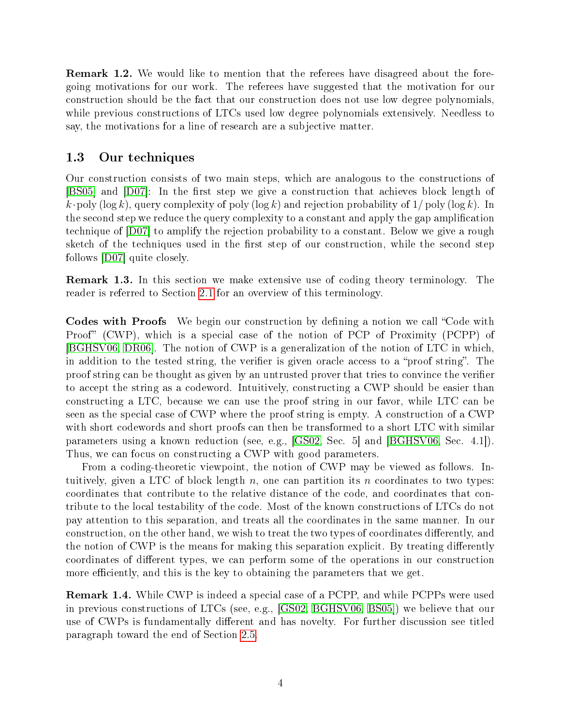Remark 1.2. We would like to mention that the referees have disagreed about the foregoing motivations for our work. The referees have suggested that the motivation for our construction should be the fact that our construction does not use low degree polynomials, while previous constructions of LTCs used low degree polynomials extensively. Needless to say, the motivations for a line of research are a subjective matter.

## 1.3 Our techniques

Our construction consists of two main steps, which are analogous to the constructions of [\[BS05\]](#page-57-2) and  $[$ D07]: In the first step we give a construction that achieves block length of k·poly (log k), query complexity of poly (log k) and rejection probability of  $1/\text{poly}(\log k)$ . In the second step we reduce the query complexity to a constant and apply the gap amplication technique of [\[D07\]](#page-57-3) to amplify the rejection probability to a constant. Below we give a rough sketch of the techniques used in the first step of our construction, while the second step follows [\[D07\]](#page-57-3) quite closely.

Remark 1.3. In this section we make extensive use of coding theory terminology. The reader is referred to Section [2.1](#page-6-0) for an overview of this terminology.

Codes with Proofs We begin our construction by defining a notion we call "Code with Proof" (CWP), which is a special case of the notion of PCP of Proximity (PCPP) of [\[BGHSV06,](#page-57-1) [DR06\]](#page-57-5). The notion of CWP is a generalization of the notion of LTC in which, in addition to the tested string, the verifier is given oracle access to a "proof string". The proof string can be thought as given by an untrusted prover that tries to convince the verier to accept the string as a codeword. Intuitively, constructing a CWP should be easier than constructing a LTC, because we can use the proof string in our favor, while LTC can be seen as the special case of CWP where the proof string is empty. A construction of a CWP with short codewords and short proofs can then be transformed to a short LTC with similar parameters using a known reduction (see, e.g., [\[GS02,](#page-58-2) Sec. 5] and [\[BGHSV06,](#page-57-1) Sec. 4.1]). Thus, we can focus on constructing a CWP with good parameters.

From a coding-theoretic viewpoint, the notion of CWP may be viewed as follows. Intuitively, given a LTC of block length n, one can partition its n coordinates to two types: coordinates that contribute to the relative distance of the code, and coordinates that contribute to the local testability of the code. Most of the known constructions of LTCs do not pay attention to this separation, and treats all the coordinates in the same manner. In our construction, on the other hand, we wish to treat the two types of coordinates differently, and the notion of CWP is the means for making this separation explicit. By treating differently coordinates of different types, we can perform some of the operations in our construction more efficiently, and this is the key to obtaining the parameters that we get.

Remark 1.4. While CWP is indeed a special case of a PCPP, and while PCPPs were used in previous constructions of LTCs (see, e.g., [\[GS02,](#page-58-2) [BGHSV06,](#page-57-1) [BS05\]](#page-57-2)) we believe that our use of CWPs is fundamentally different and has novelty. For further discussion see titled paragraph toward the end of Section [2.5.](#page-9-0)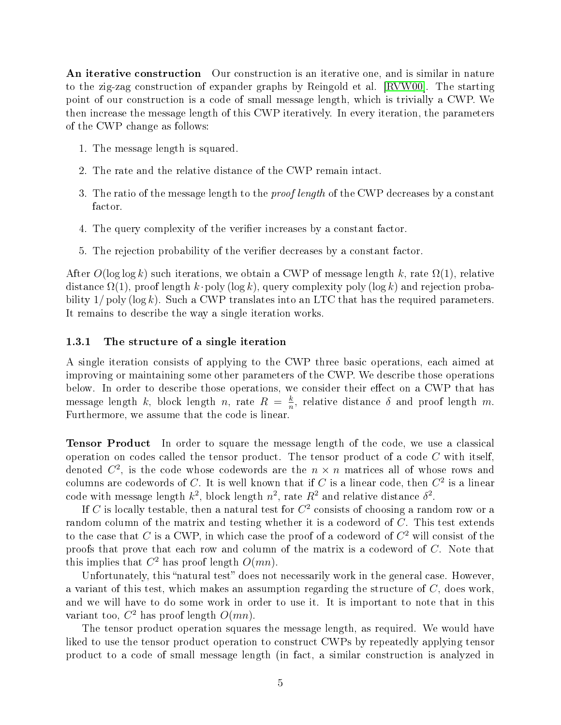An iterative construction Our construction is an iterative one, and is similar in nature to the zig-zag construction of expander graphs by Reingold et al. [\[RVW00\]](#page-58-4). The starting point of our construction is a code of small message length, which is trivially a CWP. We then increase the message length of this CWP iteratively. In every iteration, the parameters of the CWP change as follows:

- 1. The message length is squared.
- 2. The rate and the relative distance of the CWP remain intact.
- 3. The ratio of the message length to the *proof length* of the CWP decreases by a constant factor.
- 4. The query complexity of the verifier increases by a constant factor.
- 5. The rejection probability of the verifier decreases by a constant factor.

After  $O(\log \log k)$  such iterations, we obtain a CWP of message length k, rate  $\Omega(1)$ , relative distance  $\Omega(1)$ , proof length k · poly (log k), query complexity poly (log k) and rejection probability  $1/\text{poly}(\log k)$ . Such a CWP translates into an LTC that has the required parameters. It remains to describe the way a single iteration works.

#### 1.3.1 The structure of a single iteration

A single iteration consists of applying to the CWP three basic operations, each aimed at improving or maintaining some other parameters of the CWP. We describe those operations below. In order to describe those operations, we consider their effect on a CWP that has message length k, block length n, rate  $R = \frac{k}{n}$  $\frac{k}{n}$ , relative distance  $\delta$  and proof length m. Furthermore, we assume that the code is linear.

Tensor Product In order to square the message length of the code, we use a classical operation on codes called the tensor product. The tensor product of a code  $C$  with itself, denoted  $C^2$ , is the code whose codewords are the  $n \times n$  matrices all of whose rows and columns are codewords of C. It is well known that if C is a linear code, then  $C^2$  is a linear code with message length  $k^2$ , block length  $n^2$ , rate  $R^2$  and relative distance  $\delta^2$ .

If C is locally testable, then a natural test for  $C^2$  consists of choosing a random row or a random column of the matrix and testing whether it is a codeword of C. This test extends to the case that C is a CWP, in which case the proof of a codeword of  $C^2$  will consist of the proofs that prove that each row and column of the matrix is a codeword of C. Note that this implies that  $C^2$  has proof length  $O(mn)$ .

Unfortunately, this "natural test" does not necessarily work in the general case. However, a variant of this test, which makes an assumption regarding the structure of  $C$ , does work, and we will have to do some work in order to use it. It is important to note that in this variant too,  $C^2$  has proof length  $O(mn)$ .

The tensor product operation squares the message length, as required. We would have liked to use the tensor product operation to construct CWPs by repeatedly applying tensor product to a code of small message length (in fact, a similar construction is analyzed in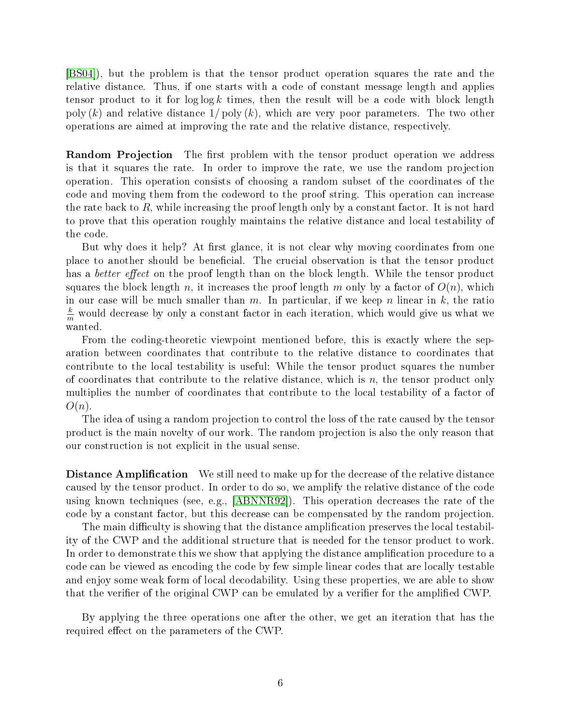[\[BS04\]](#page-57-6)), but the problem is that the tensor product operation squares the rate and the relative distance. Thus, if one starts with a code of constant message length and applies tensor product to it for  $\log \log k$  times, then the result will be a code with block length poly  $(k)$  and relative distance  $1/\text{poly}(k)$ , which are very poor parameters. The two other operations are aimed at improving the rate and the relative distance, respectively.

**Random Projection** The first problem with the tensor product operation we address is that it squares the rate. In order to improve the rate, we use the random projection operation. This operation consists of choosing a random subset of the coordinates of the code and moving them from the codeword to the proof string. This operation can increase the rate back to  $R$ , while increasing the proof length only by a constant factor. It is not hard to prove that this operation roughly maintains the relative distance and local testability of the code.

But why does it help? At first glance, it is not clear why moving coordinates from one place to another should be beneficial. The crucial observation is that the tensor product has a *better effect* on the proof length than on the block length. While the tensor product squares the block length n, it increases the proof length m only by a factor of  $O(n)$ , which in our case will be much smaller than m. In particular, if we keep n linear in  $k$ , the ratio  $\frac{k}{m}$  would decrease by only a constant factor in each iteration, which would give us what we wanted.

From the coding-theoretic viewpoint mentioned before, this is exactly where the separation between coordinates that contribute to the relative distance to coordinates that contribute to the local testability is useful: While the tensor product squares the number of coordinates that contribute to the relative distance, which is  $n$ , the tensor product only multiplies the number of coordinates that contribute to the local testability of a factor of  $O(n).$ 

The idea of using a random projection to control the loss of the rate caused by the tensor product is the main novelty of our work. The random projection is also the only reason that our construction is not explicit in the usual sense.

**Distance Amplification** We still need to make up for the decrease of the relative distance caused by the tensor product. In order to do so, we amplify the relative distance of the code using known techniques (see, e.g., [\[ABNNR92\]](#page-56-3)). This operation decreases the rate of the code by a constant factor, but this decrease can be compensated by the random projection.

The main difficulty is showing that the distance amplification preserves the local testability of the CWP and the additional structure that is needed for the tensor product to work. In order to demonstrate this we show that applying the distance amplification procedure to a code can be viewed as encoding the code by few simple linear codes that are locally testable and enjoy some weak form of local decodability. Using these properties, we are able to show that the verifier of the original CWP can be emulated by a verifier for the amplified CWP.

By applying the three operations one after the other, we get an iteration that has the required effect on the parameters of the CWP.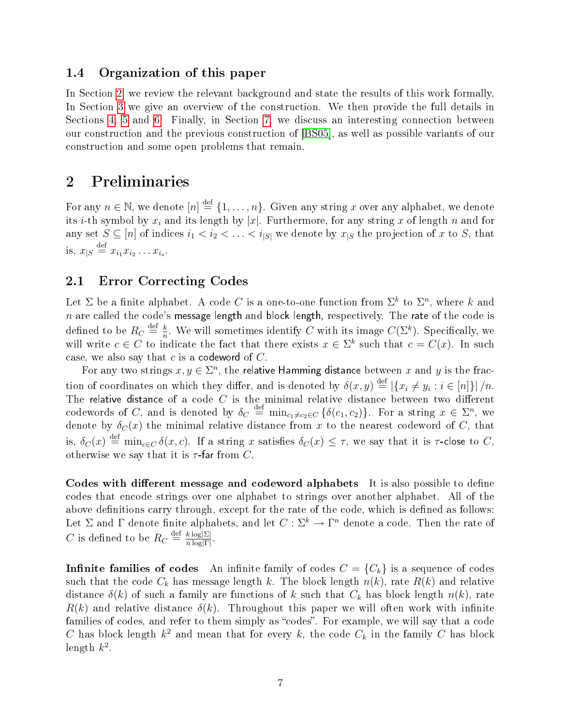## 1.4 Organization of this paper

In Section [2,](#page-6-1) we review the relevant background and state the results of this work formally. In Section [3](#page-11-0) we give an overview of the construction. We then provide the full details in Sections [4,](#page-22-0) [5](#page-27-0) and [6.](#page-35-0) Finally, in Section [7,](#page-52-0) we discuss an interesting connection between our construction and the previous construction of [\[BS05\]](#page-57-2), as well as possible variants of our construction and some open problems that remain.

## <span id="page-6-1"></span>2 Preliminaries

For any  $n \in \mathbb{N}$ , we denote  $[n] \stackrel{\text{def}}{=} \{1, \ldots, n\}$ . Given any string x over any alphabet, we denote its *i*-th symbol by  $x_i$  and its length by |x|. Furthermore, for any string x of length n and for any set  $S \subseteq [n]$  of indices  $i_1 < i_2 < \ldots < i_{|S|}$  we denote by  $x_{|S|}$  the projection of x to S, that is,  $x_{|S} \stackrel{\text{def}}{=} x_{i_1} x_{i_2} \dots x_{i_s}$ .

## <span id="page-6-0"></span>2.1 Error Correcting Codes

Let  $\Sigma$  be a finite alphabet. A code C is a one-to-one function from  $\Sigma^k$  to  $\Sigma^n$ , where k and  $n$  are called the code's message length and block length, respectively. The rate of the code is defined to be  $R_C \stackrel{\text{def}}{=} \frac{k}{n}$  $\frac{k}{n}$ . We will sometimes identify C with its image  $C(\Sigma^k)$ . Specifically, we will write  $c \in C$  to indicate the fact that there exists  $x \in \Sigma^k$  such that  $c = C(x)$ . In such case, we also say that  $c$  is a codeword of  $C$ .

For any two strings  $x, y \in \Sigma^n$ , the relative Hamming distance between x and y is the fraction of coordinates on which they differ, and is denoted by  $\delta(x, y) \stackrel{\text{def}}{=} |\{x_i \neq y_i : i \in [n]\}|/n$ . The relative distance of a code  $C$  is the minimal relative distance between two different codewords of C, and is denoted by  $\delta_C \stackrel{\text{def}}{=} \min_{c_1 \neq c_2 \in C} \{\delta(c_1, c_2)\}.$  For a string  $x \in \Sigma^n$ , we denote by  $\delta_C(x)$  the minimal relative distance from x to the nearest codeword of C, that is,  $\delta_C(x) \stackrel{\text{def}}{=} \min_{c \in C} \delta(x, c)$ . If a string x satisfies  $\delta_C(x) \leq \tau$ , we say that it is  $\tau$ -close to  $C$ , otherwise we say that it is  $\tau$ -far from  $C.$ 

Codes with different message and codeword alphabets It is also possible to define codes that encode strings over one alphabet to strings over another alphabet. All of the above definitions carry through, except for the rate of the code, which is defined as follows: Let  $\Sigma$  and  $\Gamma$  denote finite alphabets, and let  $C: \Sigma^k \to \Gamma^n$  denote a code. Then the rate of C is defined to be  $R_C \stackrel{\text{def}}{=} \frac{k \log |\Sigma|}{n \log |\Gamma|}$  $n \log |\Gamma|$ .

**Infinite families of codes** An infinite family of codes  $C = \{C_k\}$  is a sequence of codes such that the code  $C_k$  has message length k. The block length  $n(k)$ , rate  $R(k)$  and relative distance  $\delta(k)$  of such a family are functions of k such that  $C_k$  has block length  $n(k)$ , rate  $R(k)$  and relative distance  $\delta(k)$ . Throughout this paper we will often work with infinite families of codes, and refer to them simply as "codes". For example, we will say that a code C has block length  $k^2$  and mean that for every k, the code  $C_k$  in the family C has block length  $k^2$ .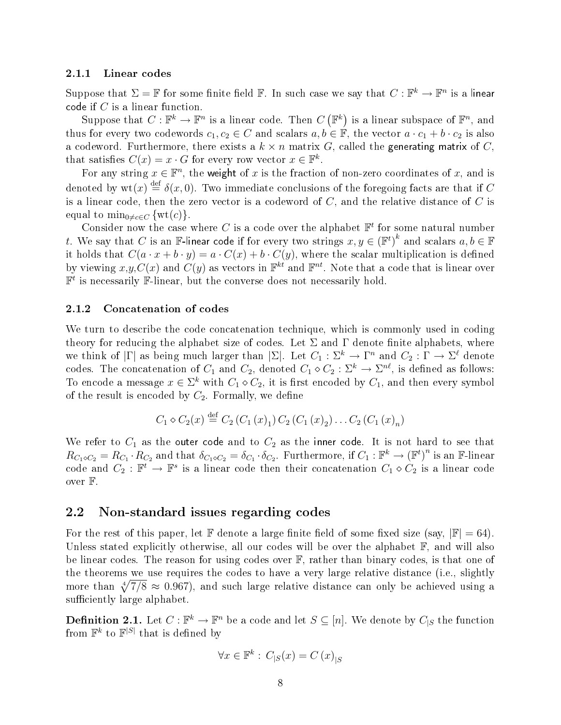#### 2.1.1 Linear codes

Suppose that  $\Sigma = \mathbb{F}$  for some finite field  $\mathbb{F}.$  In such case we say that  $C: \mathbb{F}^k \to \mathbb{F}^n$  is a linear code if  $C$  is a linear function.

Suppose that  $C: \mathbb{F}^k \to \mathbb{F}^n$  is a linear code. Then  $C(\mathbb{F}^k)$  is a linear subspace of  $\mathbb{F}^n$ , and thus for every two codewords  $c_1, c_2 \in C$  and scalars  $a, b \in \mathbb{F}$ , the vector  $a \cdot c_1 + b \cdot c_2$  is also a codeword. Furthermore, there exists a  $k \times n$  matrix G, called the generating matrix of C, that satisfies  $C(x) = x \cdot G$  for every row vector  $x \in \mathbb{F}^k$ .

For any string  $x \in \mathbb{F}^n$ , the weight of x is the fraction of non-zero coordinates of x, and is denoted by  $\text{wt}(x) \stackrel{\text{def}}{=} \delta(x,0)$ . Two immediate conclusions of the foregoing facts are that if C is a linear code, then the zero vector is a codeword of  $C$ , and the relative distance of  $C$  is equal to  $\min_{0 \neq c \in C} \{ \text{wt}(c) \}.$ 

Consider now the case where C is a code over the alphabet  $\mathbb{F}^t$  for some natural number  $t.$  We say that  $C$  is an  $\mathbb F\text{-}$ linear code if for every two strings  $x,y\in(\mathbb F^t)^k$  and scalars  $a,b\in\mathbb F$ it holds that  $C(a \cdot x + b \cdot y) = a \cdot C(x) + b \cdot C(y)$ , where the scalar multiplication is defined by viewing  $x,y,C(x)$  and  $C(y)$  as vectors in  $\mathbb{F}^{kt}$  and  $\mathbb{F}^{nt}$ . Note that a code that is linear over  $\mathbb{F}^t$  is necessarily  $\mathbb{F}\text{-linear}$ , but the converse does not necessarily hold.

#### 2.1.2 Concatenation of codes

We turn to describe the code concatenation technique, which is commonly used in coding theory for reducing the alphabet size of codes. Let  $\Sigma$  and  $\Gamma$  denote finite alphabets, where we think of  $|\Gamma|$  as being much larger than  $|\Sigma|$ . Let  $C_1 : \Sigma^k \to \Gamma^n$  and  $C_2 : \Gamma \to \Sigma^{\ell}$  denote codes. The concatenation of  $C_1$  and  $C_2$ , denoted  $C_1 \diamond C_2 : \Sigma^k \to \Sigma^{n\ell}$ , is defined as follows: To encode a message  $x \in \Sigma^k$  with  $C_1 \diamond C_2$ , it is first encoded by  $C_1$ , and then every symbol of the result is encoded by  $C_2$ . Formally, we define

$$
C_1 \diamond C_2(x) \stackrel{\text{def}}{=} C_2 (C_1 (x)_1) C_2 (C_1 (x)_2) \dots C_2 (C_1 (x)_n)
$$

We refer to  $C_1$  as the outer code and to  $C_2$  as the inner code. It is not hard to see that  $R_{C_1 \circ C_2} = R_{C_1} \cdot R_{C_2}$  and that  $\delta_{C_1 \circ C_2} = \delta_{C_1} \cdot \delta_{C_2}$ . Furthermore, if  $C_1 : \mathbb{F}^k \to (\mathbb{F}^t)^n$  is an  $\mathbb{F}\text{-linear}$ code and  $C_2$ :  $\mathbb{F}^t \to \mathbb{F}^s$  is a linear code then their concatenation  $C_1 \diamond C_2$  is a linear code over F.

#### 2.2 Non-standard issues regarding codes

For the rest of this paper, let F denote a large finite field of some fixed size (say,  $|\mathbb{F}| = 64$ ). Unless stated explicitly otherwise, all our codes will be over the alphabet  $\mathbb{F}$ , and will also be linear codes. The reason for using codes over  $\mathbb{F}$ , rather than binary codes, is that one of the theorems we use requires the codes to have a very large relative distance (i.e., slightly more than  $\sqrt[4]{7/8} \approx 0.967$ , and such large relative distance can only be achieved using a sufficiently large alphabet.

**Definition 2.1.** Let  $C : \mathbb{F}^k \to \mathbb{F}^n$  be a code and let  $S \subseteq [n]$ . We denote by  $C_{|S}$  the function from  $\mathbb{F}^k$  to  $\mathbb{F}^{|S|}$  that is defined by

$$
\forall x \in \mathbb{F}^k : C_{|S}(x) = C(x)_{|S}
$$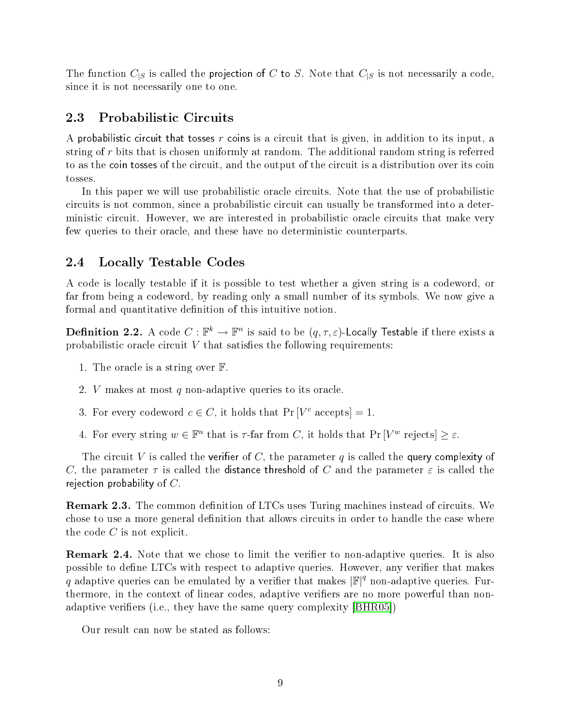The function  $C_{|S}$  is called the projection of C to S. Note that  $C_{|S}$  is not necessarily a code, since it is not necessarily one to one.

## 2.3 Probabilistic Circuits

A probabilistic circuit that tosses r coins is a circuit that is given, in addition to its input, a string of r bits that is chosen uniformly at random. The additional random string is referred to as the coin tosses of the circuit, and the output of the circuit is a distribution over its coin tosses.

In this paper we will use probabilistic oracle circuits. Note that the use of probabilistic circuits is not common, since a probabilistic circuit can usually be transformed into a deterministic circuit. However, we are interested in probabilistic oracle circuits that make very few queries to their oracle, and these have no deterministic counterparts.

## 2.4 Locally Testable Codes

A code is locally testable if it is possible to test whether a given string is a codeword, or far from being a codeword, by reading only a small number of its symbols. We now give a formal and quantitative definition of this intuitive notion.

<span id="page-8-1"></span>**Definition 2.2.** A code  $C : \mathbb{F}^k \to \mathbb{F}^n$  is said to be  $(q, \tau, \varepsilon)$ -Locally Testable if there exists a probabilistic oracle circuit  $V$  that satisfies the following requirements:

- 1. The oracle is a string over F.
- 2. V makes at most q non-adaptive queries to its oracle.
- 3. For every codeword  $c \in C$ , it holds that  $Pr[V^c \text{ accepts}] = 1$ .
- <span id="page-8-2"></span>4. For every string  $w \in \mathbb{F}^n$  that is  $\tau$ -far from C, it holds that  $Pr[V^w \text{ rejects}]\geq \varepsilon$ .

The circuit V is called the verifier of C, the parameter q is called the query complexity of C, the parameter  $\tau$  is called the distance threshold of C and the parameter  $\varepsilon$  is called the rejection probability of  $C$ .

**Remark 2.3.** The common definition of LTCs uses Turing machines instead of circuits. We chose to use a more general definition that allows circuits in order to handle the case where the code C is not explicit.

**Remark 2.4.** Note that we chose to limit the verifier to non-adaptive queries. It is also possible to define LTCs with respect to adaptive queries. However, any verifier that makes q adaptive queries can be emulated by a verifier that makes  $|\mathbb{F}|^q$  non-adaptive queries. Furthermore, in the context of linear codes, adaptive verifiers are no more powerful than non-adaptive verifiers (i.e., they have the same query complexity [\[BHR05\]](#page-57-7))

<span id="page-8-0"></span>Our result can now be stated as follows: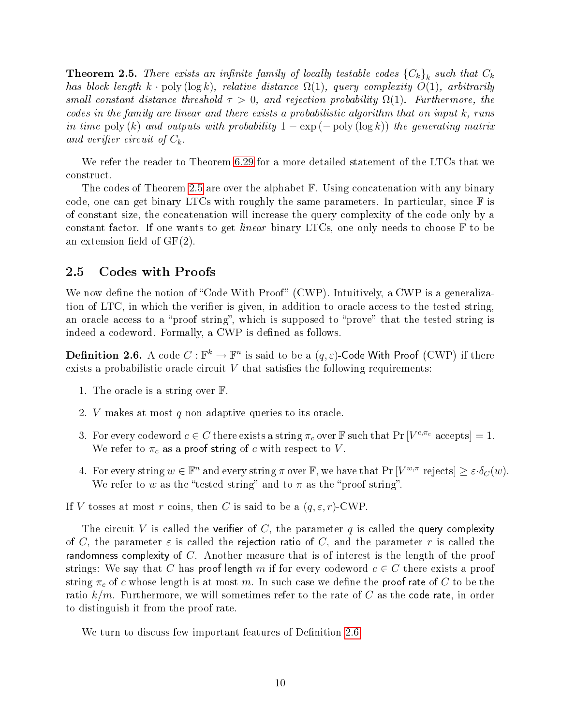**Theorem 2.5.** There exists an infinite family of locally testable codes  ${C_k}_k$  such that  $C_k$ has block length  $k \cdot \text{poly}(\log k)$ , relative distance  $\Omega(1)$ , query complexity  $O(1)$ , arbitrarily small constant distance threshold  $\tau > 0$ , and rejection probability  $\Omega(1)$ . Furthermore, the codes in the family are linear and there exists a probabilistic algorithm that on input k, runs in time poly (k) and outputs with probability  $1 - \exp(-\text{poly}(\log k))$  the generating matrix and verifier circuit of  $C_k$ .

We refer the reader to Theorem [6.29](#page-50-0) for a more detailed statement of the LTCs that we construct.

The codes of Theorem [2.5](#page-8-0) are over the alphabet  $\mathbb F$ . Using concatenation with any binary code, one can get binary LTCs with roughly the same parameters. In particular, since  $\mathbb F$  is of constant size, the concatenation will increase the query complexity of the code only by a constant factor. If one wants to get *linear* binary LTCs, one only needs to choose  $\mathbb F$  to be an extension field of  $GF(2)$ .

#### <span id="page-9-0"></span>2.5 Codes with Proofs

We now define the notion of "Code With Proof" (CWP). Intuitively, a CWP is a generalization of LTC, in which the verifier is given, in addition to oracle access to the tested string, an oracle access to a "proof string", which is supposed to "prove" that the tested string is indeed a codeword. Formally, a CWP is defined as follows.

<span id="page-9-1"></span>**Definition 2.6.** A code  $C: \mathbb{F}^k \to \mathbb{F}^n$  is said to be a  $(q, \varepsilon)$ -Code With Proof (CWP) if there exists a probabilistic oracle circuit  $V$  that satisfies the following requirements:

- 1. The oracle is a string over F.
- 2. V makes at most q non-adaptive queries to its oracle.
- 3. For every codeword  $c \in C$  there exists a string  $\pi_c$  over  $\mathbb F$  such that  $\Pr[V^{c,\pi_c}]$  accepts $]=1.$ We refer to  $\pi_c$  as a proof string of c with respect to V.
- <span id="page-9-2"></span>4. For every string  $w \in \mathbb{F}^n$  and every string  $\pi$  over  $\mathbb{F}$ , we have that  $Pr[V^{w,\pi}]$  rejects  $] \geq \varepsilon \cdot \delta_C(w)$ . We refer to w as the "tested string" and to  $\pi$  as the "proof string".

If V tosses at most r coins, then C is said to be a  $(q, \varepsilon, r)$ -CWP.

The circuit V is called the verifier of C, the parameter q is called the query complexity of C, the parameter  $\varepsilon$  is called the rejection ratio of C, and the parameter r is called the randomness complexity of C. Another measure that is of interest is the length of the proof strings: We say that C has proof length m if for every codeword  $c \in C$  there exists a proof string  $\pi_c$  of c whose length is at most m. In such case we define the proof rate of C to be the ratio  $k/m$ . Furthermore, we will sometimes refer to the rate of C as the code rate, in order to distinguish it from the proof rate.

We turn to discuss few important features of Definition [2.6.](#page-9-1)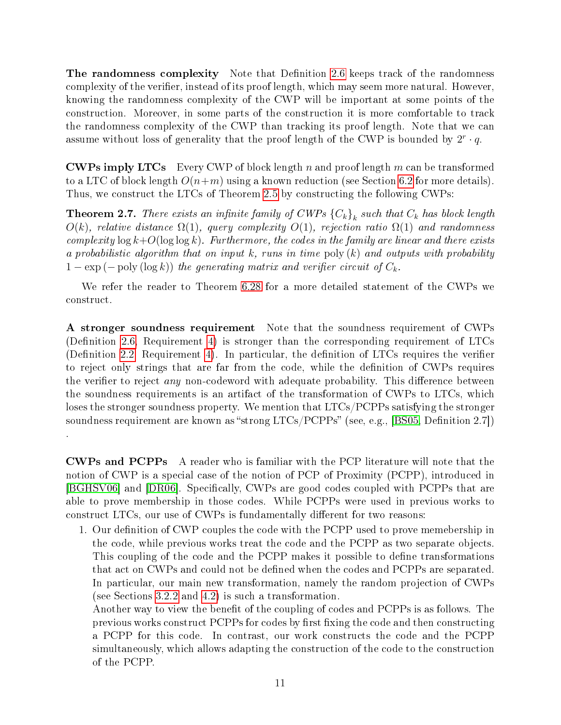**The randomness complexity** Note that Definition [2.6](#page-9-1) keeps track of the randomness complexity of the verifier, instead of its proof length, which may seem more natural. However, knowing the randomness complexity of the CWP will be important at some points of the construction. Moreover, in some parts of the construction it is more comfortable to track the randomness complexity of the CWP than tracking its proof length. Note that we can assume without loss of generality that the proof length of the CWP is bounded by  $2^r \cdot q$ .

**CWPs imply LTCs** Every CWP of block length n and proof length  $m$  can be transformed to a LTC of block length  $O(n+m)$  using a known reduction (see Section [6.2](#page-38-0) for more details). Thus, we construct the LTCs of Theorem [2.5](#page-8-0) by constructing the following CWPs:

<span id="page-10-0"></span>**Theorem 2.7.** There exists an infinite family of CWPs  ${C_k}_k$  such that  $C_k$  has block length  $O(k)$ , relative distance  $\Omega(1)$ , query complexity  $O(1)$ , rejection ratio  $\Omega(1)$  and randomness complexity  $\log k+O(\log \log k)$ . Furthermore, the codes in the family are linear and there exists a probabilistic algorithm that on input k, runs in time poly  $(k)$  and outputs with probability  $1 - \exp(-\text{poly}(\log k))$  the generating matrix and verifier circuit of  $C_k$ .

We refer the reader to Theorem [6.28](#page-50-1) for a more detailed statement of the CWPs we construct.

A stronger soundness requirement Note that the soundness requirement of CWPs (Definition [2.6,](#page-9-1) Requirement [4\)](#page-9-2) is stronger than the corresponding requirement of LTCs (Definition [2.2,](#page-8-1) Requirement [4\)](#page-8-2). In particular, the definition of LTCs requires the verifier to reject only strings that are far from the code, while the definition of CWPs requires the verifier to reject *any* non-codeword with adequate probability. This difference between the soundness requirements is an artifact of the transformation of CWPs to LTCs, which loses the stronger soundness property. We mention that LTCs/PCPPs satisfying the stronger soundness requirement are known as "strong  $LTCs/PCPPs$ " (see, e.g., [\[BS05,](#page-57-2) Definition 2.7]) .

CWPs and PCPPs A reader who is familiar with the PCP literature will note that the notion of CWP is a special case of the notion of PCP of Proximity (PCPP), introduced in [\[BGHSV06\]](#page-57-1) and [\[DR06\]](#page-57-5). Specifically, CWPs are good codes coupled with PCPPs that are able to prove membership in those codes. While PCPPs were used in previous works to construct LTCs, our use of CWPs is fundamentally different for two reasons:

1. Our definition of CWP couples the code with the PCPP used to prove memebership in the code, while previous works treat the code and the PCPP as two separate objects. This coupling of the code and the PCPP makes it possible to define transformations that act on CWPs and could not be defined when the codes and PCPPs are separated. In particular, our main new transformation, namely the random projection of CWPs (see Sections [3.2.2](#page-14-0) and [4.2\)](#page-24-0) is such a transformation.

Another way to view the benefit of the coupling of codes and PCPPs is as follows. The previous works construct PCPPs for codes by first fixing the code and then constructing a PCPP for this code. In contrast, our work constructs the code and the PCPP simultaneously, which allows adapting the construction of the code to the construction of the PCPP.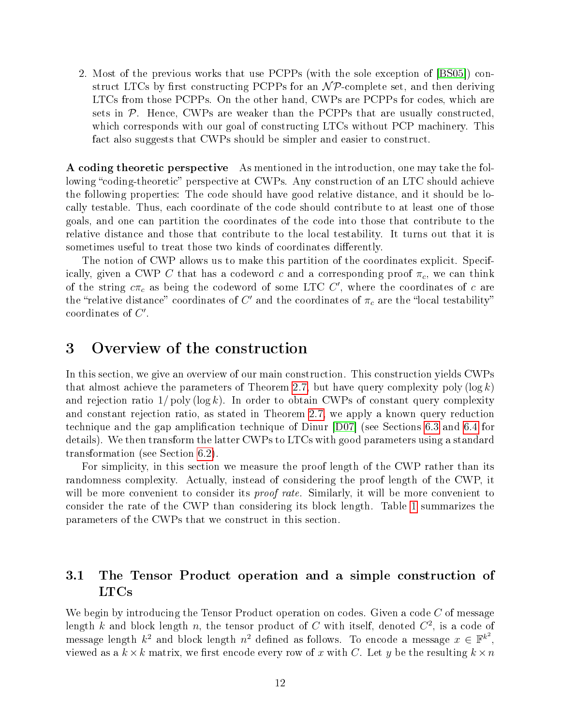2. Most of the previous works that use PCPPs (with the sole exception of [\[BS05\]](#page-57-2)) construct LTCs by first constructing PCPPs for an  $N\mathcal{P}$ -complete set, and then deriving LTCs from those PCPPs. On the other hand, CWPs are PCPPs for codes, which are sets in  $\mathcal{P}$ . Hence, CWPs are weaker than the PCPPs that are usually constructed. which corresponds with our goal of constructing LTCs without PCP machinery. This fact also suggests that CWPs should be simpler and easier to construct.

A coding theoretic perspective As mentioned in the introduction, one may take the following "coding-theoretic" perspective at CWPs. Any construction of an LTC should achieve the following properties: The code should have good relative distance, and it should be locally testable. Thus, each coordinate of the code should contribute to at least one of those goals, and one can partition the coordinates of the code into those that contribute to the relative distance and those that contribute to the local testability. It turns out that it is sometimes useful to treat those two kinds of coordinates differently.

The notion of CWP allows us to make this partition of the coordinates explicit. Specifically, given a CWP C that has a codeword c and a corresponding proof  $\pi_c$ , we can think of the string  $c\pi_c$  as being the codeword of some LTC C', where the coordinates of c are the "relative distance" coordinates of  $C'$  and the coordinates of  $\pi_c$  are the "local testability" coordinates of  $C'$ .

# <span id="page-11-0"></span>3 Overview of the construction

In this section, we give an overview of our main construction. This construction yields CWPs that almost achieve the parameters of Theorem [2.7,](#page-10-0) but have query complexity poly  $(\log k)$ and rejection ratio  $1/\text{poly}(\log k)$ . In order to obtain CWPs of constant query complexity and constant rejection ratio, as stated in Theorem [2.7,](#page-10-0) we apply a known query reduction technique and the gap amplication technique of Dinur [\[D07\]](#page-57-3) (see Sections [6.3](#page-41-0) and [6.4](#page-43-0) for details). We then transform the latter CWPs to LTCs with good parameters using a standard transformation (see Section [6.2\)](#page-38-0).

For simplicity, in this section we measure the proof length of the CWP rather than its randomness complexity. Actually, instead of considering the proof length of the CWP, it will be more convenient to consider its *proof rate*. Similarly, it will be more convenient to consider the rate of the CWP than considering its block length. Table [1](#page-12-0) summarizes the parameters of the CWPs that we construct in this section.

## <span id="page-11-1"></span>3.1 The Tensor Product operation and a simple construction of LTCs

We begin by introducing the Tensor Product operation on codes. Given a code  $C$  of message length k and block length n, the tensor product of C with itself, denoted  $C^2$ , is a code of message length  $k^2$  and block length  $n^2$  defined as follows. To encode a message  $x \in \mathbb{F}^{k^2}$ , viewed as a  $k \times k$  matrix, we first encode every row of x with C. Let y be the resulting  $k \times n$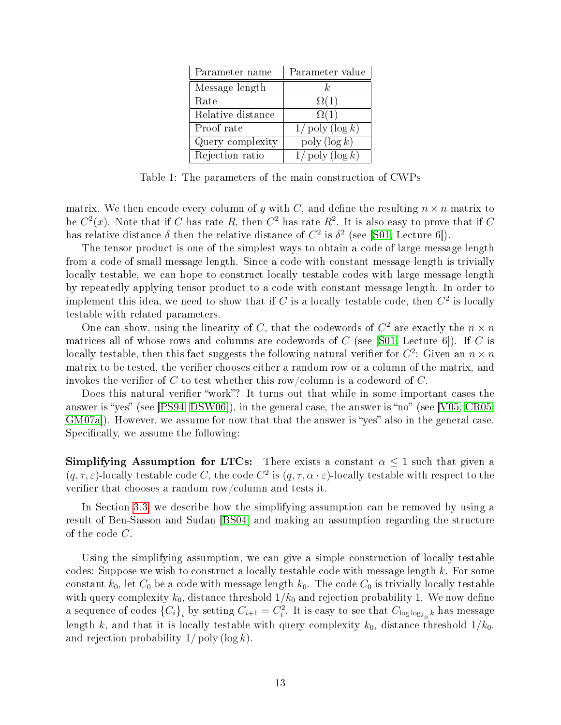| Parameter name    | Parameter value         |
|-------------------|-------------------------|
| Message length    | k                       |
| Rate              | $\Omega(1)$             |
| Relative distance | $\Omega(1)$             |
| Proof rate        | $1/\text{poly}(\log k)$ |
| Query complexity  | $\text{poly}(\log k)$   |
| Rejection ratio   | $1/\text{poly}(\log k)$ |

<span id="page-12-0"></span>Table 1: The parameters of the main construction of CWPs

matrix. We then encode every column of y with C, and define the resulting  $n \times n$  matrix to be  $C<sup>2</sup>(x)$ . Note that if C has rate R, then  $C<sup>2</sup>$  has rate  $R<sup>2</sup>$ . It is also easy to prove that if C has relative distance  $\delta$  then the relative distance of  $C^2$  is  $\delta^2$  (see [\[S01,](#page-58-5) Lecture 6]).

The tensor product is one of the simplest ways to obtain a code of large message length from a code of small message length. Since a code with constant message length is trivially locally testable, we can hope to construct locally testable codes with large message length by repeatedly applying tensor product to a code with constant message length. In order to implement this idea, we need to show that if  $C$  is a locally testable code, then  $C^2$  is locally testable with related parameters.

One can show, using the linearity of C, that the codewords of  $C^2$  are exactly the  $n \times n$ matrices all of whose rows and columns are codewords of  $C$  (see [\[S01,](#page-58-5) Lecture 6]). If  $C$  is locally testable, then this fact suggests the following natural verifier for  $C^2$ : Given an  $n \times n$ matrix to be tested, the verifier chooses either a random row or a column of the matrix, and invokes the verifier of C to test whether this row/column is a codeword of C.

Does this natural verifier "work"? It turns out that while in some important cases the answer is "yes" (see  $[PS94, DSW06]$  $[PS94, DSW06]$ ), in the general case, the answer is "no" (see [\[V05,](#page-58-7) [CR05,](#page-57-9) [GM07a\]](#page-57-10)). However, we assume for now that that the answer is "yes" also in the general case. Specifically, we assume the following:

Simplifying Assumption for LTCs: There exists a constant  $\alpha \leq 1$  such that given a  $(q, \tau, \varepsilon)$ -locally testable code C, the code C<sup>2</sup> is  $(q, \tau, \alpha \cdot \varepsilon)$ -locally testable with respect to the verifier that chooses a random row/column and tests it.

In Section [3.3,](#page-19-0) we describe how the simplifying assumption can be removed by using a result of Ben-Sasson and Sudan [\[BS04\]](#page-57-6) and making an assumption regarding the structure of the code C.

Using the simplifying assumption, we can give a simple construction of locally testable codes: Suppose we wish to construct a locally testable code with message length  $k$ . For some constant  $k_0$ , let  $C_0$  be a code with message length  $k_0$ . The code  $C_0$  is trivially locally testable with query complexity  $k_0$ , distance threshold  $1/k_0$  and rejection probability 1. We now define a sequence of codes  $\{C_i\}_i$  by setting  $C_{i+1} = C_i^2$ . It is easy to see that  $C_{\log \log_{k_0} k}$  has message length  $k$ , and that it is locally testable with query complexity  $k_0$ , distance threshold  $1/k_0$ , and rejection probability  $1/\text{poly}(\log k)$ .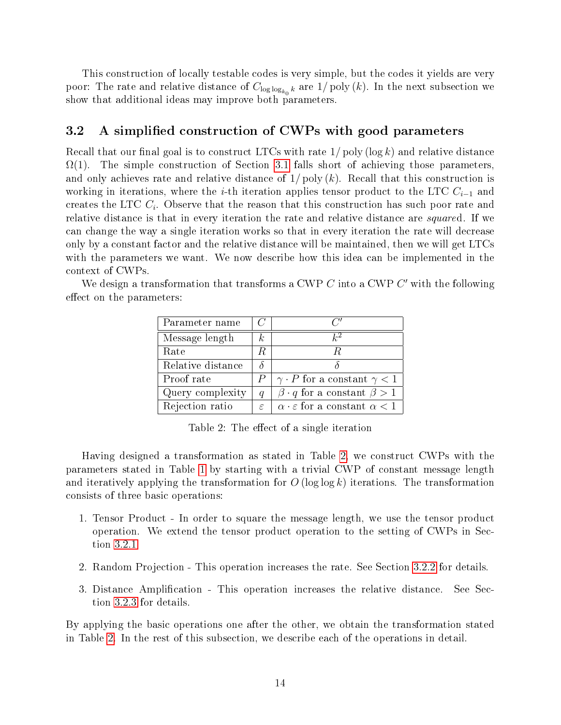This construction of locally testable codes is very simple, but the codes it yields are very poor: The rate and relative distance of  $C_{\log \log_{k_0} k}$  are  $1/\text{poly}(k)$ . In the next subsection we show that additional ideas may improve both parameters.

## <span id="page-13-1"></span>3.2 A simplified construction of CWPs with good parameters

Recall that our final goal is to construct LTCs with rate  $1/\text{poly}(\log k)$  and relative distance  $\Omega(1)$ . The simple construction of Section [3.1](#page-11-1) falls short of achieving those parameters, and only achieves rate and relative distance of  $1/\text{poly}(k)$ . Recall that this construction is working in iterations, where the i-th iteration applies tensor product to the LTC  $C_{i-1}$  and creates the LTC  $C_i$ . Observe that the reason that this construction has such poor rate and relative distance is that in every iteration the rate and relative distance are *squared*. If we can change the way a single iteration works so that in every iteration the rate will decrease only by a constant factor and the relative distance will be maintained, then we will get LTCs with the parameters we want. We now describe how this idea can be implemented in the context of CWPs.

| Parameter name    |               |                                                        |
|-------------------|---------------|--------------------------------------------------------|
| Message length    | k,            | $k^2$                                                  |
| Rate              | R.            | R                                                      |
| Relative distance |               |                                                        |
| Proof rate        |               | $\gamma \cdot P$ for a constant $\gamma < 1$           |
| Query complexity  | $\mathfrak q$ | $\beta \cdot q$ for a constant $\beta > 1$             |
| Rejection ratio   | $\varepsilon$ | $\alpha \cdot \varepsilon$ for a constant $\alpha < 1$ |

We design a transformation that transforms a CWP  $C$  into a CWP  $C'$  with the following effect on the parameters:

<span id="page-13-0"></span>Table 2: The effect of a single iteration

Having designed a transformation as stated in Table [2,](#page-13-0) we construct CWPs with the parameters stated in Table [1](#page-12-0) by starting with a trivial CWP of constant message length and iteratively applying the transformation for  $O(\log \log k)$  iterations. The transformation consists of three basic operations:

- 1. Tensor Product In order to square the message length, we use the tensor product operation. We extend the tensor product operation to the setting of CWPs in Section [3.2.1.](#page-14-1)
- 2. Random Projection This operation increases the rate. See Section [3.2.2](#page-14-0) for details.
- 3. Distance Amplication This operation increases the relative distance. See Section [3.2.3](#page-16-0) for details.

By applying the basic operations one after the other, we obtain the transformation stated in Table [2.](#page-13-0) In the rest of this subsection, we describe each of the operations in detail.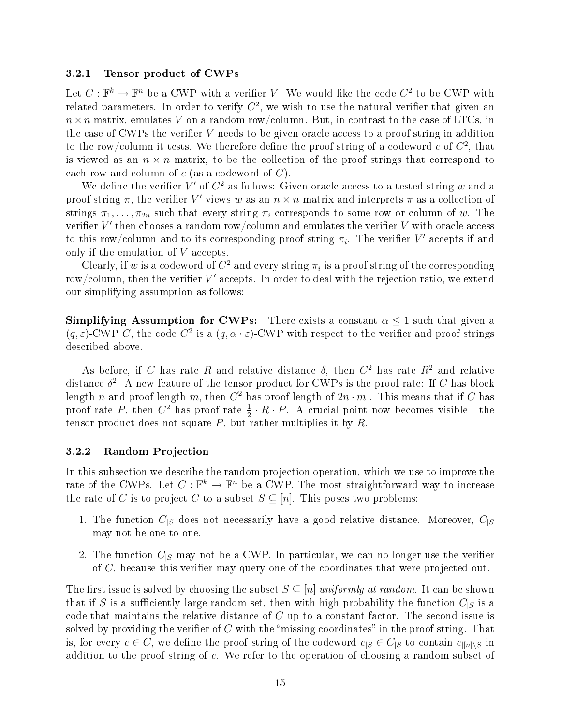#### <span id="page-14-1"></span>3.2.1 Tensor product of CWPs

Let  $C: \mathbb{F}^k \to \mathbb{F}^n$  be a CWP with a verifier V. We would like the code  $C^2$  to be CWP with related parameters. In order to verify  $C^2$ , we wish to use the natural verifier that given an  $n \times n$  matrix, emulates V on a random row/column. But, in contrast to the case of LTCs, in the case of CWPs the verifier  $V$  needs to be given oracle access to a proof string in addition to the row/column it tests. We therefore define the proof string of a codeword c of  $C^2$ , that is viewed as an  $n \times n$  matrix, to be the collection of the proof strings that correspond to each row and column of  $c$  (as a codeword of  $C$ ).

We define the verifier  $V'$  of  $C^2$  as follows: Given oracle access to a tested string w and a proof string  $\pi$ , the verifier V' views w as an  $n \times n$  matrix and interprets  $\pi$  as a collection of strings  $\pi_1, \ldots, \pi_{2n}$  such that every string  $\pi_i$  corresponds to some row or column of w. The verifier  $V^\prime$  then chooses a random row/column and emulates the verifier  $V$  with oracle access to this row/column and to its corresponding proof string  $\pi_i$ . The verifier  $V'$  accepts if and only if the emulation of V accepts.

Clearly, if w is a codeword of  $C^2$  and every string  $\pi_i$  is a proof string of the corresponding row/column, then the verifier  $V^\prime$  accepts. In order to deal with the rejection ratio, we extend our simplifying assumption as follows:

**Simplifying Assumption for CWPs:** There exists a constant  $\alpha \leq 1$  such that given a  $(q, \varepsilon)$ -CWP C, the code  $C^2$  is a  $(q, \alpha \cdot \varepsilon)$ -CWP with respect to the verifier and proof strings described above.

As before, if C has rate R and relative distance  $\delta$ , then  $C^2$  has rate  $R^2$  and relative distance  $\delta^2$ . A new feature of the tensor product for CWPs is the proof rate: If C has block length  $n$  and proof length  $m,$  then  $C^2$  has proof length of  $2n\cdot m$  . This means that if  $C$  has proof rate P, then  $C^2$  has proof rate  $\frac{1}{2} \cdot R \cdot P$ . A crucial point now becomes visible - the tensor product does not square  $P$ , but rather multiplies it by  $R$ .

#### <span id="page-14-0"></span>3.2.2 Random Projection

In this subsection we describe the random projection operation, which we use to improve the rate of the CWPs. Let  $C: \mathbb{F}^k \to \mathbb{F}^n$  be a CWP. The most straightforward way to increase the rate of C is to project C to a subset  $S \subseteq [n]$ . This poses two problems:

- 1. The function  $C_{\vert S}$  does not necessarily have a good relative distance. Moreover,  $C_{\vert S}$ may not be one-to-one.
- 2. The function  $C_{|S}$  may not be a CWP. In particular, we can no longer use the verifier of  $C$ , because this verifier may query one of the coordinates that were projected out.

The first issue is solved by choosing the subset  $S \subseteq [n]$  uniformly at random. It can be shown that if S is a sufficiently large random set, then with high probability the function  $C_{|S}$  is a code that maintains the relative distance of  $C$  up to a constant factor. The second issue is solved by providing the verifier of  $C$  with the "missing coordinates" in the proof string. That is, for every  $c \in C$ , we define the proof string of the codeword  $c_{|S} \in C_{|S}$  to contain  $c_{|[n] \setminus S}$  in addition to the proof string of c. We refer to the operation of choosing a random subset of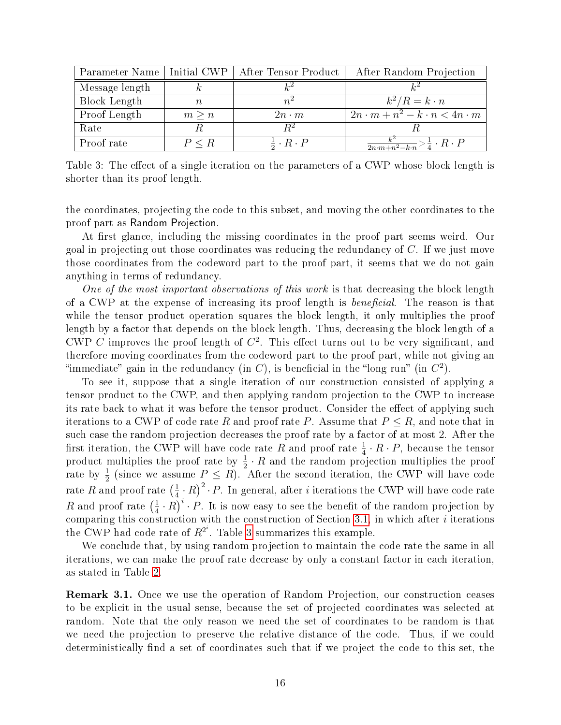|                     |                  | Parameter Name   Initial CWP   After Tensor Product | After Random Projection                                              |
|---------------------|------------------|-----------------------------------------------------|----------------------------------------------------------------------|
| Message length      |                  |                                                     |                                                                      |
| <b>Block Length</b> | $\boldsymbol{n}$ | $n^{\mu}$                                           | $k^2/R = k \cdot n$                                                  |
| Proof Length        | $m \geq n$       | $2n \cdot m$                                        | $2n \cdot m + n^2 - k \cdot n < 4n \cdot m$                          |
| Rate                |                  | $\,R^2$                                             |                                                                      |
| Proof rate          | $P \leq R$       | $\frac{1}{2} \cdot R \cdot P$                       | $\frac{k^2}{2n \cdot m+n^2-k \cdot n} > \frac{1}{4} \cdot R \cdot P$ |

<span id="page-15-0"></span>Table 3: The effect of a single iteration on the parameters of a CWP whose block length is shorter than its proof length.

the coordinates, projecting the code to this subset, and moving the other coordinates to the proof part as Random Projection.

At first glance, including the missing coordinates in the proof part seems weird. Our goal in projecting out those coordinates was reducing the redundancy of  $C$ . If we just move those coordinates from the codeword part to the proof part, it seems that we do not gain anything in terms of redundancy.

One of the most important observations of this work is that decreasing the block length of a CWP at the expense of increasing its proof length is *beneficial*. The reason is that while the tensor product operation squares the block length, it only multiplies the proof length by a factor that depends on the block length. Thus, decreasing the block length of a CWP C improves the proof length of  $C^2$ . This effect turns out to be very significant, and therefore moving coordinates from the codeword part to the proof part, while not giving an "immediate" gain in the redundancy (in C), is beneficial in the "long run" (in  $C^2$ ).

To see it, suppose that a single iteration of our construction consisted of applying a tensor product to the CWP, and then applying random projection to the CWP to increase its rate back to what it was before the tensor product. Consider the effect of applying such iterations to a CWP of code rate R and proof rate P. Assume that  $P \leq R$ , and note that in such case the random projection decreases the proof rate by a factor of at most 2. After the first iteration, the CWP will have code rate R and proof rate  $\frac{1}{4} \cdot R \cdot P$ , because the tensor product multiplies the proof rate by  $\frac{1}{2} \cdot R$  and the random projection multiplies the proof rate by  $\frac{1}{2}$  (since we assume  $P \leq R$ ). After the second iteration, the CWP will have code rate R and proof rate  $(\frac{1}{4})$  $\frac{1}{4} \cdot R$ )<sup>2</sup> · P. In general, after *i* iterations the CWP will have code rate R and proof rate  $\left(\frac{1}{4}\right)$  $\frac{1}{4} \cdot R$ )<sup>*i*</sup>  $\cdot$  *P*. It is now easy to see the benefit of the random projection by comparing this construction with the construction of Section [3.1,](#page-11-1) in which after  $i$  iterations the CWP had code rate of  $R^{2^i}$ . Table [3](#page-15-0) summarizes this example.

We conclude that, by using random projection to maintain the code rate the same in all iterations, we can make the proof rate decrease by only a constant factor in each iteration, as stated in Table [2.](#page-13-0)

Remark 3.1. Once we use the operation of Random Projection, our construction ceases to be explicit in the usual sense, because the set of projected coordinates was selected at random. Note that the only reason we need the set of coordinates to be random is that we need the projection to preserve the relative distance of the code. Thus, if we could deterministically find a set of coordinates such that if we project the code to this set, the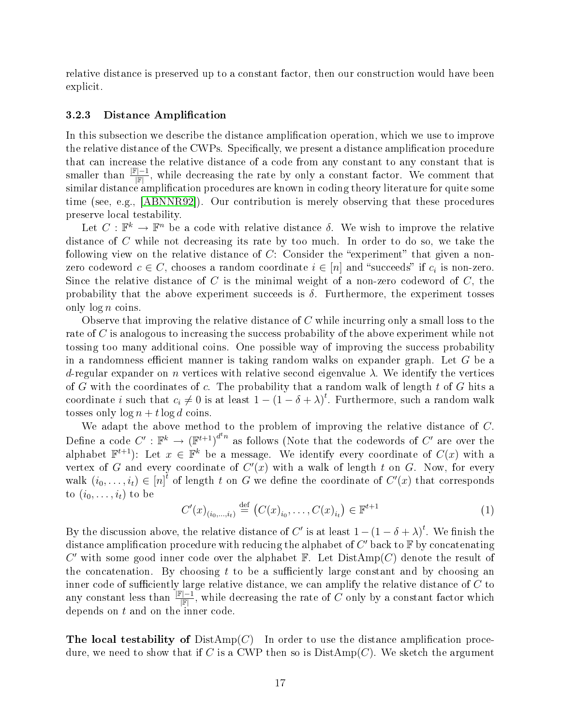relative distance is preserved up to a constant factor, then our construction would have been explicit.

#### <span id="page-16-0"></span>3.2.3 Distance Amplication

In this subsection we describe the distance amplification operation, which we use to improve the relative distance of the CWPs. Specifically, we present a distance amplification procedure that can increase the relative distance of a code from any constant to any constant that is smaller than  $\frac{F|-1}{F|}$ , while decreasing the rate by only a constant factor. We comment that  ${\rm similar~distance~amplification~procedures~are~known~in~coding~theory~literature~for~quite~some}$ time (see, e.g., [\[ABNNR92\]](#page-56-3)). Our contribution is merely observing that these procedures preserve local testability.

Let  $C: \mathbb{F}^k \to \mathbb{F}^n$  be a code with relative distance  $\delta$ . We wish to improve the relative distance of C while not decreasing its rate by too much. In order to do so, we take the following view on the relative distance of  $C$ : Consider the "experiment" that given a nonzero codeword  $c \in C$ , chooses a random coordinate  $i \in [n]$  and "succeeds" if  $c_i$  is non-zero. Since the relative distance of  $C$  is the minimal weight of a non-zero codeword of  $C$ , the probability that the above experiment succeeds is  $\delta$ . Furthermore, the experiment tosses only  $\log n$  coins.

Observe that improving the relative distance of  $C$  while incurring only a small loss to the rate of  $C$  is analogous to increasing the success probability of the above experiment while not tossing too many additional coins. One possible way of improving the success probability in a randomness efficient manner is taking random walks on expander graph. Let  $G$  be a d-regular expander on n vertices with relative second eigenvalue  $\lambda$ . We identify the vertices of  $G$  with the coordinates of  $c$ . The probability that a random walk of length  $t$  of  $G$  hits a coordinate i such that  $c_i \neq 0$  is at least  $1 - (1 - \delta + \lambda)^t$ . Furthermore, such a random walk tosses only  $\log n + t \log d$  coins.

We adapt the above method to the problem of improving the relative distance of  $C$ . Define a code  $C': \mathbb{F}^k \to (\mathbb{F}^{t+1})^{d^tn}$  as follows (Note that the codewords of  $C'$  are over the alphabet  $\mathbb{F}^{t+1}$ : Let  $x \in \mathbb{F}^k$  be a message. We identify every coordinate of  $C(x)$  with a vertex of G and every coordinate of  $C'(x)$  with a walk of length t on G. Now, for every walk  $(i_0, \ldots, i_t) \in [n]^t$  of length t on G we define the coordinate of  $C'(x)$  that corresponds to  $(i_0, \ldots, i_t)$  to be

<span id="page-16-1"></span>
$$
C'(x)_{(i_0,\dots,i_t)} \stackrel{\text{def}}{=} (C(x)_{i_0},\dots,C(x)_{i_t}) \in \mathbb{F}^{t+1}
$$
 (1)

By the discussion above, the relative distance of C' is at least  $1-(1-\delta+\lambda)^t$ . We finish the distance amplification procedure with reducing the alphabet of  $C'$  back to  ${\mathbb F}$  by concatenating C' with some good inner code over the alphabet  $\mathbb F$ . Let  $\text{DistAmp}(C)$  denote the result of the concatenation. By choosing  $t$  to be a sufficiently large constant and by choosing an inner code of sufficiently large relative distance, we can amplify the relative distance of  $C$  to any constant less than  $\frac{F[-1]}{F}$ , while decreasing the rate of C only by a constant factor which depends on t and on the inner code.

**The local testability of**  $DistAmp(C)$  In order to use the distance amplification procedure, we need to show that if C is a CWP then so is  $DistAmp(C)$ . We sketch the argument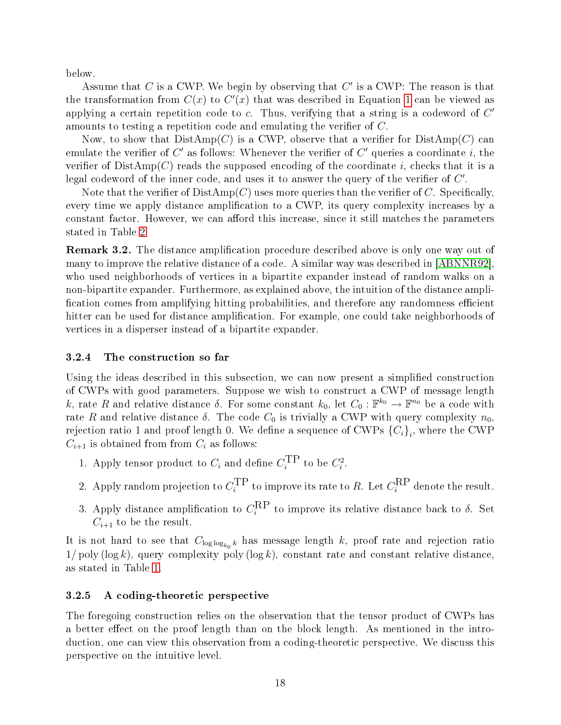below.

Assume that  $C$  is a CWP. We begin by observing that  $C'$  is a CWP: The reason is that the transformation from  $C(x)$  to  $C'(x)$  that was described in Equation [1](#page-16-1) can be viewed as applying a certain repetition code to  $c$ . Thus, verifying that a string is a codeword of  $C'$ amounts to testing a repetition code and emulating the verifier of  $C$ .

Now, to show that  $DistAmp(C)$  is a CWP, observe that a verifier for  $DistAmp(C)$  can emulate the verifier of  $C'$  as follows: Whenever the verifier of  $C'$  queries a coordinate i, the verifier of  $DistAmp(C)$  reads the supposed encoding of the coordinate i, checks that it is a legal codeword of the inner code, and uses it to answer the query of the verifier of  $C^{\prime}.$ 

Note that the verifier of  $\text{DistAmp}(C)$  uses more queries than the verifier of C. Specifically, every time we apply distance amplification to a CWP, its query complexity increases by a constant factor. However, we can afford this increase, since it still matches the parameters stated in Table [2.](#page-13-0)

Remark 3.2. The distance amplication procedure described above is only one way out of many to improve the relative distance of a code. A similar way was described in [\[ABNNR92\]](#page-56-3), who used neighborhoods of vertices in a bipartite expander instead of random walks on a non-bipartite expander. Furthermore, as explained above, the intuition of the distance ampli fication comes from amplifying hitting probabilities, and therefore any randomness efficient hitter can be used for distance amplification. For example, one could take neighborhoods of vertices in a disperser instead of a bipartite expander.

#### 3.2.4 The construction so far

Using the ideas described in this subsection, we can now present a simplied construction of CWPs with good parameters. Suppose we wish to construct a CWP of message length k, rate R and relative distance  $\delta$ . For some constant  $k_0$ , let  $C_0$  :  $\mathbb{F}^{k_0} \to \mathbb{F}^{n_0}$  be a code with rate R and relative distance  $\delta$ . The code  $C_0$  is trivially a CWP with query complexity  $n_0$ , rejection ratio 1 and proof length 0. We define a sequence of CWPs  $\{C_i\}_i$ , where the CWP  $C_{i+1}$  is obtained from from  $C_i$  as follows:

- 1. Apply tensor product to  $C_i$  and define  $C_i^{\mathrm{TP}}$  to be  $C_i^2$ .
- 2. Apply random projection to  $C_i^{\mathrm{TP}}$  to improve its rate to  $R.$  Let  $C_i^{\mathrm{RP}}$  denote the result.
- 3. Apply distance amplification to  $C^{\text{RP}}_i$  to improve its relative distance back to  $\delta$ . Set  $C_{i+1}$  to be the result.

It is not hard to see that  $C_{\log \log_{k_0} k}$  has message length  $k,$  proof rate and rejection ratio  $1/\text{poly}(\log k)$ , query complexity poly  $(\log k)$ , constant rate and constant relative distance, as stated in Table [1.](#page-12-0)

#### 3.2.5 A coding-theoretic perspective

The foregoing construction relies on the observation that the tensor product of CWPs has a better effect on the proof length than on the block length. As mentioned in the introduction, one can view this observation from a coding-theoretic perspective. We discuss this perspective on the intuitive level.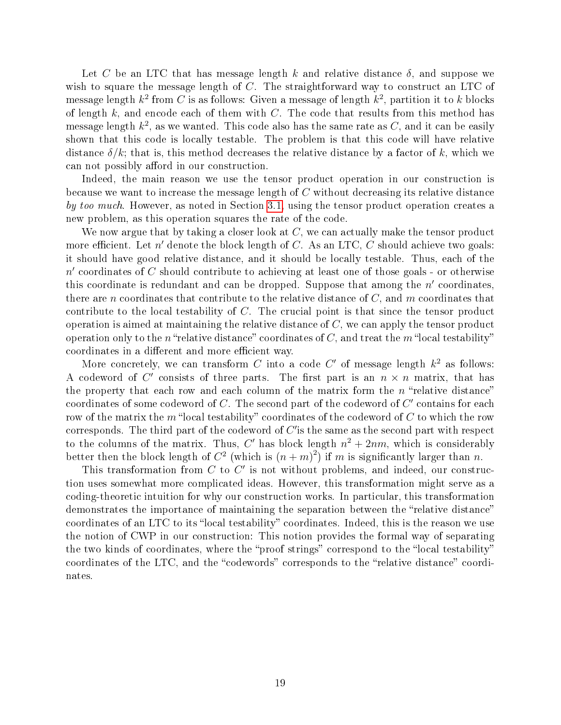Let C be an LTC that has message length k and relative distance  $\delta$ , and suppose we wish to square the message length of C. The straightforward way to construct an LTC of message length  $k^2$  from  $C$  is as follows: Given a message of length  $k^2$ , partition it to  $k$  blocks of length  $k$ , and encode each of them with  $C$ . The code that results from this method has message length  $k^2$ , as we wanted. This code also has the same rate as  $C,$  and it can be easily shown that this code is locally testable. The problem is that this code will have relative distance  $\delta/k$ ; that is, this method decreases the relative distance by a factor of k, which we can not possibly afford in our construction.

Indeed, the main reason we use the tensor product operation in our construction is because we want to increase the message length of C without decreasing its relative distance by too much. However, as noted in Section [3.1,](#page-11-1) using the tensor product operation creates a new problem, as this operation squares the rate of the code.

We now argue that by taking a closer look at  $C$ , we can actually make the tensor product more efficient. Let  $n'$  denote the block length of C. As an LTC, C should achieve two goals: it should have good relative distance, and it should be locally testable. Thus, each of the  $n'$  coordinates of C should contribute to achieving at least one of those goals - or otherwise this coordinate is redundant and can be dropped. Suppose that among the  $n'$  coordinates, there are n coordinates that contribute to the relative distance of  $C$ , and  $m$  coordinates that contribute to the local testability of C. The crucial point is that since the tensor product operation is aimed at maintaining the relative distance of  $C$ , we can apply the tensor product operation only to the n "relative distance" coordinates of  $C$ , and treat the m "local testability" coordinates in a different and more efficient way.

More concretely, we can transform C into a code C' of message length  $k^2$  as follows: A codeword of C' consists of three parts. The first part is an  $n \times n$  matrix, that has the property that each row and each column of the matrix form the  $n$  "relative distance" coordinates of some codeword of  $C.$  The second part of the codeword of  $C^{\prime}$  contains for each row of the matrix the m "local testability" coordinates of the codeword of  $C$  to which the row corresponds. The third part of the codeword of  $C'$ is the same as the second part with respect to the columns of the matrix. Thus, C' has block length  $n^2 + 2nm$ , which is considerably better then the block length of  $C^2$  (which is  $(n+m)^2$ ) if m is significantly larger than n.

This transformation from  $C$  to  $C'$  is not without problems, and indeed, our construction uses somewhat more complicated ideas. However, this transformation might serve as a coding-theoretic intuition for why our construction works. In particular, this transformation demonstrates the importance of maintaining the separation between the "relative distance" coordinates of an LTC to its "local testability" coordinates. Indeed, this is the reason we use the notion of CWP in our construction: This notion provides the formal way of separating the two kinds of coordinates, where the "proof strings" correspond to the "local testability" coordinates of the LTC, and the "codewords" corresponds to the "relative distance" coordinates.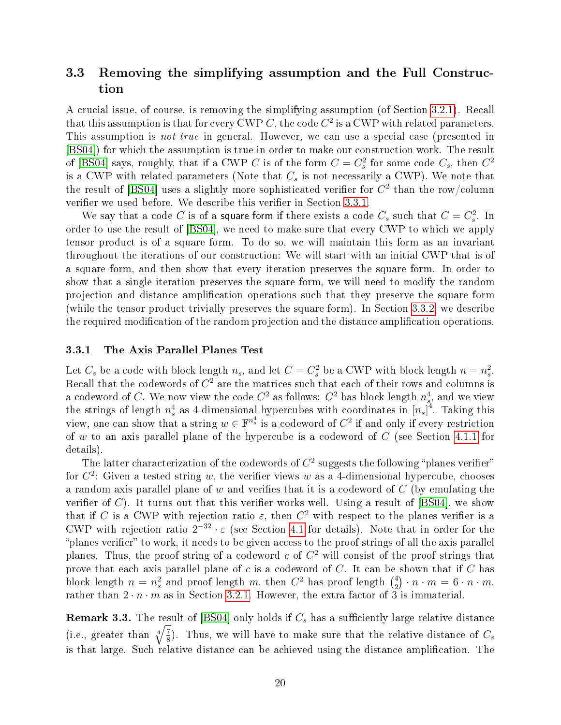## <span id="page-19-0"></span>3.3 Removing the simplifying assumption and the Full Construction

A crucial issue, of course, is removing the simplifying assumption (of Section [3.2.1\)](#page-14-1). Recall that this assumption is that for every CWP  $C$ , the code  $C^2$  is a CWP with related parameters. This assumption is *not true* in general. However, we can use a special case (presented in [\[BS04\]](#page-57-6)) for which the assumption is true in order to make our construction work. The result of [\[BS04\]](#page-57-6) says, roughly, that if a CWP  $C$  is of the form  $C=C_s^2$  for some code  $C_s$ , then  $C^2$ is a CWP with related parameters (Note that  $C_s$  is not necessarily a CWP). We note that the result of [\[BS04\]](#page-57-6) uses a slightly more sophisticated verifier for  $C^2$  than the row/column verifier we used before. We describe this verifier in Section [3.3.1.](#page-19-1)

We say that a code C is of a square form if there exists a code  $C_s$  such that  $C = C_s^2$ . In order to use the result of [\[BS04\]](#page-57-6), we need to make sure that every CWP to which we apply tensor product is of a square form. To do so, we will maintain this form as an invariant throughout the iterations of our construction: We will start with an initial CWP that is of a square form, and then show that every iteration preserves the square form. In order to show that a single iteration preserves the square form, we will need to modify the random projection and distance amplication operations such that they preserve the square form (while the tensor product trivially preserves the square form). In Section [3.3.2,](#page-20-0) we describe the required modification of the random projection and the distance amplification operations.

#### <span id="page-19-1"></span>3.3.1 The Axis Parallel Planes Test

Let  $C_s$  be a code with block length  $n_s$ , and let  $C = C_s^2$  be a CWP with block length  $n = n_s^2$ . Recall that the codewords of  $C^2$  are the matrices such that each of their rows and columns is a codeword of  $C.$  We now view the code  $C^2$  as follows:  $C^2$  has block length  $n_{s,\cdot}^4$  and we view the strings of length  $n_s^4$  as 4-dimensional hypercubes with coordinates in  $\left[n_s\right]^4$ . Taking this view, one can show that a string  $w \in \mathbb{F}^{n_s^4}$  is a codeword of  $C^2$  if and only if every restriction of w to an axis parallel plane of the hypercube is a codeword of  $C$  (see Section [4.1.1](#page-22-1) for details).

The latter characterization of the codewords of  $C^2$  suggests the following "planes verifier" for  $C^2$ : Given a tested string w, the verifier views w as a 4-dimensional hypercube, chooses a random axis parallel plane of w and verifies that it is a codeword of  $C$  (by emulating the verifier of C). It turns out that this verifier works well. Using a result of  $[BS04]$ , we show that if C is a CWP with rejection ratio  $\varepsilon$ , then  $C^2$  with respect to the planes verifier is a CWP with rejection ratio  $2^{-32} \cdot \varepsilon$  (see Section [4.1](#page-22-2) for details). Note that in order for the "planes verifier" to work, it needs to be given access to the proof strings of all the axis parallel planes. Thus, the proof string of a codeword c of  $C<sup>2</sup>$  will consist of the proof strings that prove that each axis parallel plane of  $c$  is a codeword of  $C$ . It can be shown that if  $C$  has block length  $n = n_s^2$  and proof length  $m$ , then  $C^2$  has proof length  $\binom{4}{2}$  $\binom{4}{2}\cdot n\cdot m = 6\cdot n\cdot m,$ rather than  $2 \cdot n \cdot m$  as in Section [3.2.1.](#page-14-1) However, the extra factor of  $3$  is immaterial.

**Remark 3.3.** The result of [\[BS04\]](#page-57-6) only holds if  $C_s$  has a sufficiently large relative distance (i.e., greater than  $\sqrt[4]{\frac{7}{8}}$  $\frac{7}{8}$ ). Thus, we will have to make sure that the relative distance of  $C_s$ is that large. Such relative distance can be achieved using the distance amplication. The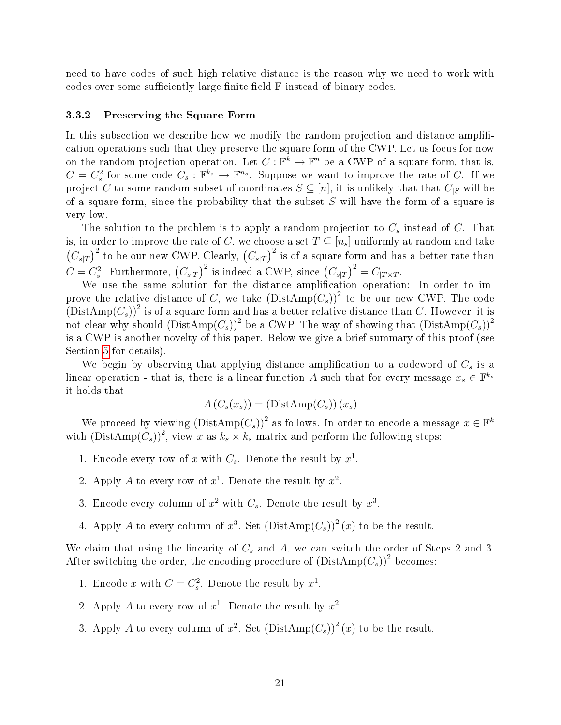need to have codes of such high relative distance is the reason why we need to work with codes over some sufficiently large finite field  $\mathbb F$  instead of binary codes.

#### <span id="page-20-0"></span>3.3.2 Preserving the Square Form

In this subsection we describe how we modify the random projection and distance amplification operations such that they preserve the square form of the CWP. Let us focus for now on the random projection operation. Let  $C: \mathbb{F}^k \to \mathbb{F}^n$  be a CWP of a square form, that is,  $C = C_s^2$  for some code  $C_s : \mathbb{F}^{k_s} \to \mathbb{F}^{n_s}$ . Suppose we want to improve the rate of C. If we project C to some random subset of coordinates  $S \subseteq [n]$ , it is unlikely that that  $C_{|S}$  will be of a square form, since the probability that the subset S will have the form of a square is very low.

The solution to the problem is to apply a random projection to  $C_s$  instead of C. That is, in order to improve the rate of C, we choose a set  $T \subseteq [n_s]$  uniformly at random and take  $(C_{s|T})^2$  to be our new CWP. Clearly,  $(C_{s|T})^2$  is of a square form and has a better rate than  $C = C_s^2$ . Furthermore,  $(C_{s|T})^2$  is indeed a CWP, since  $(C_{s|T})^2 = C_{|T \times T}$ .

We use the same solution for the distance amplification operation: In order to improve the relative distance of C, we take  $(\text{DistAmp}(C_s))^2$  to be our new CWP. The code  $(\text{DistAmp}(C_s))^2$  is of a square form and has a better relative distance than C. However, it is not clear why should  $(\text{DistAmp}(C_s))^2$  be a CWP. The way of showing that  $(\text{DistAmp}(C_s))^2$ is a CWP is another novelty of this paper. Below we give a brief summary of this proof (see Section [5](#page-27-0) for details).

We begin by observing that applying distance amplification to a codeword of  $C_s$  is a linear operation - that is, there is a linear function A such that for every message  $x_s \in \mathbb{F}^{k_s}$ it holds that

$$
A(C_s(x_s)) = (\text{DistAmp}(C_s))(x_s)
$$

We proceed by viewing  $(\text{DistAmp}(C_s))^2$  as follows. In order to encode a message  $x \in \mathbb{F}^k$ with  $(\text{DistAmp}(C_s))^2$ , view x as  $k_s \times k_s$  matrix and perform the following steps:

- 1. Encode every row of x with  $C_s$ . Denote the result by  $x^1$ .
- 2. Apply A to every row of  $x^1$ . Denote the result by  $x^2$ .
- 3. Encode every column of  $x^2$  with  $C_s$ . Denote the result by  $x^3$ .
- 4. Apply A to every column of  $x^3$ . Set  $\left(\text{DistAmp}(C_s)\right)^2(x)$  to be the result.

We claim that using the linearity of  $C_s$  and  $A$ , we can switch the order of Steps 2 and 3. After switching the order, the encoding procedure of  $\left(\text{DistAmp}(C_s)\right)^2$  becomes:

- 1. Encode x with  $C = C_s^2$ . Denote the result by  $x^1$ .
- 2. Apply A to every row of  $x^1$ . Denote the result by  $x^2$ .
- 3. Apply A to every column of  $x^2$ . Set  $\left(\text{DistAmp}(C_s)\right)^2(x)$  to be the result.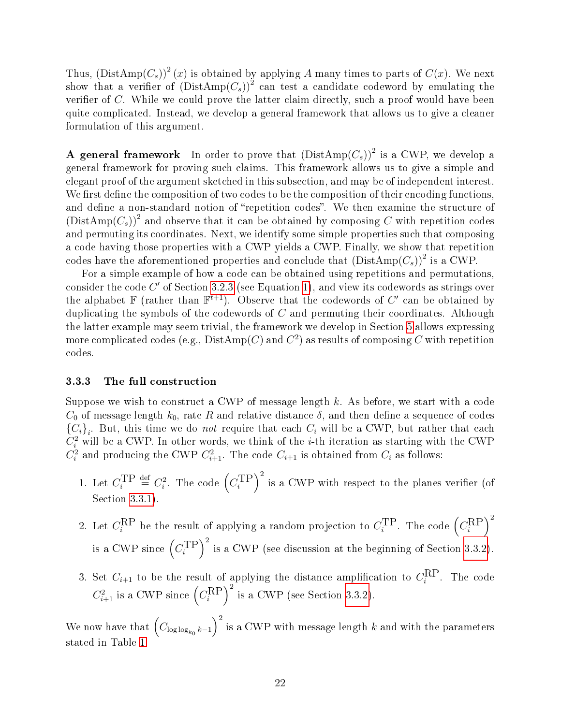Thus,  $(\text{DistAmp}(C_s))^2(x)$  is obtained by applying A many times to parts of  $C(x)$ . We next show that a verifier of  $(\text{DistAmp}(C_s))^2$  can test a candidate codeword by emulating the verifier of C. While we could prove the latter claim directly, such a proof would have been quite complicated. Instead, we develop a general framework that allows us to give a cleaner formulation of this argument.

**A general framework** In order to prove that  $(DistAmp(C_s))^2$  is a CWP, we develop a general framework for proving such claims. This framework allows us to give a simple and elegant proof of the argument sketched in this subsection, and may be of independent interest. We first define the composition of two codes to be the composition of their encoding functions. and define a non-standard notion of "repetition codes". We then examine the structure of  $(\text{DistAmp}(C_s))^2$  and observe that it can be obtained by composing C with repetition codes and permuting its coordinates. Next, we identify some simple properties such that composing a code having those properties with a CWP yields a CWP. Finally, we show that repetition codes have the aforementioned properties and conclude that  $\left(\text{DistAmp}(C_s)\right)^2$  is a CWP.

For a simple example of how a code can be obtained using repetitions and permutations, consider the code  $C'$  of Section [3.2.3](#page-16-0) (see Equation [1\)](#page-16-1), and view its codewords as strings over the alphabet  $\mathbb F$  (rather than  $\mathbb F^{t+1}$ ). Observe that the codewords of  $C'$  can be obtained by duplicating the symbols of the codewords of C and permuting their coordinates. Although the latter example may seem trivial, the framework we develop in Section [5](#page-27-0) allows expressing more complicated codes (e.g.,  $\mathrm{DistAmp}(C)$  and  $C^2)$  as results of composing  $C$  with repetition codes.

#### 3.3.3 The full construction

Suppose we wish to construct a CWP of message length  $k$ . As before, we start with a code  $C_0$  of message length  $k_0$ , rate R and relative distance  $\delta$ , and then define a sequence of codes  ${C_i}_i$ . But, this time we do *not* require that each  $C_i$  will be a CWP, but rather that each  $C_i^2$  will be a CWP. In other words, we think of the *i*-th iteration as starting with the CWP  $C_i^2$  and producing the CWP  $C_{i+1}^2$ . The code  $C_{i+1}$  is obtained from  $C_i$  as follows:

- 1. Let  $C_i^{\text{TP}} \stackrel{\text{def}}{=} C_i^2$ . The code  $(C_i^{\text{TP}})^2$  is a CWP with respect to the planes verifier (of Section [3.3.1\)](#page-19-1).
- 2. Let  $C^{\text{RP}}_i$  be the result of applying a random projection to  $C^{\text{TP}}_i$ . The code  $\left(C^{\text{RP}}_i\right)^2$ is a CWP since  $\left(C_i^{\text{TP}}\right)^2$  is a CWP (see discussion at the beginning of Section [3.3.2\)](#page-20-0).
- 3. Set  $C_{i+1}$  to be the result of applying the distance amplification to  $C_i^{RP}$ . The code  $C_{i+1}^2$  is a CWP since  $(C_i^{\text{RP}})^2$  is a CWP (see Section [3.3.2\)](#page-20-0).

We now have that  $\left(C_{\log \log_{k_0} k-1}\right)^2$  is a CWP with message length  $k$  and with the parameters stated in Table [1.](#page-12-0)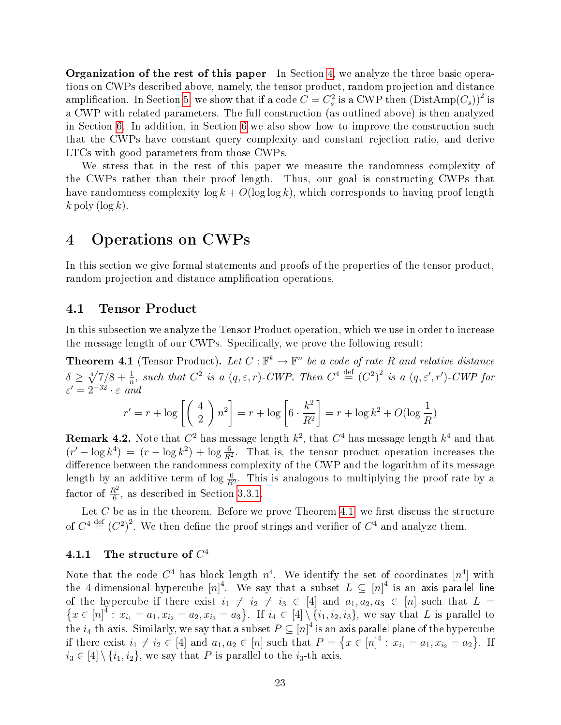Organization of the rest of this paper In Section [4,](#page-22-0) we analyze the three basic operations on CWPs described above, namely, the tensor product, random projection and distance amplification. In Section [5,](#page-27-0) we show that if a code  $C=C_s^2$  is a CWP then  $\left(\text{DistAmp}(C_s)\right)^2$  is a CWP with related parameters. The full construction (as outlined above) is then analyzed in Section [6.](#page-35-0) In addition, in Section [6](#page-35-0) we also show how to improve the construction such that the CWPs have constant query complexity and constant rejection ratio, and derive LTCs with good parameters from those CWPs.

We stress that in the rest of this paper we measure the randomness complexity of the CWPs rather than their proof length. Thus, our goal is constructing CWPs that have randomness complexity  $\log k + O(\log \log k)$ , which corresponds to having proof length  $k$  poly  $(\log k)$ .

# <span id="page-22-0"></span>4 Operations on CWPs

In this section we give formal statements and proofs of the properties of the tensor product, random projection and distance amplification operations.

## <span id="page-22-2"></span>4.1 Tensor Product

In this subsection we analyze the Tensor Product operation, which we use in order to increase the message length of our CWPs. Specifically, we prove the following result:

<span id="page-22-3"></span>**Theorem 4.1** (Tensor Product). Let  $C : \mathbb{F}^k \to \mathbb{F}^n$  be a code of rate R and relative distance  $\delta \geq \sqrt[4]{7/8} + \frac{1}{n}$ , such that  $C^2$  is a  $(q, \varepsilon, r)$ -CWP. Then  $C^4 \stackrel{\text{def}}{=} (C^2)^2$  is a  $(q, \varepsilon', r')$ -CWP for  $\varepsilon' = 2^{-32} \cdot \varepsilon$  and

$$
r' = r + \log\left[\left(\frac{4}{2}\right)n^2\right] = r + \log\left[6 \cdot \frac{k^2}{R^2}\right] = r + \log k^2 + O(\log\frac{1}{R})
$$

**Remark 4.2.** Note that  $C^2$  has message length  $k^2$ , that  $C^4$  has message length  $k^4$  and that  $(r' - \log k^4) = (r - \log k^2) + \log \frac{6}{R^2}$ . That is, the tensor product operation increases the difference between the randomness complexity of the CWP and the logarithm of its message length by an additive term of  $\log \frac{6}{R^2}$ . This is analogous to multiplying the proof rate by a factor of  $\frac{R^2}{6}$ , as described in Section [3.3.1.](#page-19-1)

Let  $C$  be as in the theorem. Before we prove Theorem [4.1,](#page-22-3) we first discuss the structure of  $C^4 \stackrel{\text{def}}{=} (C^2)^2$ . We then define the proof strings and verifier of  $C^4$  and analyze them.

## <span id="page-22-1"></span> $4.1.1$  The structure of  $C^4$

Note that the code  $C^4$  has block length  $n^4$ . We identify the set of coordinates  $[n^4]$  with the 4-dimensional hypercube  ${[n]}^{4}.$  We say that a subset  $L \, \subseteq \, {[n]}^{4}$  is an axis parallel line of the hypercube if there exist  $i_1 \neq i_2 \neq i_3 \in [4]$  and  $a_1, a_2, a_3 \in [n]$  such that  $L =$  $\{x \in [n]^4 : x_{i_1} = a_1, x_{i_2} = a_2, x_{i_3} = a_3\}$ . If  $i_4 \in [4] \setminus \{i_1, i_2, i_3\}$ , we say that L is parallel to the  $i_4$ -th axis. Similarly, we say that a subset  $P\subseteq\left[ n\right]^4$  is an axis parallel plane of the hypercube if there exist  $i_1 \neq i_2 \in [4]$  and  $a_1, a_2 \in [n]$  such that  $P = \{x \in [n]^4 : x_{i_1} = a_1, x_{i_2} = a_2\}$ . If  $i_3 \in [4] \setminus \{i_1, i_2\}$ , we say that P is parallel to the  $i_3$ -th axis.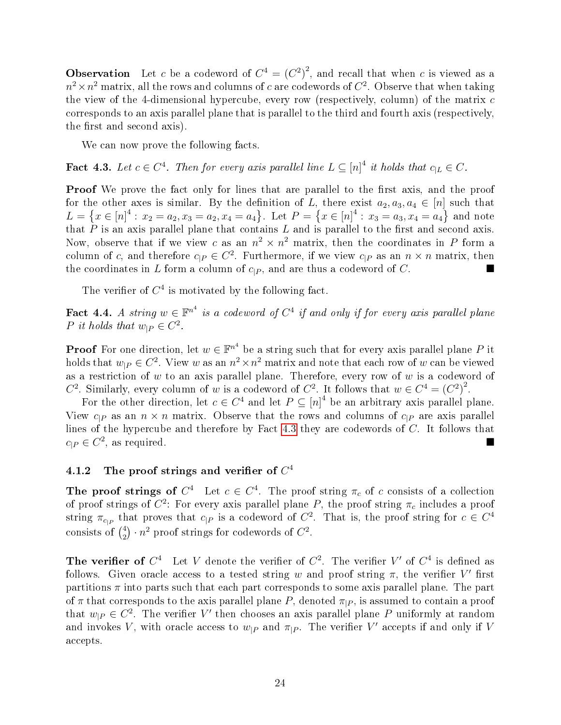**Observation** Let c be a codeword of  $C^4 = (C^2)^2$ , and recall that when c is viewed as a  $n^2 \times n^2$  matrix, all the rows and columns of  $c$  are codewords of  $C^2$ . Observe that when taking the view of the 4-dimensional hypercube, every row (respectively, column) of the matrix  $c$ corresponds to an axis parallel plane that is parallel to the third and fourth axis (respectively, the first and second axis).

We can now prove the following facts.

<span id="page-23-0"></span>**Fact 4.3.** Let  $c \in C^4$ . Then for every axis parallel line  $L \subseteq [n]^4$  it holds that  $c_{|L} \in C$ .

**Proof** We prove the fact only for lines that are parallel to the first axis, and the proof for the other axes is similar. By the definition of L, there exist  $a_2, a_3, a_4 \in [n]$  such that  $L = \{x \in [n]^4 : x_2 = a_2, x_3 = a_2, x_4 = a_4\}.$  Let  $P = \{x \in [n]^4 : x_3 = a_3, x_4 = a_4\}$  and note that  $P$  is an axis parallel plane that contains  $L$  and is parallel to the first and second axis. Now, observe that if we view c as an  $n^2 \times n^2$  matrix, then the coordinates in P form a column of c, and therefore  $c_{|P} \in C^2$ . Furthermore, if we view  $c_{|P}$  as an  $n \times n$  matrix, then the coordinates in L form a column of  $c_{|P}$ , and are thus a codeword of C.

The verifier of  $C<sup>4</sup>$  is motivated by the following fact.

**Fact 4.4.** A string  $w \in \mathbb{F}^{n^4}$  is a codeword of  $C^4$  if and only if for every axis parallel plane P it holds that  $w_{P} \in C^2$ .

**Proof** For one direction, let  $w \in \mathbb{F}^{n^4}$  be a string such that for every axis parallel plane P it holds that  $w_{P} \in C^2$ . View w as an  $n^2 \times n^2$  matrix and note that each row of w can be viewed as a restriction of  $w$  to an axis parallel plane. Therefore, every row of  $w$  is a codeword of C<sup>2</sup>. Similarly, every column of w is a codeword of C<sup>2</sup>. It follows that  $w \in C^4 = (C^2)^2$ .

For the other direction, let  $c \in C^4$  and let  $P \subseteq [n]^4$  be an arbitrary axis parallel plane. View  $c_{P}$  as an  $n \times n$  matrix. Observe that the rows and columns of  $c_{P}$  are axis parallel lines of the hypercube and therefore by Fact [4.3](#page-23-0) they are codewords of C. It follows that  $c_{|P} \in C^2$ , as required.

## $4.1.2$  The proof strings and verifier of  $C^4$

The proof strings of  $C^4$  Let  $c \in C^4$ . The proof string  $\pi_c$  of c consists of a collection of proof strings of  $C^2$ : For every axis parallel plane P, the proof string  $\pi_c$  includes a proof string  $\pi_{c_{|P}}$  that proves that  $c_{|P}$  is a codeword of  $C^2$ . That is, the proof string for  $c \in C^4$ consists of  $\binom{4}{2}$  $\binom{4}{2} \cdot n^2$  proof strings for codewords of  $C^2$ .

The verifier of  $C^4$  Let V denote the verifier of  $C^2$ . The verifier V' of  $C^4$  is defined as follows. Given oracle access to a tested string w and proof string  $\pi$ , the verifier V' first partitions  $\pi$  into parts such that each part corresponds to some axis parallel plane. The part of  $\pi$  that corresponds to the axis parallel plane P, denoted  $\pi_{|P}$ , is assumed to contain a proof that  $w_{P} \in C^{2}$ . The verifier V' then chooses an axis parallel plane P uniformly at random and invokes V, with oracle access to  $w_{|P}$  and  $\pi_{|P}$ . The verifier V' accepts if and only if V accepts.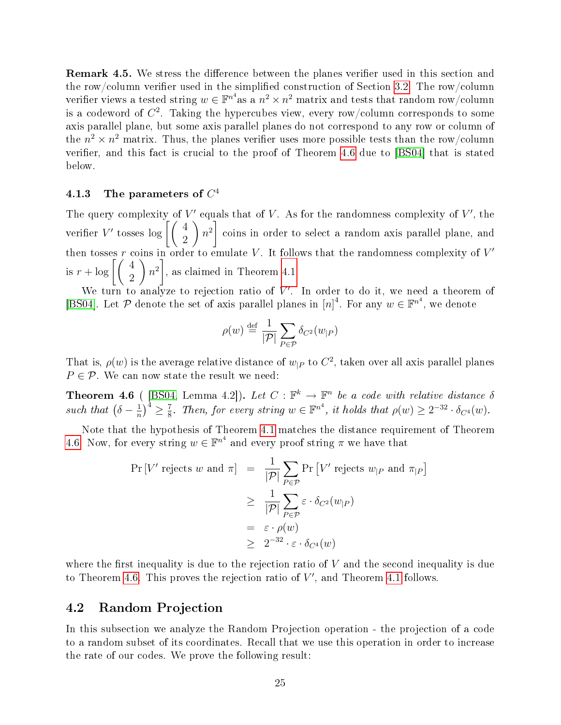**Remark 4.5.** We stress the difference between the planes verifier used in this section and the row/column verifier used in the simplified construction of Section [3.2.](#page-13-1) The row/column verifier views a tested string  $w\in{\mathbb F}^{n^4}$ as a  $n^2\times n^2$  matrix and tests that random row/column is a codeword of  $C^2$ . Taking the hypercubes view, every row/column corresponds to some axis parallel plane, but some axis parallel planes do not correspond to any row or column of the  $n^2 \times n^2$  matrix. Thus, the planes verifier uses more possible tests than the row/column verifier, and this fact is crucial to the proof of Theorem [4.6](#page-24-1) due to [\[BS04\]](#page-57-6) that is stated below.

## $4.1.3$  The parameters of  $C^4$

The query complexity of  $V'$  equals that of  $V$ . As for the randomness complexity of  $V'$ , the verifier  $V'$  tosses  $\log \left[ \left( \begin{array}{c} 4 \\ 2 \end{array} \right) \right]$  $\setminus$  $n^2$ coins in order to select a random axis parallel plane, and then tosses r coins in order to emulate V. It follows that the randomness complexity of  $V'$ is  $r + \log \left[ \left( \begin{array}{c} 4 \\ 2 \end{array} \right) \right]$  $\setminus$  $n^2$ , as claimed in Theorem [4.1.](#page-22-3)

We turn to analyze to rejection ratio of  $V'$ . In order to do it, we need a theorem of [\[BS04\]](#page-57-6). Let P denote the set of axis parallel planes in  $[n]^4$ . For any  $w \in \mathbb{F}^{n^4}$ , we denote

$$
\rho(w) \stackrel{\text{def}}{=} \frac{1}{|\mathcal{P}|} \sum_{P \in \mathcal{P}} \delta_{C^2}(w_{|P})
$$

That is,  $\rho(w)$  is the average relative distance of  $w_{|P}$  to  $C^2$ , taken over all axis parallel planes  $P \in \mathcal{P}$ . We can now state the result we need:

<span id="page-24-1"></span>**Theorem 4.6** ([\[BS04,](#page-57-6) Lemma 4.2]). Let  $C : \mathbb{F}^k \to \mathbb{F}^n$  be a code with relative distance  $\delta$ such that  $\left(\delta - \frac{1}{n}\right)$  $\frac{1}{n}\big)^4 \geq \frac{7}{8}$  $\frac{7}{8}$ . Then, for every string  $w \in \mathbb{F}^{n^4}$ , it holds that  $\rho(w) \geq 2^{-32} \cdot \delta_{C^4}(w)$ .

Note that the hypothesis of Theorem [4.1](#page-22-3) matches the distance requirement of Theorem [4.6.](#page-24-1) Now, for every string  $w \in \mathbb{F}^{n^4}$  and every proof string  $\pi$  we have that

$$
\Pr[V' \text{ rejects } w \text{ and } \pi] = \frac{1}{|\mathcal{P}|} \sum_{P \in \mathcal{P}} \Pr[V' \text{ rejects } w_{|P} \text{ and } \pi_{|P}]
$$
  
\n
$$
\geq \frac{1}{|\mathcal{P}|} \sum_{P \in \mathcal{P}} \varepsilon \cdot \delta_{C^2}(w_{|P})
$$
  
\n
$$
= \varepsilon \cdot \rho(w)
$$
  
\n
$$
\geq 2^{-32} \cdot \varepsilon \cdot \delta_{C^4}(w)
$$

where the first inequality is due to the rejection ratio of  $V$  and the second inequality is due to Theorem [4.6.](#page-24-1) This proves the rejection ratio of  $V'$ , and Theorem [4.1](#page-22-3) follows.

## <span id="page-24-0"></span>4.2 Random Projection

<span id="page-24-2"></span>In this subsection we analyze the Random Projection operation - the projection of a code to a random subset of its coordinates. Recall that we use this operation in order to increase the rate of our codes. We prove the following result: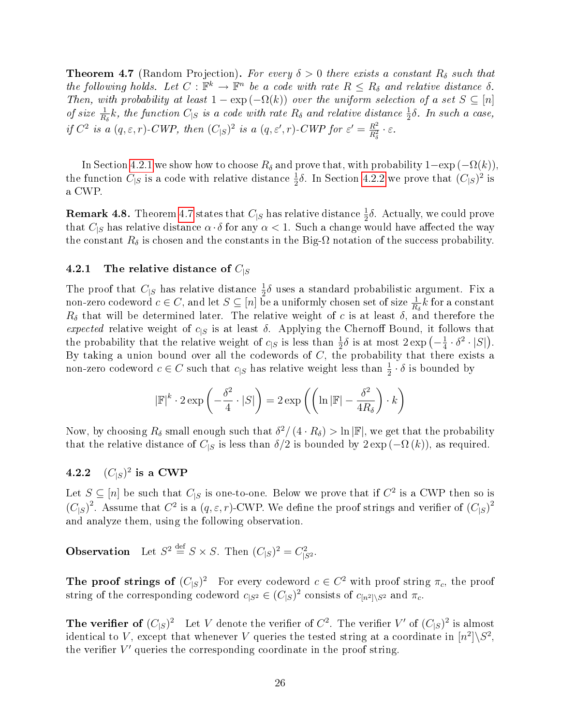**Theorem 4.7** (Random Projection). For every  $\delta > 0$  there exists a constant  $R_{\delta}$  such that the following holds. Let  $C : \mathbb{F}^k \to \mathbb{F}^n$  be a code with rate  $R \leq R_\delta$  and relative distance  $\delta$ . Then, with probability at least  $1 - \exp(-\Omega(k))$  over the uniform selection of a set  $S \subseteq [n]$ of size  $\frac{1}{R_{\delta}}k$ , the function  $C_{|S}$  is a code with rate  $R_{\delta}$  and relative distance  $\frac{1}{2}\delta$ . In such a case, if  $C^2$  is a  $(q, \varepsilon, r)$ -CWP, then  $(C_{|S})^2$  is a  $(q, \varepsilon', r)$ -CWP for  $\varepsilon' = \frac{R^2}{R^2}$  $rac{R^2}{R^2_\delta}\cdot\varepsilon.$ 

In Section [4.2.1](#page-25-0) we show how to choose  $R_{\delta}$  and prove that, with probability  $1-\exp(-\Omega(k))$ . the function  $C_{|S}$  is a code with relative distance  $\frac{1}{2}\delta$ . In Section [4.2.2](#page-25-1) we prove that  $(C_{|S})^2$  is a CWP.

 ${\bf Remark~4.8.}$  Theorem  $4.7$  states that  $C_{|S}$  has relative distance  $\frac{1}{2}\delta.$  Actually, we could prove that  $C_{|S}$  has relative distance  $\alpha \cdot \delta$  for any  $\alpha < 1$ . Such a change would have affected the way the constant  $R_{\delta}$  is chosen and the constants in the Big- $\Omega$  notation of the success probability.

#### <span id="page-25-0"></span>4.2.1 The relative distance of  $C_{|S}$

The proof that  $C_{|S}$  has relative distance  $\frac{1}{2}\delta$  uses a standard probabilistic argument. Fix a non-zero codeword  $c \in C$ , and let  $S \subseteq [n]$  be a uniformly chosen set of size  $\frac{1}{R_{\delta}}k$  for a constant  $R_{\delta}$  that will be determined later. The relative weight of c is at least  $\delta$ , and therefore the expected relative weight of  $c_{|S}$  is at least  $\delta$ . Applying the Chernoff Bound, it follows that the probability that the relative weight of  $c_{|S}$  is less than  $\frac{1}{2}\delta$  is at most  $2 \exp\left(-\frac{1}{4}\right)$  $\frac{1}{4} \cdot \delta^2 \cdot |S|$ . By taking a union bound over all the codewords of  $C$ , the probability that there exists a non-zero codeword  $c \in C$  such that  $c_{|S}$  has relative weight less than  $\frac{1}{2} \cdot \delta$  is bounded by

$$
|\mathbb{F}|^{k} \cdot 2 \exp\left(-\frac{\delta^{2}}{4} \cdot |S|\right) = 2 \exp\left(\left(\ln|\mathbb{F}| - \frac{\delta^{2}}{4R_{\delta}}\right) \cdot k\right)
$$

Now, by choosing  $R_\delta$  small enough such that  $\delta^2/$   $(4\cdot R_\delta) > \ln|\mathbb{F}|$ , we get that the probability that the relative distance of  $C_{|S}$  is less than  $\delta/2$  is bounded by  $2 \exp(-\Omega(k))$ , as required.

## <span id="page-25-1"></span>4.2.2  $(C_{|S})^2$  is a CWP

Let  $S \subseteq [n]$  be such that  $C_{|S}$  is one-to-one. Below we prove that if  $C^2$  is a CWP then so is  $(C_{|S})^2$ . Assume that  $C^2$  is a  $(q, \varepsilon, r)$ -CWP. We define the proof strings and verifier of  $(C_{|S})^2$ and analyze them, using the following observation.

# **Observation** Let  $S^2 \stackrel{\text{def}}{=} S \times S$ . Then  $(C_{|S})^2 = C_{|S^2}^2$ .

The proof strings of  $(C_{|S})^2$  For every codeword  $c \in C^2$  with proof string  $\pi_c$ , the proof string of the corresponding codeword  $c_{|S^2} \in (C_{|S})^2$  consists of  $c_{|n^2| \setminus S^2}$  and  $\pi_c$ .

**The verifier of**  $(C_{|S})^2$  Let V denote the verifier of  $C^2$ . The verifier V' of  $(C_{|S})^2$  is almost identical to V, except that whenever V queries the tested string at a coordinate in  $[n^2]\backslash S^2,$ the verifier  $V'$  queries the corresponding coordinate in the proof string.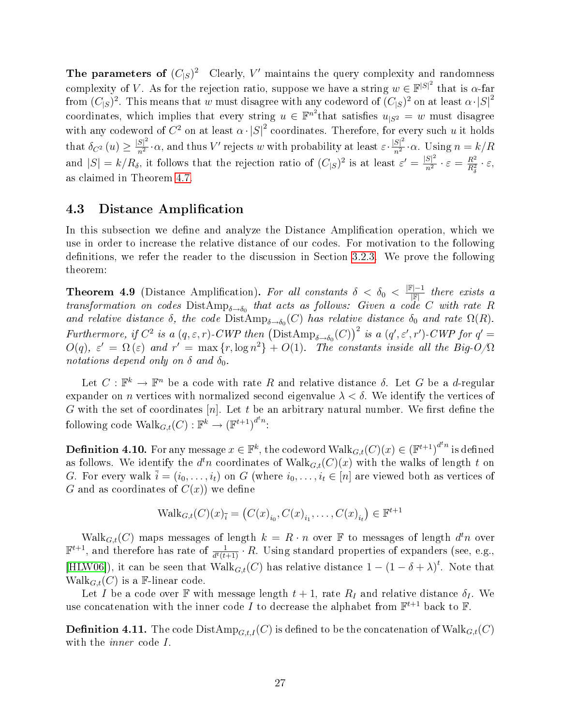The parameters of  $(C_{|S})^2$  Clearly, V' maintains the query complexity and randomness complexity of V. As for the rejection ratio, suppose we have a string  $w \in \mathbb{F}^{|S|^2}$  that is  $\alpha$ -far from  $(C_{|S})^2$ . This means that w must disagree with any codeword of  $(C_{|S})^2$  on at least  $\alpha \cdot |S|^2$ coordinates, which implies that every string  $u \in \mathbb{F}^{n^2}$  that satisfies  $u_{|S^2} = w$  must disagree with any codeword of  $C^2$  on at least  $\alpha \cdot |S|^2$  coordinates. Therefore, for every such u it holds that  $\delta_{C^2}(u) \geq \frac{|S|^2}{n^2}$  $\frac{|S|^2}{n^2} \cdot \alpha$ , and thus V' rejects w with probability at least  $\varepsilon \cdot \frac{|S|^2}{n^2}$  $\frac{s_1}{n^2} \cdot \alpha$ . Using  $n = k/R$ and  $|S| = k/R_\delta$ , it follows that the rejection ratio of  $(C|S)^2$  is at least  $\varepsilon' = \frac{|S|^2}{n^2}$  $\frac{S|^2}{n^2}\cdot\varepsilon=\frac{R^2}{R_s^2}$  $rac{R^2}{R^2_{\delta}}\cdot\varepsilon,$ as claimed in Theorem [4.7.](#page-24-2)

#### <span id="page-26-1"></span>4.3 Distance Amplification

In this subsection we define and analyze the Distance Amplification operation, which we use in order to increase the relative distance of our codes. For motivation to the following definitions, we refer the reader to the discussion in Section [3.2.3.](#page-16-0) We prove the following theorem:

<span id="page-26-0"></span>**Theorem 4.9** (Distance Amplification). For all constants  $\delta < \delta_0 < \frac{|\mathbb{F}| - 1}{|\mathbb{F}|}$  $\frac{f|-1}{\mathbb{F}}$  there exists a transformation on codes  $DistAmp_{\delta\to\delta_0}$  that acts as follows: Given a code C with rate R and relative distance  $\delta$ , the code Dist $\text{Amp}_{\delta \to \delta_0}(C)$  has relative distance  $\delta_0$  and rate  $\Omega(R)$ . Furthermore, if  $C^2$  is a  $(q, \varepsilon, r)$ -CWP then  $(DistAmp_{\delta \to \delta_0}(C))^2$  is a  $(q', \varepsilon', r')$ -CWP for  $q' =$  $O(q)$ ,  $\varepsilon' = \Omega(\varepsilon)$  and  $r' = \max\{r, \log n^2\} + O(1)$ . The constants inside all the Big-O/ $\Omega$ notations depend only on  $\delta$  and  $\delta_0$ .

Let  $C: \mathbb{F}^k \to \mathbb{F}^n$  be a code with rate R and relative distance  $\delta$ . Let G be a d-regular expander on *n* vertices with normalized second eigenvalue  $\lambda < \delta$ . We identify the vertices of G with the set of coordinates [n]. Let t be an arbitrary natural number. We first define the following code  $\text{Walk}_{G,t}(C) : \mathbb{F}^k \to (\mathbb{F}^{t+1})^{d^tn}$ :

**Definition 4.10.** For any message  $x \in \mathbb{F}^k$ , the codeword  $\mathrm{Walk}_{G,t}(C)(x) \in \left(\mathbb{F}^{t+1}\right)^{d^{t}n}$  is defined as follows. We identify the  $d^tn$  coordinates of  $\text{Walk}_{G,t}(C)(x)$  with the walks of length t on G. For every walk  $\bar{i} = (i_0, \ldots, i_t)$  on G (where  $i_0, \ldots, i_t \in [n]$  are viewed both as vertices of G and as coordinates of  $C(x)$  we define

$$
Walk_{G,t}(C)(x)_{\bar{i}} = (C(x)_{i_0}, C(x)_{i_1}, \dots, C(x)_{i_t}) \in \mathbb{F}^{t+1}
$$

Walk<sub>G,t</sub>(C) maps messages of length  $k = R \cdot n$  over **F** to messages of length  $d<sup>t</sup>n$  over  $\mathbb{F}^{t+1}$ , and therefore has rate of  $\frac{1}{d^{t}(t+1)} \cdot R$ . Using standard properties of expanders (see, e.g., [\[HLW06\]](#page-58-8)), it can be seen that  $\text{Walk}_{G,t}(C)$  has relative distance  $1 - (1 - \delta + \lambda)^t$ . Note that  $Walk_{G,t}(C)$  is a F-linear code.

Let I be a code over F with message length  $t + 1$ , rate  $R_I$  and relative distance  $\delta_I$ . We use concatenation with the inner code  $I$  to decrease the alphabet from  $\mathbb{F}^{t+1}$  back to  $\mathbb{F}.$ 

**Definition 4.11.** The code DistAmp<sub>G,t,I</sub> $(C)$  is defined to be the concatenation of Walk<sub>G,t</sub> $(C)$ with the *inner* code I.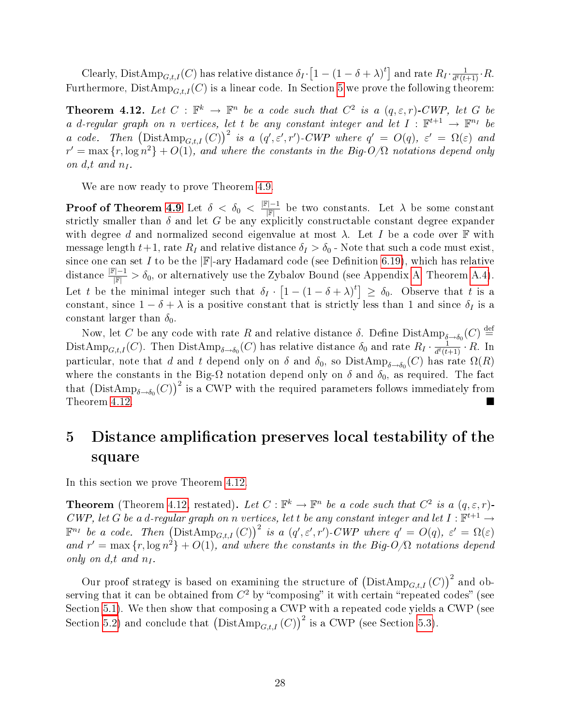Clearly, Dist $\text{Amp}_{G,t,I}(C)$  has relative distance  $\delta_I \cdot \left[1 - (1 - \delta + \lambda)^t\right]$  and rate  $R_I \cdot \frac{1}{d^t(t+1)}$  $\frac{1}{d^t(t+1)}$ . Furthermore,  $\text{DistAmp}_{G,t,I}(C)$  is a linear code. In Section [5](#page-27-0) we prove the following theorem: Clearly, Dist $\text{Amp}_{G,t,I}(C)$  has relative distance  $\delta_I \cdot [1 - (1 - \delta + \lambda)^t]$  and rate  $R_I \cdot \frac{1}{d^t(t+1)} \cdot R$ .<br>Furthermore, Dist $\text{Amp}_{G,t,I}(C)$  is a linear code. In Section 5 we prove the following theorem:<br>**Theorem 4.12.** Let  $C$ 

<span id="page-27-1"></span>a d-regular graph on n vertices, let t be any constant integer and let  $I : \mathbb{F}^{t+1} \to \mathbb{F}^{n_I}$  be a code. Then  $\left(\text{DistAmp}_{G,t,I}(C)\right)^2$  is a  $(q', \varepsilon', r')$ -CWP where  $q' = O(q)$ ,  $\varepsilon' = \Omega(\varepsilon)$  and  $r' = \max\{r, \log n^2\} + O(1)$ , and where the constants in the Big-O/ $\Omega$  notations depend only on  $d,t$  and  $n_I$ .

We are now ready to prove Theorem [4.9.](#page-26-0)

Proof of Theorem [4.9](#page-26-0) Let  $\delta\,<\,\delta_0\,<\,\frac{|{\mathbb F}|-1}{|{\mathbb F}|}$  $\frac{q-1}{\mathbb{F}}$  be two constants. Let  $\lambda$  be some constant strictly smaller than  $\delta$  and let G be any explicitly constructable constant degree expander with degree d and normalized second eigenvalue at most  $\lambda$ . Let I be a code over F with message length  $t+1$ , rate  $R_I$  and relative distance  $\delta_I > \delta_0$  - Note that such a code must exist, since one can set I to be the  $|\mathbb{F}|$ -ary Hadamard code (see Definition [6.19\)](#page-45-0), which has relative distance  $\frac{F|-1}{F|} > \delta_0$ , or alternatively use the Zybalov Bound (see Appendix [A,](#page-58-9) Theorem [A.4\)](#page-60-0). Let t be the minimal integer such that  $\delta_I \cdot [1 - (1 - \delta + \lambda)^t] \geq \delta_0$ . Observe that t is a constant, since  $1 - \delta + \lambda$  is a positive constant that is strictly less than 1 and since  $\delta_I$  is a constant larger than  $\delta_0$ .

Now, let C be any code with rate R and relative distance  $\delta$ . Define Dist $\text{Amp}_{\delta\to\delta_0}(C)\stackrel{\text{def}}{=}$ DistAmp<sub>G,t,I</sub>(C). Then DistAmp<sub> $\delta \to \delta_0$ </sub> (C) has relative distance  $\delta_0$  and rate  $R_I \cdot \frac{1}{d^t(t+1)}$  $\frac{1}{d^t(t+1)} \cdot R$ . In particular, note that  $d$  and  $t$  depend only on  $\delta$  and  $\delta_0$ , so  $\text{DistAmp}_{\delta \to \delta_0}(C)$  has rate  $\Omega(R)$ where the constants in the Big- $\Omega$  notation depend only on  $\delta$  and  $\delta_0$ , as required. The fact that  $\left(\text{DistAmp}_{\delta \to \delta_0}(C)\right)^2$  is a CWP with the required parameters follows immediately from Theorem [4.12.](#page-27-1)

# <span id="page-27-0"></span>5 Distance amplication preserves local testability of the square

In this section we prove Theorem [4.12.](#page-27-1)

In this section we prove Theorem 4.12.<br> **Theorem** (Theorem [4.12,](#page-27-1) restated). Let  $C : \mathbb{F}^k \to \mathbb{F}^n$  be a code such that  $C^2$  is a  $(q, \varepsilon, r)$ . CWP, let G be a d-regular graph on n vertices, let t be any constant integer and let  $I: \mathbb{F}^{t+1} \rightarrow$  $\mathbb{F}^{n_I}$  be a code. Then  $(DistAmp_{G,t,I}(C))^2$  is a  $(q', \varepsilon', r')$ -CWP where  $q' = O(q)$ ,  $\varepsilon' = \Omega(\varepsilon)$ and  $r' = \max \{r, \log n^2\} + O(1)$ , and where the constants in the Big-O/ $\Omega$  notations depend only on  $d,t$  and  $n_I$ .

Our proof strategy is based on examining the structure of  $\left(\text{DistAmp}_{G,t,I}(C)\right)^2$  and observing that it can be obtained from  $C^2$  by "composing" it with certain "repeated codes" (see Section [5.1\)](#page-28-0). We then show that composing a CWP with a repeated code yields a CWP (see Section [5.2\)](#page-30-0) and conclude that  $(DistAmp_{G,t,I}(C))^2$  is a CWP (see Section [5.3\)](#page-34-0).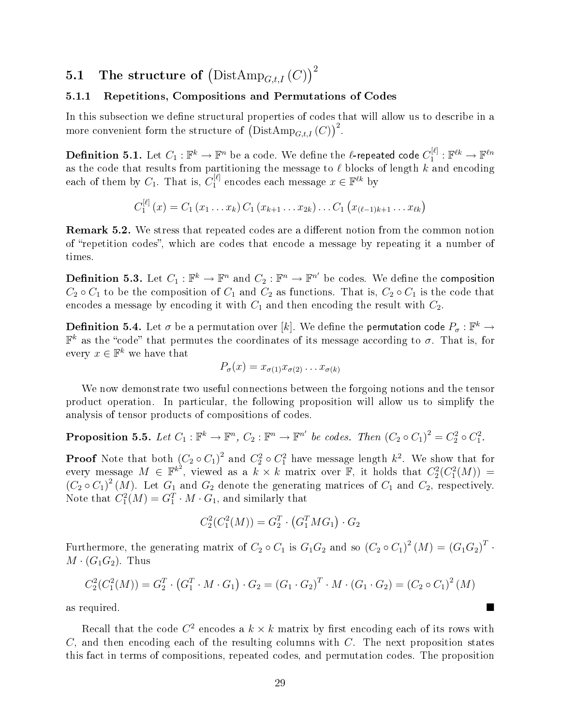# <span id="page-28-0"></span> ${\bf 5.1}\quad \textbf{The structure of }\left(\text{DistAmp}_{G,t,I}\left(C\right)\right)^2$

#### 5.1.1 Repetitions, Compositions and Permutations of Codes

In this subsection we define structural properties of codes that will allow us to describe in a more convenient form the structure of  $\left( \mathrm{DistAmp}_{G,t,I}\left( C \right) \right)^2$ .

 ${\bf Definition \ 5.1.} \ \operatorname{Let} \, C_1: \mathbb{F}^k \rightarrow \mathbb{F}^n$  be a code. We define the  $\ell$ -repeated code  $C_1^{[\ell]}$  $\mathbb{F}^{\ell k} : \mathbb{F}^{\ell k} \to \mathbb{F}^{\ell n}$ as the code that results from partitioning the message to  $\ell$  blocks of length  $k$  and encoding each of them by  $C_1$ . That is,  $C_1^{[\ell]}$  $i^{[\ell]}_1$  encodes each message  $x \in \mathbb{F}^{\ell k}$  by

$$
C_1^{[\ell]}(x) = C_1(x_1 \ldots x_k) C_1(x_{k+1} \ldots x_{2k}) \ldots C_1(x_{(\ell-1)k+1} \ldots x_{\ell k})
$$

**Remark 5.2.** We stress that repeated codes are a different notion from the common notion of "repetition codes", which are codes that encode a message by repeating it a number of times.

**Definition 5.3.** Let  $C_1: \mathbb{F}^k \to \mathbb{F}^n$  and  $C_2: \mathbb{F}^n \to \mathbb{F}^{n'}$  be codes. We define the composition  $C_2 \circ C_1$  to be the composition of  $C_1$  and  $C_2$  as functions. That is,  $C_2 \circ C_1$  is the code that encodes a message by encoding it with  $C_1$  and then encoding the result with  $C_2$ .

 ${\bf Definition \ 5.4.}$  Let  $\sigma$  be a permutation over [ $k$ ]. We define the permutation code  $P_{\sigma} : \mathbb{F}^k \to$  $\mathbb{F}^k$  as the "code" that permutes the coordinates of its message according to  $\sigma$ . That is, for every  $x \in \mathbb{F}^k$  we have that

$$
P_{\sigma}(x) = x_{\sigma(1)} x_{\sigma(2)} \dots x_{\sigma(k)}
$$

We now demonstrate two useful connections between the forgoing notions and the tensor product operation. In particular, the following proposition will allow us to simplify the analysis of tensor products of compositions of codes.

<span id="page-28-1"></span>**Proposition 5.5.** Let  $C_1: \mathbb{F}^k \to \mathbb{F}^n$ ,  $C_2: \mathbb{F}^n \to \mathbb{F}^{n'}$  be codes. Then  $(C_2 \circ C_1)^2 = C_2^2 \circ C_1^2$ .

**Proof** Note that both  $(C_2 \circ C_1)^2$  and  $C_2^2 \circ C_1^2$  have message length  $k^2$ . We show that for every message  $M \in \mathbb{F}^{k^2}$ , viewed as a  $k \times k$  matrix over  $\mathbb{F}$ , it holds that  $C_2^2(C_1^2(M))$  =  $(C_2 \circ C_1)^2(M)$ . Let  $G_1$  and  $G_2$  denote the generating matrices of  $C_1$  and  $C_2$ , respectively. Note that  $C_1^2(M) = G_1^T \cdot M \cdot G_1$ , and similarly that

$$
C_2^2(C_1^2(M)) = G_2^T \cdot (G_1^T M G_1) \cdot G_2
$$

Furthermore, the generating matrix of  $C_2 \circ C_1$  is  $G_1G_2$  and so  $\left(C_2 \circ C_1\right)^2(M) = \left(G_1G_2\right)^T\cdot$  $M \cdot (G_1G_2)$ . Thus

$$
C_2^2(C_1^2(M)) = G_2^T \cdot (G_1^T \cdot M \cdot G_1) \cdot G_2 = (G_1 \cdot G_2)^T \cdot M \cdot (G_1 \cdot G_2) = (C_2 \circ C_1)^2 (M)
$$

as required.

Recall that the code  $C^2$  encodes a  $k \times k$  matrix by first encoding each of its rows with  $C$ , and then encoding each of the resulting columns with  $C$ . The next proposition states this fact in terms of compositions, repeated codes, and permutation codes. The proposition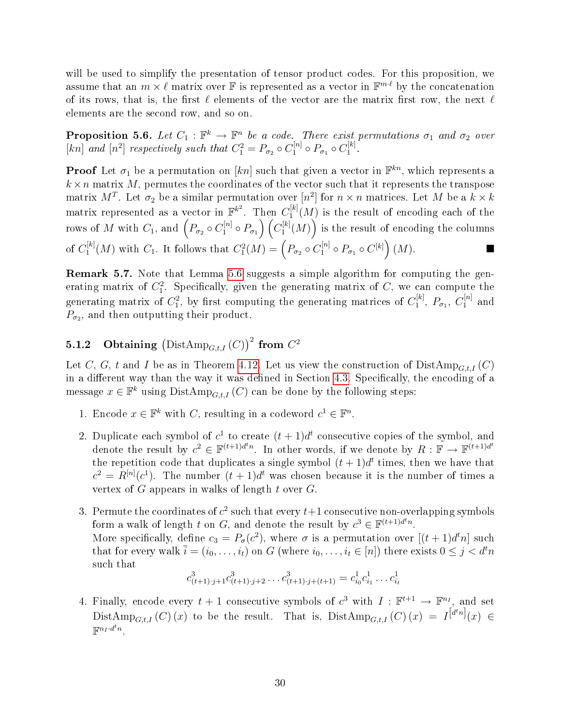will be used to simplify the presentation of tensor product codes. For this proposition, we assume that an  $m \times \ell$  matrix over  $\mathbb F$  is represented as a vector in  $\mathbb F^{m \cdot \ell}$  by the concatenation of its rows, that is, the first  $\ell$  elements of the vector are the matrix first row, the next  $\ell$ elements are the second row, and so on.

<span id="page-29-0"></span>**Proposition 5.6.** Let  $C_1$  :  $\mathbb{F}^k \to \mathbb{F}^n$  be a code. There exist permutations  $\sigma_1$  and  $\sigma_2$  over [kn] and  $[n^2]$  respectively such that  $C_1^2 = P_{\sigma_2} \circ C_1^{[n]} \circ P_{\sigma_1} \circ C_1^{[k]}$  $1^{\lfloor \kappa \rfloor}$  .

**Proof** Let  $\sigma_1$  be a permutation on  $[kn]$  such that given a vector in  $\mathbb{F}^{kn}$ , which represents a  $k \times n$  matrix M, permutes the coordinates of the vector such that it represents the transpose matrix  $M^T$ . Let  $\sigma_2$  be a similar permutation over  $[n^2]$  for  $n \times n$  matrices. Let  $M$  be a  $k \times k$ matrix represented as a vector in  $\mathbb{F}^{k^2}$ . Then  $C_1^{[k]}$  $\mathbb{1}^{\mathfrak{l}[\mathcal{K}]}(M)$  is the result of encoding each of the rows of  $M$  with  $C_1$ , and  $\left(P_{\sigma_2} \circ C_1^{[n]} \circ P_{\sigma_1}\right)\left(C_1^{[k]}\right)$  $\mathcal{O}^{[k]}_1(M) \Big)$  is the result of encoding the columns of  $C_1^{[k]}$  $I_1^{[k]}(M)$  with  $C_1$ . It follows that  $C_1^2(M) = (P_{\sigma_2} \circ C_1^{[n]} \circ P_{\sigma_1} \circ C^{[k]}) (M)$ .

<span id="page-29-1"></span>Remark 5.7. Note that Lemma [5.6](#page-29-0) suggests a simple algorithm for computing the generating matrix of  $C_1^2$ . Specifically, given the generating matrix of C, we can compute the generating matrix of  $C_1^2$ , by first computing the generating matrices of  $C_1^{[k]}$  $I_1^{[k]},\ P_{\sigma_1},\ C_1^{[n]}$  $j_1^{[n]}$  and  $P_{\sigma_2}$ , and then outputting their product.

# $\textbf{5.1.2} \quad \textbf{Obtaining } \left( \text{DistAmp}_{G,t,I}\left(C\right) \right)^2 \textbf{ from } C^2$

Let C, G, t and I be as in Theorem [4.12.](#page-27-1) Let us view the construction of  $\text{DistAmp}_{G,t,I}(C)$ in a different way than the way it was defined in Section [4.3.](#page-26-1) Specifically, the encoding of a message  $x \in \mathbb{F}^k$  using  $\text{DistAmp}_{G,t,I}(C)$  can be done by the following steps:

- 1. Encode  $x \in \mathbb{F}^k$  with C, resulting in a codeword  $c^1 \in \mathbb{F}^n$ .
- 2. Duplicate each symbol of  $c^1$  to create  $(t+1)d^t$  consecutive copies of the symbol, and denote the result by  $c^2 \in \mathbb{F}^{(t+1)d^tn}$ . In other words, if we denote by  $R: \mathbb{F} \to \mathbb{F}^{(t+1)d^t}$ the repetition code that duplicates a single symbol  $(t+1)d^t$  times, then we have that  $c^2 = R^{[n]}(c^1)$ . The number  $(t+1)d^t$  was chosen because it is the number of times a vertex of  $G$  appears in walks of length  $t$  over  $G$ .
- 3. Permute the coordinates of  $c^2$  such that every  $t\!+\!1$  consecutive non-overlapping symbols form a walk of length t on G, and denote the result by  $c^3 \in \mathbb{F}^{(t+1)d^{t_n}}$ . More specifically, define  $c_3 = P_\sigma(c^2)$ , where  $\sigma$  is a permutation over  $[(t+1)d^tn]$  such that for every walk  $\bar{i} = (i_0, \ldots, i_t)$  on G (where  $i_0, \ldots, i_t \in [n]$ ) there exists  $0 \leq j < d^t n$ such that

$$
c_{(t+1)\cdot j+1}^3 c_{(t+1)\cdot j+2}^3 \dots c_{(t+1)\cdot j+(t+1)}^3 = c_{i_0}^1 c_{i_1}^1 \dots c_{i_t}^1
$$

4. Finally, encode every  $t+1$  consecutive symbols of  $c^3$  with  $I: \mathbb{F}^{t+1} \to \mathbb{F}^{n_I}$ , and set  $\text{DistAmp}_{G,t,I}(C)(x)$  to be the result. That is,  $\text{DistAmp}_{G,t,I}(C)(x) = I^{[d^{t_n}]}(x) \in$  $\mathbb{F}^{n_I \cdot d^{t_n}}$ .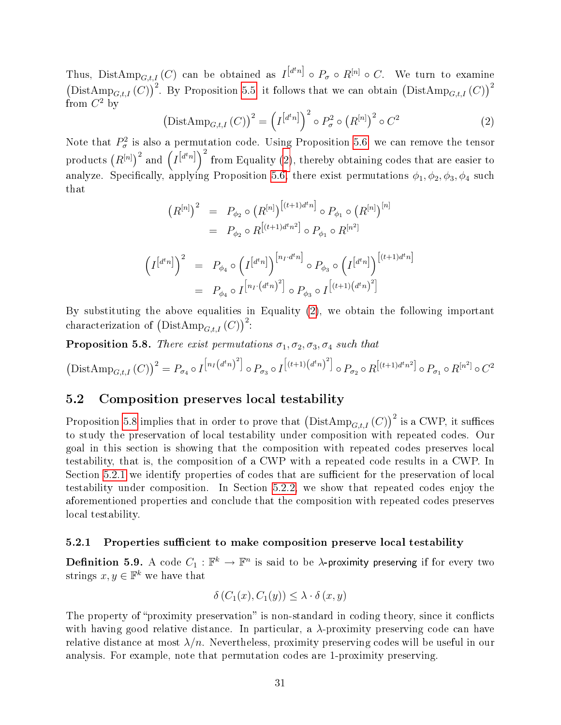Thus, Dist $\text{Amp}_{G,t,I}(C)$  can be obtained as  $I^{[d^{t_n}]} \circ P_\sigma \circ R^{[n]} \circ C$ . We turn to examine  $(\text{DistAmp}_{G,t,I}(C))^2$ . By Proposition [5.5,](#page-28-1) it follows that we can obtain  $(\text{DistAmp}_{G,t,I}(C))^2$ from  $C^2$  by

<span id="page-30-1"></span>
$$
\left(\text{DistAmp}_{G,t,I}(C)\right)^2 = \left(I^{\left[d^t n\right]}\right)^2 \circ P_\sigma^2 \circ \left(R^{[n]}\right)^2 \circ C^2 \tag{2}
$$

Note that  $P^2_{\sigma}$  is also a permutation code. Using Proposition [5.6,](#page-29-0) we can remove the tensor products  $(R^{[n]})^2$  and  $(I^{[d^t n]})^2$  from Equality [\(2\)](#page-30-1), thereby obtaining codes that are easier to analyze. Specifically, applying Proposition [5.6,](#page-29-0) there exist permutations  $\phi_1, \phi_2, \phi_3, \phi_4$  such that

$$
(R^{[n]})^2 = P_{\phi_2} \circ (R^{[n]})^{[(t+1)d^t n]} \circ P_{\phi_1} \circ (R^{[n]})^{[n]}
$$
  
\n
$$
= P_{\phi_2} \circ R^{[(t+1)d^t n^2]} \circ P_{\phi_1} \circ R^{[n^2]}
$$
  
\n
$$
(I^{[d^t n]})^2 = P_{\phi_4} \circ (I^{[d^t n]})^{[n_I \cdot d^t n]} \circ P_{\phi_3} \circ (I^{[d^t n]})^{[(t+1)d^t n]}
$$
  
\n
$$
= P_{\phi_4} \circ I^{[n_I \cdot (d^t n)^2]} \circ P_{\phi_3} \circ I^{[(t+1)(d^t n)^2]}
$$

By substituting the above equalities in Equality [\(2\)](#page-30-1), we obtain the following important characterization of  $\left(\text{DistAmp}_{G,t,I}(C)\right)^2$ :

<span id="page-30-2"></span>**Proposition 5.8.** There exist permutations  $\sigma_1, \sigma_2, \sigma_3, \sigma_4$  such that

 $\left(\text{DistAmp}_{G,t,I}(C)\right)^2 = P_{\sigma_4} \circ I^{\left[n_I\left(d^t n\right)^2\right]} \circ P_{\sigma_3} \circ I^{\left[(t+1)\left(d^t n\right)^2\right]} \circ P_{\sigma_2} \circ R^{\left[(t+1)d^t n^2\right]} \circ P_{\sigma_1} \circ R^{\left[n^2\right]} \circ C^2$ 

## <span id="page-30-0"></span>5.2 Composition preserves local testability

Proposition [5.8](#page-30-2) implies that in order to prove that  $\left( \mathrm{DistAmp}_{G,t,I}\left( C \right) \right)^2$  is a CWP, it suffices to study the preservation of local testability under composition with repeated codes. Our goal in this section is showing that the composition with repeated codes preserves local testability, that is, the composition of a CWP with a repeated code results in a CWP. In Section [5.2.1](#page-30-3) we identify properties of codes that are sufficient for the preservation of local testability under composition. In Section [5.2.2,](#page-33-0) we show that repeated codes enjoy the aforementioned properties and conclude that the composition with repeated codes preserves local testability.

#### <span id="page-30-3"></span>5.2.1 Properties sufficient to make composition preserve local testability

**Definition 5.9.** A code  $C_1$  :  $\mathbb{F}^k \to \mathbb{F}^n$  is said to be  $\lambda$ -proximity preserving if for every two strings  $x, y \in \mathbb{F}^k$  we have that

$$
\delta(C_1(x), C_1(y)) \leq \lambda \cdot \delta(x, y)
$$

The property of "proximity preservation" is non-standard in coding theory, since it conflicts with having good relative distance. In particular, a  $\lambda$ -proximity preserving code can have relative distance at most  $\lambda/n$ . Nevertheless, proximity preserving codes will be useful in our analysis. For example, note that permutation codes are 1-proximity preserving.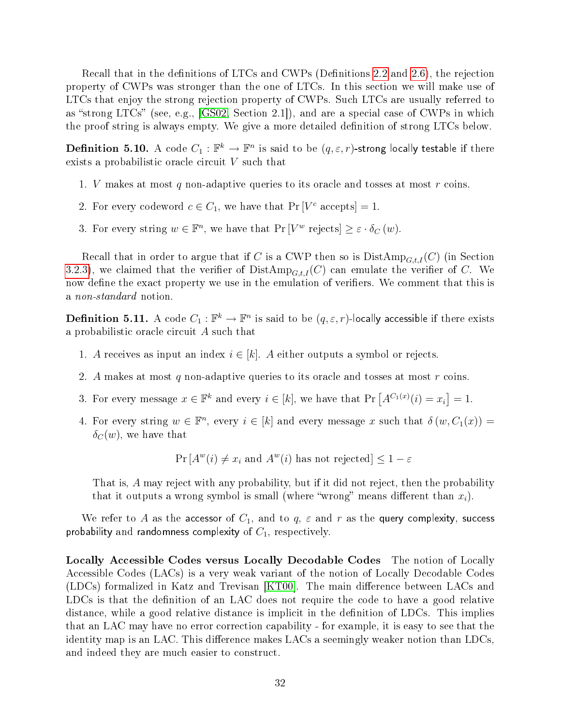Recall that in the definitions of LTCs and CWPs (Definitions [2.2](#page-8-1) and [2.6\)](#page-9-1), the rejection property of CWPs was stronger than the one of LTCs. In this section we will make use of LTCs that enjoy the strong rejection property of CWPs. Such LTCs are usually referred to as "strong LTCs" (see, e.g.,  $|GS02|$ , Section 2.1), and are a special case of CWPs in which the proof string is always empty. We give a more detailed definition of strong LTCs below.

<span id="page-31-0"></span> $\bf{Definition\ \ 5.10.\ \ }$   $\rm{A\ code}\ \ C_1:\mathbb{F}^k\rightarrow\mathbb{F}^n$  is said to be  $(q,\varepsilon,r)$ -strong locally testable if there exists a probabilistic oracle circuit V such that

- 1. V makes at most q non-adaptive queries to its oracle and tosses at most r coins.
- 2. For every codeword  $c \in C_1$ , we have that  $Pr[V^c \text{ accepts}] = 1$ .
- 3. For every string  $w \in \mathbb{F}^n$ , we have that  $Pr[V^w \text{ rejects}] \geq \varepsilon \cdot \delta_C(w)$ .

Recall that in order to argue that if C is a CWP then so is  $\text{DistAmp}_{G,t,I}(C)$  (in Section [3.2.3\)](#page-16-0), we claimed that the verifier of  $DistAmp_{G,t,I}(C)$  can emulate the verifier of C. We now define the exact property we use in the emulation of verifiers. We comment that this is a non-standard notion.

**Definition 5.11.** A code  $C_1 : \mathbb{F}^k \to \mathbb{F}^n$  is said to be  $(q, \varepsilon, r)$ -locally accessible if there exists a probabilistic oracle circuit A such that

- 1. A receives as input an index  $i \in [k]$ . A either outputs a symbol or rejects.
- 2. A makes at most  $q$  non-adaptive queries to its oracle and tosses at most  $r$  coins.
- 3. For every message  $x \in \mathbb{F}^k$  and every  $i \in [k]$ , we have that  $\Pr\left[A^{C_1(x)}(i) = x_i\right] = 1$ .
- 4. For every string  $w \in \mathbb{F}^n$ , every  $i \in [k]$  and every message x such that  $\delta(w, C_1(x)) =$  $\delta_C(w)$ , we have that

 $Pr[A^w(i) \neq x_i \text{ and } A^w(i) \text{ has not rejected}] \leq 1 - \varepsilon$ 

That is, A may reject with any probability, but if it did not reject, then the probability that it outputs a wrong symbol is small (where "wrong" means different than  $x_i$ ).

We refer to A as the accessor of  $C_1$ , and to  $q, \varepsilon$  and r as the query complexity, success probability and randomness complexity of  $C_1$ , respectively.

Locally Accessible Codes versus Locally Decodable Codes The notion of Locally Accessible Codes (LACs) is a very weak variant of the notion of Locally Decodable Codes (LDCs) formalized in Katz and Trevisan |KT00|. The main difference between LACs and LDCs is that the definition of an LAC does not require the code to have a good relative distance, while a good relative distance is implicit in the definition of LDCs. This implies that an LAC may have no error correction capability - for example, it is easy to see that the identity map is an LAC. This difference makes LACs a seemingly weaker notion than LDCs, and indeed they are much easier to construct.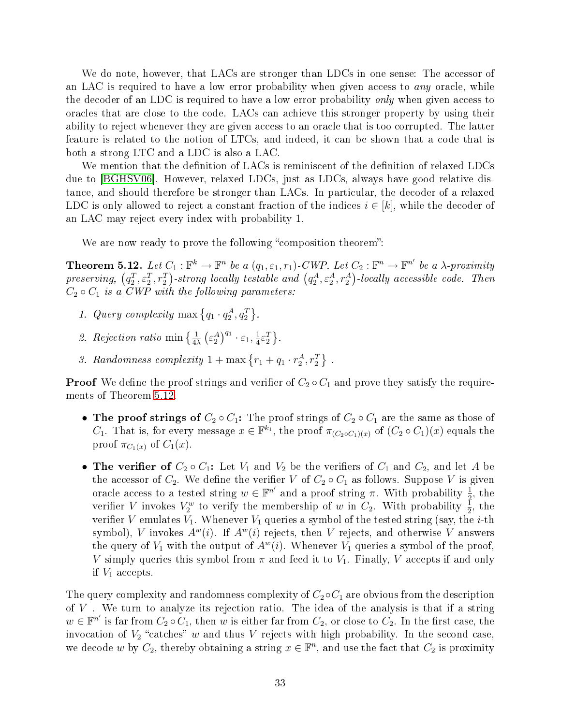We do note, however, that LACs are stronger than LDCs in one sense: The accessor of an LAC is required to have a low error probability when given access to any oracle, while the decoder of an LDC is required to have a low error probability *only* when given access to oracles that are close to the code. LACs can achieve this stronger property by using their ability to reject whenever they are given access to an oracle that is too corrupted. The latter feature is related to the notion of LTCs, and indeed, it can be shown that a code that is both a strong LTC and a LDC is also a LAC.

We mention that the definition of LACs is reminiscent of the definition of relaxed LDCs due to [\[BGHSV06\]](#page-57-1). However, relaxed LDCs, just as LDCs, always have good relative distance, and should therefore be stronger than LACs. In particular, the decoder of a relaxed LDC is only allowed to reject a constant fraction of the indices  $i \in [k]$ , while the decoder of an LAC may reject every index with probability 1.

We are now ready to prove the following "composition theorem":

<span id="page-32-0"></span>**Theorem 5.12.** Let  $C_1 : \mathbb{F}^k \to \mathbb{F}^n$  be a  $(q_1, \varepsilon_1, r_1)$ -CWP. Let  $C_2 : \mathbb{F}^n \to \mathbb{F}^{n'}$  be a  $\lambda$ -proximity  $preserving, \,\, \left(q_2^T, \varepsilon_2^T, r_2^T\right)$ -strong locally testable and  $\left(q_2^A, \varepsilon_2^A, r_2^A\right)$ -locally accessible code. Then  $C_2 \circ C_1$  is a CWP with the following parameters:

- 1. Query complexity max  $\{q_1 \cdot q_2^A, q_2^T\}$ .
- 2. Rejection ratio min  $\left\{\frac{1}{4\lambda} \left(\varepsilon_2^A\right)^{q_1} \cdot \varepsilon_1, \frac{1}{4}\right\}$  $\frac{1}{4} \varepsilon_2^T$ .
- 3. Randomness complexity  $1 + \max\{r_1 + q_1 \cdot r_2^A, r_2^T\}$ .

**Proof** We define the proof strings and verifier of  $C_2 \circ C_1$  and prove they satisfy the requirements of Theorem [5.12.](#page-32-0)

- The proof strings of  $C_2 \circ C_1$ : The proof strings of  $C_2 \circ C_1$  are the same as those of  $C_1$ . That is, for every message  $x \in \mathbb{F}^{k_1}$ , the proof  $\pi_{(C_2 \circ C_1)(x)}$  of  $(C_2 \circ C_1)(x)$  equals the proof  $\pi_{C_1(x)}$  of  $C_1(x)$ .
- The verifier of  $C_2 \circ C_1$ : Let  $V_1$  and  $V_2$  be the verifiers of  $C_1$  and  $C_2$ , and let A be the accessor of  $C_2$ . We define the verifier V of  $C_2 \circ C_1$  as follows. Suppose V is given oracle access to a tested string  $w \in \mathbb{F}^{n'}$  and a proof string  $\pi$ . With probability  $\frac{1}{2}$ , the verifier V invokes  $V_2^w$  to verify the membership of w in  $C_2$ . With probability  $\frac{1}{2}$ , the verifier V emulates  $V_1$ . Whenever  $V_1$  queries a symbol of the tested string (say, the *i*-th symbol), V invokes  $A^w(i)$ . If  $A^w(i)$  rejects, then V rejects, and otherwise V answers the query of  $V_1$  with the output of  $A^w(i)$ . Whenever  $V_1$  queries a symbol of the proof, V simply queries this symbol from  $\pi$  and feed it to  $V_1$ . Finally, V accepts if and only if  $V_1$  accepts.

The query complexity and randomness complexity of  $C_2 \circ C_1$  are obvious from the description of  $V$ . We turn to analyze its rejection ratio. The idea of the analysis is that if a string  $w \in \mathbb{F}^{n'}$  is far from  $C_2 \circ C_1$ , then w is either far from  $C_2$ , or close to  $C_2$ . In the first case, the invocation of  $V_2$  "catches" w and thus V rejects with high probability. In the second case, we decode w by  $C_2$ , thereby obtaining a string  $x \in \mathbb{F}^n$ , and use the fact that  $C_2$  is proximity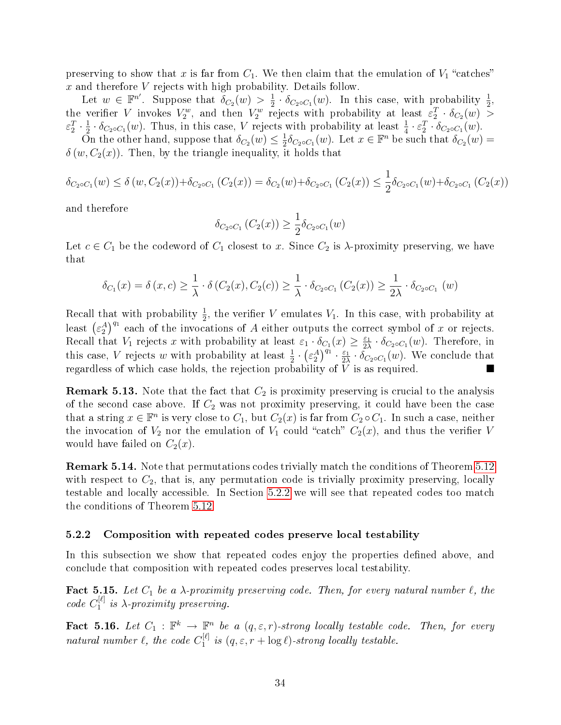preserving to show that x is far from  $C_1$ . We then claim that the emulation of  $V_1$  "catches"  $x$  and therefore  $V$  rejects with high probability. Details follow.

Let  $w \in \mathbb{F}^{n'}$ . Suppose that  $\delta_{C_2}(w) > \frac{1}{2}$  $\frac{1}{2} \cdot \delta_{C_2 \circ C_1}(w)$ . In this case, with probability  $\frac{1}{2}$ , the verifier V invokes  $V_2^w$ , and then  $V_2^w$  rejects with probability at least  $\varepsilon_2^T \cdot \delta_{C_2}(w) >$  $\varepsilon_2^T\cdot \frac{1}{2}$  $\frac{1}{2} \cdot \delta_{C_2 \circ C_1}(w)$ . Thus, in this case, V rejects with probability at least  $\frac{1}{4} \cdot \varepsilon_2^T \cdot \delta_{C_2 \circ C_1}(w)$ .

On the other hand, suppose that  $\delta_{C_2}(w) \leq \frac{1}{2}$  $\frac{1}{2}\delta_{C_2 \circ C_1}(w)$ . Let  $x \in \mathbb{F}^n$  be such that  $\delta_{C_2}(w) =$  $\delta(w, C_2(x))$ . Then, by the triangle inequality, it holds that

$$
\delta_{C_2 \circ C_1}(w) \le \delta(w, C_2(x)) + \delta_{C_2 \circ C_1}(C_2(x)) = \delta_{C_2}(w) + \delta_{C_2 \circ C_1}(C_2(x)) \le \frac{1}{2}\delta_{C_2 \circ C_1}(w) + \delta_{C_2 \circ C_1}(C_2(x))
$$

and therefore

$$
\delta_{C_2 \circ C_1} (C_2(x)) \ge \frac{1}{2} \delta_{C_2 \circ C_1}(w)
$$

Let  $c \in C_1$  be the codeword of  $C_1$  closest to x. Since  $C_2$  is  $\lambda$ -proximity preserving, we have that

$$
\delta_{C_1}(x) = \delta(x, c) \ge \frac{1}{\lambda} \cdot \delta(C_2(x), C_2(c)) \ge \frac{1}{\lambda} \cdot \delta_{C_2 \circ C_1}(C_2(x)) \ge \frac{1}{2\lambda} \cdot \delta_{C_2 \circ C_1}(w)
$$

Recall that with probability  $\frac{1}{2}$ , the verifier V emulates  $V_1$ . In this case, with probability at least  $(\varepsilon_2^A)^{q_1}$  each of the invocations of A either outputs the correct symbol of x or rejects. Recall that  $V_1$  rejects x with probability at least  $\varepsilon_1 \cdot \delta_{C_1}(x) \geq \frac{\varepsilon_1}{2\lambda}$  $\frac{\varepsilon_1}{2\lambda} \cdot \delta_{C_2 \circ C_1}(w)$ . Therefore, in this case, V rejects w with probability at least  $\frac{1}{2} \cdot (\varepsilon_2^A)^{\overline{q_1}} \cdot \frac{\varepsilon_1}{2\lambda}$  $\frac{\varepsilon_1}{2\lambda} \cdot \delta_{C_2 \circ C_1}(w)$ . We conclude that regardless of which case holds, the rejection probability of  $\overline{V}$  is as required.

**Remark 5.13.** Note that the fact that  $C_2$  is proximity preserving is crucial to the analysis of the second case above. If  $C_2$  was not proximity preserving, it could have been the case that a string  $x \in \mathbb{F}^n$  is very close to  $C_1$ , but  $C_2(x)$  is far from  $C_2 \circ C_1$ . In such a case, neither the invocation of  $V_2$  nor the emulation of  $V_1$  could "catch"  $C_2(x)$ , and thus the verifier V would have failed on  $C_2(x)$ .

Remark 5.14. Note that permutations codes trivially match the conditions of Theorem [5.12](#page-32-0) with respect to  $C_2$ , that is, any permutation code is trivially proximity preserving, locally testable and locally accessible. In Section [5.2.2](#page-33-0) we will see that repeated codes too match the conditions of Theorem [5.12.](#page-32-0)

#### <span id="page-33-0"></span>5.2.2 Composition with repeated codes preserve local testability

In this subsection we show that repeated codes enjoy the properties defined above, and conclude that composition with repeated codes preserves local testability.

<span id="page-33-1"></span>**Fact 5.15.** Let  $C_1$  be a  $\lambda$ -proximity preserving code. Then, for every natural number  $\ell$ , the  $code C_1^{[\ell]}$  $i_1^{\lfloor \mathfrak{k} \rfloor}$  is  $\lambda$ -proximity preserving.

<span id="page-33-2"></span>**Fact 5.16.** Let  $C_1$  :  $\mathbb{F}^k$   $\to$   $\mathbb{F}^n$  be a  $(q, \varepsilon, r)$ -strong locally testable code. Then, for every natural number  $\ell$ , the code  $C_1^{[\ell]}$  $\int_1^{\lfloor t \rfloor}$  is  $(q,\varepsilon,r + \log \ell)$ -strong locally testable.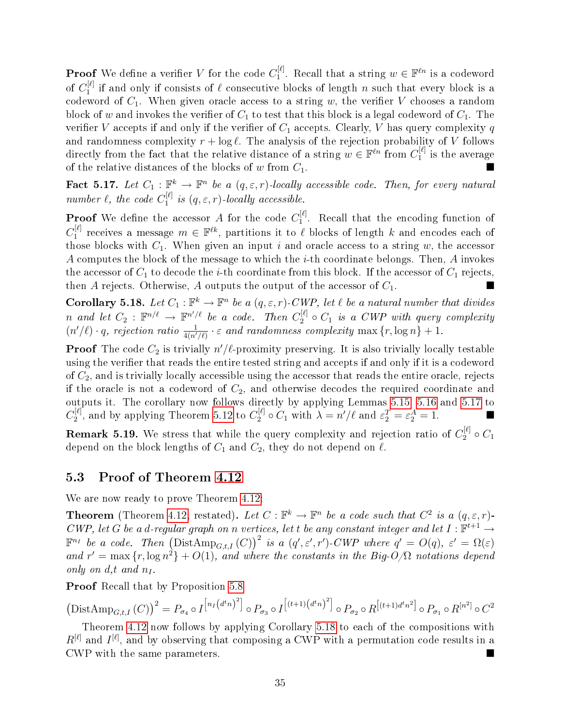**Proof** We define a verifier V for the code  $C_1^{[\ell]}$  $_1^{[\ell]}$ . Recall that a string  $w \in \mathbb{F}^{\ell n}$  is a codeword of  $C_1^{[\ell]}$  $\frac{1}{1}$  if and only if consists of  $\ell$  consecutive blocks of length n such that every block is a codeword of  $C_1$ . When given oracle access to a string w, the verifier V chooses a random block of w and invokes the verifier of  $C_1$  to test that this block is a legal codeword of  $C_1$ . The verifier V accepts if and only if the verifier of  $C_1$  accepts. Clearly, V has query complexity q and randomness complexity  $r + \log \ell$ . The analysis of the rejection probability of V follows directly from the fact that the relative distance of a string  $w \in \mathbb{F}^{\ell n}$  from  $C_1^{[\ell]}$  $i_1^{[\ell]}$  is the average of the relative distances of the blocks of  $w$  from  $C_1$ .

<span id="page-34-1"></span>**Fact 5.17.** Let  $C_1$ :  $\mathbb{F}^k \to \mathbb{F}^n$  be a  $(q, \varepsilon, r)$ -locally accessible code. Then, for every natural number  $\ell$ , the code  $C_1^{[\ell]}$  $\int_1^{\lfloor \ell \rfloor}$  is  $(q,\varepsilon,r)$ -locally accessible.

**Proof** We define the accessor A for the code  $C_1^{[\ell]}$  $_1^{\lbrack \ell \rbrack}$ . Recall that the encoding function of  $C_1^{[\ell]}$  $\mathbb{R}^{[\ell]}$  receives a message  $m \in \mathbb{F}^{\ell k}$ , partitions it to  $\ell$  blocks of length k and encodes each of those blocks with  $C_1$ . When given an input i and oracle access to a string w, the accessor A computes the block of the message to which the i-th coordinate belongs. Then, A invokes the accessor of  $C_1$  to decode the *i*-th coordinate from this block. If the accessor of  $C_1$  rejects, then A rejects. Otherwise, A outputs the output of the accessor of  $C_1$ .

<span id="page-34-2"></span>**Corollary 5.18.** Let  $C_1$ :  $\mathbb{F}^k \to \mathbb{F}^n$  be a  $(q, \varepsilon, r)$ -CWP, let  $\ell$  be a natural number that divides n and let  $C_2$  :  $\mathbb{F}^{n/\ell} \to \mathbb{F}^{n'/\ell}$  be a code. Then  $C_2^{[\ell]} \circ C_1$  is a CWP with query complexity  $(n'/\ell) \cdot q$ , rejection ratio  $\frac{1}{4(n'/\ell)} \cdot \varepsilon$  and randomness complexity max  $\{r, \log n\} + 1$ .

**Proof** The code  $C_2$  is trivially  $n'/\ell$ -proximity preserving. It is also trivially locally testable using the verifier that reads the entire tested string and accepts if and only if it is a codeword of  $C_2$ , and is trivially locally accessible using the accessor that reads the entire oracle, rejects if the oracle is not a codeword of  $C_2$ , and otherwise decodes the required coordinate and outputs it. The corollary now follows directly by applying Lemmas [5.15,](#page-33-1) [5.16](#page-33-2) and [5.17](#page-34-1) to  $C_2^{[\ell]}$  $\mathbb{Z}_2^{[\ell]}$ , and by applying Theorem [5.12](#page-32-0) to  $C_2^{[\ell]} \circ C_1$  with  $\lambda = n'/\ell$  and  $\varepsilon_2^T = \varepsilon_2^A = 1$ .

**Remark 5.19.** We stress that while the query complexity and rejection ratio of  $C_2^{[\ell]} \circ C_1$ depend on the block lengths of  $C_1$  and  $C_2$ , they do not depend on  $\ell$ .

#### <span id="page-34-0"></span>5.3 Proof of Theorem [4.12](#page-27-1)

We are now ready to prove Theorem [4.12:](#page-27-1)

**5.3** Proof of Theorem 4.12<br>We are now ready to prove Theorem 4.12:<br>Theorem (Theorem [4.12,](#page-27-1) restated). Let  $C : \mathbb{F}^k \to \mathbb{F}^n$  be a code such that  $C^2$  is a  $(q, \varepsilon, r)$ . CWP, let G be a d-regular graph on n vertices, let t be any constant integer and let  $I: \mathbb{F}^{t+1} \rightarrow$  $\mathbb{F}^{n_I}$  be a code. Then  $\left(\text{DistAmp}_{G,t,I}(C)\right)^2$  is a  $(q', \varepsilon', r')$ -CWP where  $q' = O(q)$ ,  $\varepsilon' = \Omega(\varepsilon)$ and  $r' = \max \{r, \log n^2\} + O(1)$ , and where the constants in the Big-O/ $\Omega$  notations depend only on  $d,t$  and  $n_I$ .

Proof Recall that by Proposition [5.8](#page-30-2)

 $(\text{DistAmp}_{G,t,I}(C))^2 = P_{\sigma_4} \circ I^{\left[n_I(d^t n)^2\right]} \circ P_{\sigma_3} \circ I^{\left[(t+1)(d^t n)^2\right]} \circ P_{\sigma_2} \circ R^{\left[(t+1)d^t n^2\right]} \circ P_{\sigma_1} \circ R^{\left[n^2\right]} \circ C^2$ 

Theorem [4.12](#page-27-1) now follows by applying Corollary [5.18](#page-34-2) to each of the compositions with  $R^{[\ell]}$  and  $I^{[\ell]}$ , and by observing that composing a CWP with a permutation code results in a CWP with the same parameters.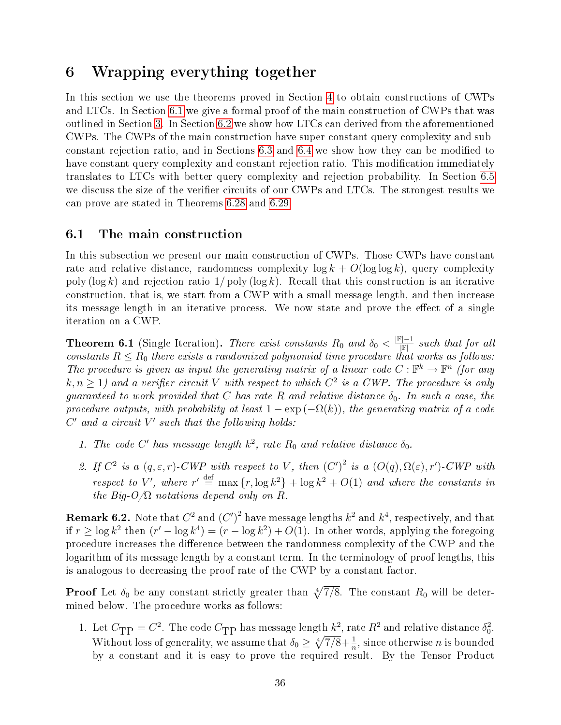## <span id="page-35-0"></span>6 Wrapping everything together

In this section we use the theorems proved in Section [4](#page-22-0) to obtain constructions of CWPs and LTCs. In Section [6.1](#page-35-1) we give a formal proof of the main construction of CWPs that was outlined in Section [3.](#page-11-0) In Section [6.2](#page-38-0) we show how LTCs can derived from the aforementioned CWPs. The CWPs of the main construction have super-constant query complexity and subconstant rejection ratio, and in Sections [6.3](#page-41-0) and [6.4](#page-43-0) we show how they can be modied to have constant query complexity and constant rejection ratio. This modification immediately translates to LTCs with better query complexity and rejection probability. In Section [6.5](#page-51-0) we discuss the size of the verifier circuits of our CWPs and LTCs. The strongest results we can prove are stated in Theorems [6.28](#page-50-1) and [6.29.](#page-50-0)

#### <span id="page-35-1"></span>6.1 The main construction

In this subsection we present our main construction of CWPs. Those CWPs have constant rate and relative distance, randomness complexity  $\log k + O(\log \log k)$ , query complexity poly (log k) and rejection ratio  $1/\text{poly}(\log k)$ . Recall that this construction is an iterative construction, that is, we start from a CWP with a small message length, and then increase its message length in an iterative process. We now state and prove the effect of a single iteration on a CWP.

<span id="page-35-2"></span>**Theorem 6.1** (Single Iteration). There exist constants  $R_0$  and  $\delta_0 < \frac{|\mathbb{F}|-1}{|\mathbb{F}|}$  $\frac{f|-1}{\mathbb{F}}$  such that for all constants  $R \le R_0$  there exists a randomized polynomial time procedure that works as follows: The procedure is given as input the generating matrix of a linear code  $C : \mathbb{F}^k \to \mathbb{F}^n$  (for any  $k, n \geq 1$ ) and a verifier circuit V with respect to which  $C^2$  is a CWP. The procedure is only guaranteed to work provided that C has rate R and relative distance  $\delta_0$ . In such a case, the procedure outputs, with probability at least  $1 - \exp(-\Omega(k))$ , the generating matrix of a code  $C'$  and a circuit  $V'$  such that the following holds:

- 1. The code C' has message length  $k^2$ , rate  $R_0$  and relative distance  $\delta_0$ .
- 2. If  $C^2$  is a  $(q, \varepsilon, r)$ -CWP with respect to V, then  $(C')^2$  is a  $(O(q), \Omega(\varepsilon), r')$ -CWP with respect to V', where  $r' \stackrel{\text{def}}{=} \max\{r, \log k^2\} + \log k^2 + O(1)$  and where the constants in the Big-O/ $\Omega$  notations depend only on  $\tilde{R}$ .

**Remark 6.2.** Note that  $C^2$  and  $(C')^2$  have message lengths  $k^2$  and  $k^4$ , respectively, and that if  $r \geq \log k^2$  then  $(r' - \log k^4) = (r - \log k^2) + O(1)$ . In other words, applying the foregoing procedure increases the difference between the randomness complexity of the CWP and the logarithm of its message length by a constant term. In the terminology of proof lengths, this is analogous to decreasing the proof rate of the CWP by a constant factor.

**Proof** Let  $\delta_0$  be any constant strictly greater than  $\sqrt[4]{7/8}$ . The constant  $R_0$  will be determined below. The procedure works as follows:

1. Let  $C_{\text{TP}} = C^2$ . The code  $C_{\text{TP}}$  has message length  $k^2$ , rate  $R^2$  and relative distance  $\delta_0^2$ . Without loss of generality, we assume that  $\delta_0 \geq \sqrt[4]{7/8} + \frac{1}{n}$ , since otherwise n is bounded by a constant and it is easy to prove the required result. By the Tensor Product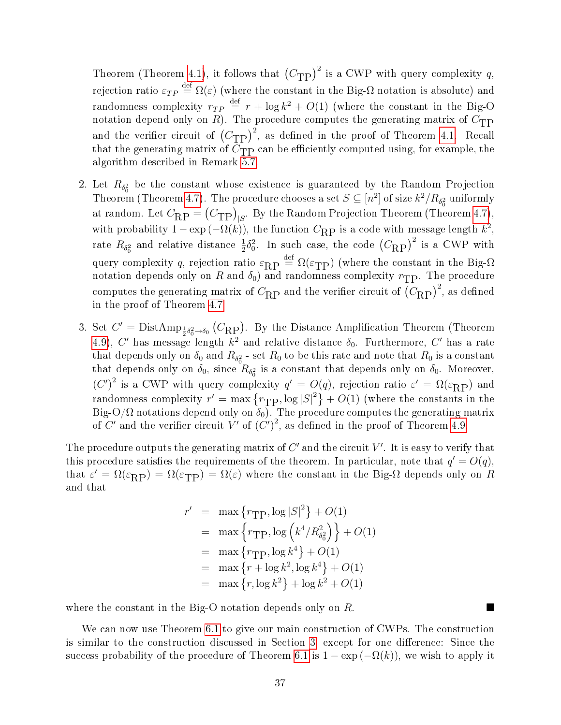Theorem (Theorem [4.1\)](#page-22-3), it follows that  $(C_{\text{TP}})^2$  is a CWP with query complexity q, rejection ratio  $\varepsilon_{TP} \stackrel{\rm def}{=} \Omega(\varepsilon)$  (where the constant in the Big- $\Omega$  notation is absolute) and randomness complexity  $r_{TP} \stackrel{\text{def}}{=} r + \log k^2 + O(1)$  (where the constant in the Big-O notation depend only on  $R$ ). The procedure computes the generating matrix of  $C_{\text{TP}}$ and the verifier circuit of  $(C_{\text{TP}})^2$ , as defined in the proof of Theorem [4.1.](#page-22-3) Recall that the generating matrix of  $\widehat{C_{\text{TP}}}$  can be efficiently computed using, for example, the algorithm described in Remark [5.7.](#page-29-1)

- 2. Let  $R_{\delta_0^2}$  be the constant whose existence is guaranteed by the Random Projection Theorem (Theorem [4.7\)](#page-24-2). The procedure chooses a set  $S\subseteq [n^2]$  of size  $k^2/R_{\delta_0^2}$  uniformly at random. Let  $C_\mathrm{RP} = \left(C_\mathrm{TP}\right)_{|S}$ . By the Random Projection Theorem (Theorem [4.7\)](#page-24-2), with probability  $1 - \exp(-\Omega(k))$ , the function  $C_{\text{RP}}$  is a code with message length  $k^2$ , rate  $R_{\delta_0^2}$  and relative distance  $\frac{1}{2}\delta_0^2$ . In such case, the code  $\left(C_\text{RP}\right)^2$  is a CWP with query complexity q, rejection ratio  $\varepsilon_{\rm RP} \stackrel{\text{def}}{=} \Omega(\varepsilon_{\rm TP})$  (where the constant in the Big- $\Omega$ notation depends only on R and  $\delta_0$ ) and randomness complexity  $r_{\text{TP}}$ . The procedure computes the generating matrix of  $C_{\rm RP}$  and the verifier circuit of  $\overline{\left(C_{\rm RP}\right)^2}$ , as defined in the proof of Theorem [4.7.](#page-24-2)
- 3. Set  $C' = {\rm DistAmp}_{\frac{1}{2}\delta_0^2 \to \delta_0} \left(C_{\rm RP} \right)$ . By the Distance Amplification Theorem (Theorem [4.9\)](#page-26-0),  $C'$  has message length  $k^2$  and relative distance  $\delta_0$ . Furthermore,  $C'$  has a rate that depends only on  $\delta_0$  and  $R_{\delta_0^2}$  - set  $R_0$  to be this rate and note that  $R_0$  is a constant that depends only on  $\delta_0$ , since  $R_{\delta_0^2}$  is a constant that depends only on  $\delta_0$ . Moreover,  $(C')^2$  is a CWP with query complexity  $q' = O(q)$ , rejection ratio  $\varepsilon' = \Omega(\varepsilon_{\rm RP})$  and randomness complexity  $r' = \max \{ r_{\text{TP}}, \log |S|^2 \} + O(1)$  (where the constants in the Big-O/ $\Omega$  notations depend only on  $\delta_0$ ). The procedure computes the generating matrix of  $C'$  and the verifier circuit  $V'$  of  $(C')^2$ , as defined in the proof of Theorem [4.9.](#page-26-0)

The procedure outputs the generating matrix of  $C'$  and the circuit  $V'$ . It is easy to verify that this procedure satisfies the requirements of the theorem. In particular, note that  $q' = O(q)$ , that  $\varepsilon' = \Omega(\varepsilon_{\text{RP}}) = \Omega(\varepsilon_{\text{TP}}) = \Omega(\varepsilon)$  where the constant in the Big- $\Omega$  depends only on R and that

$$
r' = \max \{ r_{\text{TP}}, \log |S|^2 \} + O(1)
$$
  
= 
$$
\max \{ r_{\text{TP}}, \log \left( k^4 / R_{\delta_0^2}^2 \right) \} + O(1)
$$
  
= 
$$
\max \{ r_{\text{TP}}, \log k^4 \} + O(1)
$$
  
= 
$$
\max \{ r + \log k^2, \log k^4 \} + O(1)
$$
  
= 
$$
\max \{ r, \log k^2 \} + \log k^2 + O(1)
$$

where the constant in the Big-O notation depends only on  $R$ .

We can now use Theorem [6.1](#page-35-2) to give our main construction of CWPs. The construction is similar to the construction discussed in Section [3,](#page-11-0) except for one difference: Since the success probability of the procedure of Theorem [6.1](#page-35-2) is  $1 - \exp(-\Omega(k))$ , we wish to apply it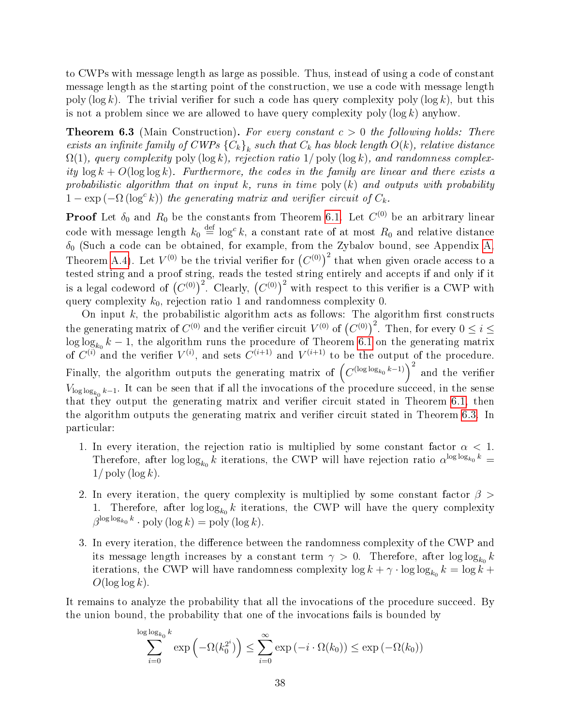to CWPs with message length as large as possible. Thus, instead of using a code of constant message length as the starting point of the construction, we use a code with message length poly  $(\log k)$ . The trivial verifier for such a code has query complexity poly  $(\log k)$ , but this is not a problem since we are allowed to have query complexity poly  $(\log k)$  anyhow.

<span id="page-37-0"></span>**Theorem 6.3** (Main Construction). For every constant  $c > 0$  the following holds: There exists an infinite family of  $CWPs$   ${C_k}_k$  such that  $C_k$  has block length  $O(k)$ , relative distance  $\Omega(1)$ , query complexity poly (log k), rejection ratio 1/ poly (log k), and randomness complexity  $\log k + O(\log \log k)$ . Furthermore, the codes in the family are linear and there exists a probabilistic algorithm that on input k, runs in time  $\text{poly}(k)$  and outputs with probability  $1 - \exp(-\Omega(\log^c k))$  the generating matrix and verifier circuit of  $C_k$ .

**Proof** Let  $\delta_0$  and  $R_0$  be the constants from Theorem [6.1.](#page-35-2) Let  $C^{(0)}$  be an arbitrary linear code with message length  $k_0 \stackrel{\text{def}}{=} \log^c k$ , a constant rate of at most  $R_0$  and relative distance  $\delta_0$  (Such a code can be obtained, for example, from the Zybalov bound, see Appendix [A,](#page-58-9) Theorem [A.4\)](#page-60-0). Let  $V^{(0)}$  be the trivial verifier for  $\left(C^{(0)}\right)^2$  that when given oracle access to a tested string and a proof string, reads the tested string entirely and accepts if and only if it is a legal codeword of  $(C^{(0)})^2$ . Clearly,  $(C^{(0)})^2$  with respect to this verifier is a CWP with query complexity  $k_0$ , rejection ratio 1 and randomness complexity 0.

On input  $k$ , the probabilistic algorithm acts as follows: The algorithm first constructs the generating matrix of  $C^{(0)}$  and the verifier circuit  $V^{(0)}$  of  $\left(C^{(0)}\right)^2$ . Then, for every  $0 \leq i \leq$  $\log \log_{k_0} k - 1$ , the algorithm runs the procedure of Theorem [6.1](#page-35-2) on the generating matrix of  $C^{(i)}$  and the verifier  $V^{(i)}$ , and sets  $C^{(i+1)}$  and  $V^{(i+1)}$  to be the output of the procedure. Finally, the algorithm outputs the generating matrix of  $(C^{(\log \log_{k_0} k-1)})^2$  and the verifier  $V_{\log \log_{k_0}k-1}$ . It can be seen that if all the invocations of the procedure succeed, in the sense that they output the generating matrix and verifier circuit stated in Theorem [6.1,](#page-35-2) then the algorithm outputs the generating matrix and verifier circuit stated in Theorem [6.3.](#page-37-0) In particular:

- 1. In every iteration, the rejection ratio is multiplied by some constant factor  $\alpha < 1$ . Therefore, after  $\log \log_{k_0} k$  iterations, the CWP will have rejection ratio  $\alpha^{\log \log_{k_0} k}$  =  $1/\text{poly}(\log k)$ .
- 2. In every iteration, the query complexity is multiplied by some constant factor  $\beta$ 1. Therefore, after  $\log \log_{k_0} k$  iterations, the CWP will have the query complexity  $\beta^{\log \log_{k_0} k} \cdot \text{poly}(\log k) = \text{poly}(\log k).$
- 3. In every iteration, the difference between the randomness complexity of the CWP and its message length increases by a constant term  $\gamma > 0$ . Therefore, after  $\log \log_{k_0} k$ iterations, the CWP will have randomness complexity  $\log k + \gamma \cdot \log \log_{k_0} k = \log k + \gamma$  $O(\log \log k)$ .

It remains to analyze the probability that all the invocations of the procedure succeed. By the union bound, the probability that one of the invocations fails is bounded by

$$
\sum_{i=0}^{\log\log_{k_0} k} \exp\left(-\Omega(k_0^{2^i})\right) \le \sum_{i=0}^{\infty} \exp(-i \cdot \Omega(k_0)) \le \exp(-\Omega(k_0))
$$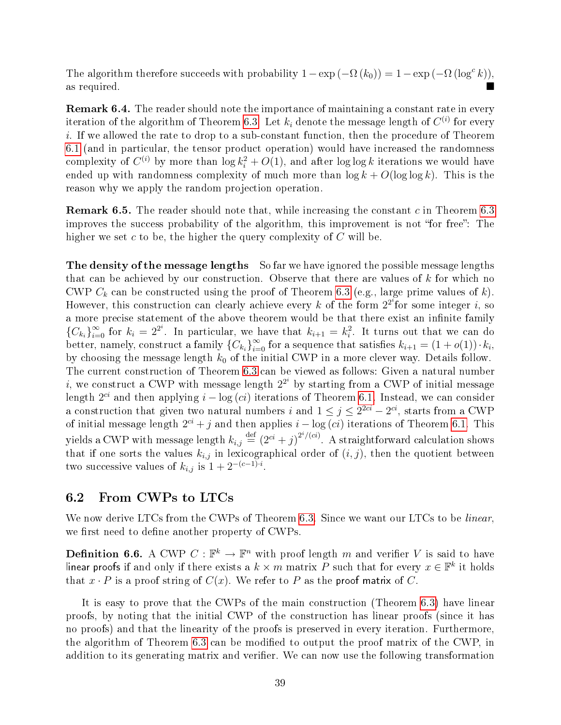The algorithm therefore succeeds with probability  $1 - \exp(-\Omega(k_0)) = 1 - \exp(-\Omega(\log^c k))$ , as required.  $\blacksquare$ 

Remark 6.4. The reader should note the importance of maintaining a constant rate in every iteration of the algorithm of Theorem [6.3.](#page-37-0) Let  $k_i$  denote the message length of  $C^{(i)}$  for every i. If we allowed the rate to drop to a sub-constant function, then the procedure of Theorem [6.1](#page-35-2) (and in particular, the tensor product operation) would have increased the randomness complexity of  $C^{(i)}$  by more than  $\log k_i^2 + O(1)$ , and after  $\log \log k$  iterations we would have ended up with randomness complexity of much more than  $\log k + O(\log \log k)$ . This is the reason why we apply the random projection operation.

**Remark 6.5.** The reader should note that, while increasing the constant  $c$  in Theorem [6.3](#page-37-0) improves the success probability of the algorithm, this improvement is not "for free": The higher we set c to be, the higher the query complexity of  $C$  will be.

**The density of the message lengths** So far we have ignored the possible message lengths that can be achieved by our construction. Observe that there are values of  $k$  for which no CWP  $C_k$  can be constructed using the proof of Theorem [6.3](#page-37-0) (e.g., large prime values of  $k$ ). However, this construction can clearly achieve every  $k$  of the form  $2^{2^i}$ for some integer  $i$ , so a more precise statement of the above theorem would be that there exist an infinite family  ${C_{k_i}}_{i=0}^{\infty}$  for  $k_i = 2^{2^i}$ . In particular, we have that  $k_{i+1} = k_i^2$ . It turns out that we can do better, namely, construct a family  ${C_{k_i}}_{i=0}^{\infty}$  for a sequence that satisfies  $k_{i+1} = (1+o(1)) \cdot k_i$ , by choosing the message length  $k_0$  of the initial CWP in a more clever way. Details follow. The current construction of Theorem [6.3](#page-37-0) can be viewed as follows: Given a natural number *i*, we construct a CWP with message length  $2^{2^i}$  by starting from a CWP of initial message length  $2^{ci}$  and then applying  $i - \log$  (*ci*) iterations of Theorem [6.1.](#page-35-2) Instead, we can consider a construction that given two natural numbers i and  $1 \leq j \leq 2^{2ci} - 2^{ci}$ , starts from a CWP of initial message length  $2^{ci} + j$  and then applies  $i - \log$  (*ci*) iterations of Theorem [6.1.](#page-35-2) This yields a CWP with message length  $k_{i,j} \stackrel{\text{def}}{=} \left(2^{ci}+j\right)^{2^i/(ci)}.$  A straightforward calculation shows that if one sorts the values  $k_{i,j}$  in lexicographical order of  $(i, j)$ , then the quotient between two successive values of  $k_{i,j}$  is  $1 + 2^{-(c-1)i}$ .

#### <span id="page-38-0"></span>6.2 From CWPs to LTCs

We now derive LTCs from the CWPs of Theorem [6.3.](#page-37-0) Since we want our LTCs to be *linear*, we first need to define another property of CWPs.

<span id="page-38-1"></span>**Definition 6.6.** A CWP  $C : \mathbb{F}^k \to \mathbb{F}^n$  with proof length m and verifier V is said to have linear proofs if and only if there exists a  $k \times m$  matrix  $P$  such that for every  $x \in \mathbb{F}^k$  it holds that  $x \cdot P$  is a proof string of  $C(x)$ . We refer to P as the proof matrix of C.

It is easy to prove that the CWPs of the main construction (Theorem [6.3\)](#page-37-0) have linear proofs, by noting that the initial CWP of the construction has linear proofs (since it has no proofs) and that the linearity of the proofs is preserved in every iteration. Furthermore, the algorithm of Theorem [6.3](#page-37-0) can be modified to output the proof matrix of the CWP, in addition to its generating matrix and verifier. We can now use the following transformation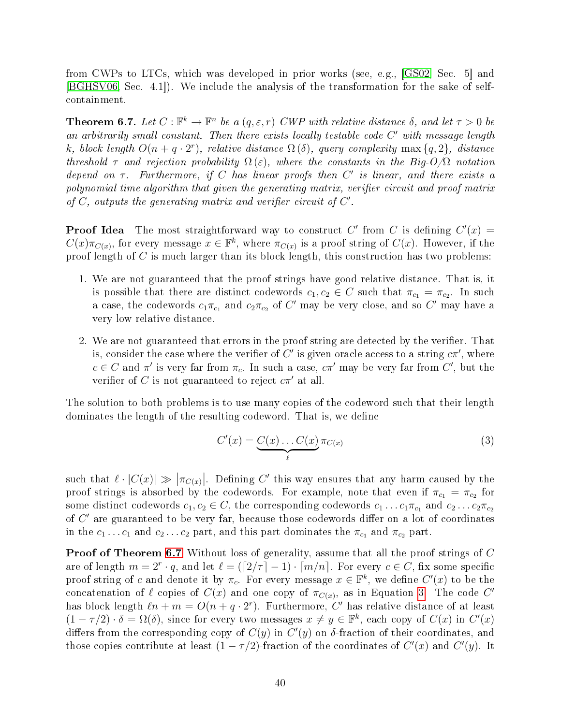from CWPs to LTCs, which was developed in prior works (see, e.g., [\[GS02,](#page-58-2) Sec. 5] and [\[BGHSV06,](#page-57-1) Sec. 4.1]). We include the analysis of the transformation for the sake of selfcontainment.

<span id="page-39-0"></span>**Theorem 6.7.** Let  $C : \mathbb{F}^k \to \mathbb{F}^n$  be a  $(q, \varepsilon, r)$ -CWP with relative distance  $\delta$ , and let  $\tau > 0$  be an arbitrarily small constant. Then there exists locally testable code  $C'$  with message length k, block length  $O(n + q \cdot 2^r)$ , relative distance  $\Omega(\delta)$ , query complexity max  $\{q, 2\}$ , distance threshold  $\tau$  and rejection probability  $\Omega(\varepsilon)$ , where the constants in the Big-O/ $\Omega$  notation depend on  $\tau$ . Furthermore, if C has linear proofs then C' is linear, and there exists a polynomial time algorithm that given the generating matrix, verifier circuit and proof matrix of  $C$ , outputs the generating matrix and verifier circuit of  $C'$ .

**Proof Idea** The most straightforward way to construct C' from C is defining  $C'(x)$  =  $C(x)\pi_{C(x)}$ , for every message  $x \in \mathbb{F}^k$ , where  $\pi_{C(x)}$  is a proof string of  $C(x)$ . However, if the proof length of  $C$  is much larger than its block length, this construction has two problems:

- 1. We are not guaranteed that the proof strings have good relative distance. That is, it is possible that there are distinct codewords  $c_1, c_2 \in C$  such that  $\pi_{c_1} = \pi_{c_2}$ . In such a case, the codewords  $c_1\pi_{c_1}$  and  $c_2\pi_{c_2}$  of  $C'$  may be very close, and so  $C'$  may have a very low relative distance.
- 2. We are not guaranteed that errors in the proof string are detected by the verifier. That is, consider the case where the verifier of  $C'$  is given oracle access to a string  $c\pi'$ , where  $c \in C$  and  $\pi'$  is very far from  $\pi_c$ . In such a case,  $c\pi'$  may be very far from  $C'$ , but the verifier of C is not guaranteed to reject  $c\pi'$  at all.

The solution to both problems is to use many copies of the codeword such that their length dominates the length of the resulting codeword. That is, we define

<span id="page-39-1"></span>
$$
C'(x) = \underbrace{C(x) \dots C(x)}_{\ell} \pi_{C(x)} \tag{3}
$$

such that  $\ell \cdot |C(x)| \gg |\pi_{C(x)}|$ . Defining C' this way ensures that any harm caused by the proof strings is absorbed by the codewords. For example, note that even if  $\pi_{c_1} = \pi_{c_2}$  for some distinct codewords  $c_1, c_2 \in C$ , the corresponding codewords  $c_1 \ldots c_1 \pi_{c_1}$  and  $c_2 \ldots c_2 \pi_{c_2}$ of  $C'$  are guaranteed to be very far, because those codewords differ on a lot of coordinates in the  $c_1 \ldots c_1$  and  $c_2 \ldots c_2$  part, and this part dominates the  $\pi_{c_1}$  and  $\pi_{c_2}$  part.

Proof of Theorem [6.7](#page-39-0) Without loss of generality, assume that all the proof strings of C are of length  $m = 2^r \cdot q$ , and let  $\ell = (\lceil 2/\tau \rceil - 1) \cdot \lceil m/n \rceil$ . For every  $c \in C$ , fix some specific proof string of c and denote it by  $\pi_c$ . For every message  $x \in \mathbb{F}^k$ , we define  $C'(x)$  to be the concatenation of  $\ell$  copies of  $C(x)$  and one copy of  $\pi_{C(x)}$ , as in Equation [3.](#page-39-1) The code  $C'$ has block length  $ln + m = O(n + q \cdot 2^r)$ . Furthermore, C' has relative distance of at least  $(1 - \tau/2) \cdot \delta = \Omega(\delta)$ , since for every two messages  $x \neq y \in \mathbb{F}^k$ , each copy of  $C(x)$  in  $C'(x)$ differs from the corresponding copy of  $C(y)$  in  $C'(y)$  on  $\delta$ -fraction of their coordinates, and those copies contribute at least  $(1 - \tau/2)$ -fraction of the coordinates of  $C'(x)$  and  $C'(y)$ . It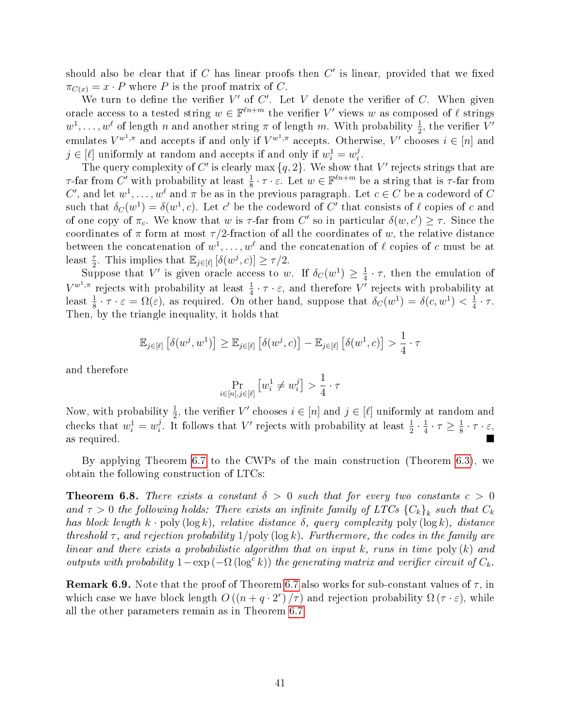should also be clear that if  $C$  has linear proofs then  $C'$  is linear, provided that we fixed  $\pi_{C(x)} = x \cdot P$  where P is the proof matrix of C.

We turn to define the verifier  $V'$  of  $C'$ . Let V denote the verifier of  $C$ . When given oracle access to a tested string  $w \in \mathbb{F}^{\ell n+m}$  the verifier V' views w as composed of  $\ell$  strings  $w^1, \ldots, w^\ell$  of length n and another string  $\pi$  of length m. With probability  $\frac{1}{2}$ , the verifier  $V'$ emulates  $V^{w^1,\pi}$  and accepts if and only if  $V^{w^1,\pi}$  accepts. Otherwise,  $V'$  chooses  $i \in [n]$  and  $j \in [\ell]$  uniformly at random and accepts if and only if  $w_i^1 = w_i^j$  $\frac{j}{i}$  .

The query complexity of C' is clearly max  ${q, 2}$ . We show that V' rejects strings that are τ-far from C' with probability at least  $\frac{1}{8} \cdot \tau \cdot \varepsilon$ . Let  $w \in \mathbb{F}^{\ell n+m}$  be a string that is τ-far from C', and let  $w^1, \ldots, w^\ell$  and  $\pi$  be as in the previous paragraph. Let  $c \in C$  be a codeword of  $C$ such that  $\delta_C(w^1) = \delta(w^1, c)$ . Let  $c'$  be the codeword of  $C'$  that consists of  $\ell$  copies of  $c$  and of one copy of  $\pi_c$ . We know that w is  $\tau$ -far from C' so in particular  $\delta(w, c') \geq \tau$ . Since the coordinates of  $\pi$  form at most  $\tau/2$ -fraction of all the coordinates of w, the relative distance between the concatenation of  $w^1, \ldots, w^\ell$  and the concatenation of  $\ell$  copies of  $c$  must be at least  $\frac{\tau}{2}$ . This implies that  $\mathbb{E}_{j\in[\ell]}[\delta(w^j, c)] \ge \tau/2$ .

Suppose that V' is given oracle access to w. If  $\delta_C(w^1) \geq \frac{1}{4}$  $\frac{1}{4} \cdot \tau$ , then the emulation of  $V^{w^1,\pi}$  rejects with probability at least  $\frac{1}{4} \cdot \tau \cdot \varepsilon$ , and therefore  $V'$  rejects with probability at least  $\frac{1}{8} \cdot \tau \cdot \varepsilon = \Omega(\varepsilon)$ , as required. On other hand, suppose that  $\delta_C(w^1) = \delta(c, w^1) < \frac{1}{4}$  $\frac{1}{4} \cdot \tau$ . Then, by the triangle inequality, it holds that

$$
\mathbb{E}_{j \in [\ell]} \left[ \delta(w^j, w^1) \right] \geq \mathbb{E}_{j \in [\ell]} \left[ \delta(w^j, c) \right] - \mathbb{E}_{j \in [\ell]} \left[ \delta(w^1, c) \right] > \frac{1}{4} \cdot \tau
$$

and therefore

$$
\Pr_{i \in [n], j \in [\ell]} \left[ w_i^1 \neq w_i^j \right] > \frac{1}{4} \cdot \tau
$$

Now, with probability  $\frac{1}{2}$ , the verifier V' chooses  $i \in [n]$  and  $j \in [\ell]$  uniformly at random and checks that  $w_i^1 = w_i^j$ <sup>j</sup>. It follows that V' rejects with probability at least  $\frac{1}{2} \cdot \frac{1}{4}$  $\frac{1}{4} \cdot \tau \geq \frac{1}{8}$  $\frac{1}{8} \cdot \tau \cdot \varepsilon$ , as required.

By applying Theorem [6.7](#page-39-0) to the CWPs of the main construction (Theorem [6.3\)](#page-37-0), we obtain the following construction of LTCs:

<span id="page-40-0"></span>**Theorem 6.8.** There exists a constant  $\delta > 0$  such that for every two constants  $c > 0$ and  $\tau > 0$  the following holds: There exists an infinite family of LTCs  ${C_k}_k$  such that  $C_k$ has block length  $k \cdot \text{poly}(\log k)$ , relative distance  $\delta$ , query complexity poly (log k), distance threshold  $\tau$ , and rejection probability  $1/\text{poly}(\log k)$ . Furthermore, the codes in the family are linear and there exists a probabilistic algorithm that on input k, runs in time poly  $(k)$  and outputs with probability  $1-\exp(-\Omega(\log^c k))$  the generating matrix and verifier circuit of  $C_k$ .

**Remark 6.9.** Note that the proof of Theorem [6.7](#page-39-0) also works for sub-constant values of  $\tau$ , in which case we have block length  $O((n + q \cdot 2^r)/\tau)$  and rejection probability  $\Omega(\tau \cdot \varepsilon)$ , while all the other parameters remain as in Theorem [6.7.](#page-39-0)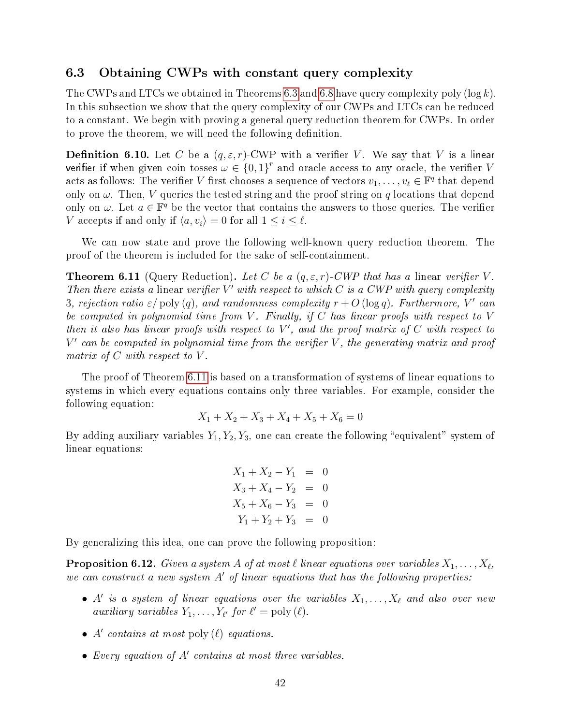#### <span id="page-41-0"></span>6.3 Obtaining CWPs with constant query complexity

The CWPs and LTCs we obtained in Theorems [6.3](#page-37-0) and [6.8](#page-40-0) have query complexity poly  $(\log k)$ . In this subsection we show that the query complexity of our CWPs and LTCs can be reduced to a constant. We begin with proving a general query reduction theorem for CWPs. In order to prove the theorem, we will need the following definition.

**Definition 6.10.** Let C be a  $(q, \varepsilon, r)$ -CWP with a verifier V. We say that V is a linear verifier if when given coin tosses  $\omega \in \{0,1\}^r$  and oracle access to any oracle, the verifier V acts as follows: The verifier V first chooses a sequence of vectors  $v_1, \ldots, v_\ell \in \mathbb{F}^q$  that depend only on  $\omega$ . Then, V queries the tested string and the proof string on q locations that depend only on  $\omega$ . Let  $a \in \mathbb{F}^q$  be the vector that contains the answers to those queries. The verifier V accepts if and only if  $\langle a, v_i \rangle = 0$  for all  $1 \leq i \leq \ell$ .

We can now state and prove the following well-known query reduction theorem. The proof of the theorem is included for the sake of self-containment.

<span id="page-41-1"></span>**Theorem 6.11** (Query Reduction). Let C be a  $(q, \varepsilon, r)$ -CWP that has a linear verifier V. Then there exists a linear verifier  $V'$  with respect to which  $C$  is a CWP with query complexity 3, rejection ratio  $\varepsilon$  poly (q), and randomness complexity  $r + O(\log q)$ . Furthermore, V' can be computed in polynomial time from V. Finally, if C has linear proofs with respect to V then it also has linear proofs with respect to  $V'$ , and the proof matrix of  $C$  with respect to  $V'$  can be computed in polynomial time from the verifier  $V$ , the generating matrix and proof matrix of  $C$  with respect to  $V$ .

The proof of Theorem [6.11](#page-41-1) is based on a transformation of systems of linear equations to systems in which every equations contains only three variables. For example, consider the following equation:

$$
X_1 + X_2 + X_3 + X_4 + X_5 + X_6 = 0
$$

By adding auxiliary variables  $Y_1, Y_2, Y_3$ , one can create the following "equivalent" system of linear equations:

$$
X_1 + X_2 - Y_1 = 0
$$
  
\n
$$
X_3 + X_4 - Y_2 = 0
$$
  
\n
$$
X_5 + X_6 - Y_3 = 0
$$
  
\n
$$
Y_1 + Y_2 + Y_3 = 0
$$

<span id="page-41-2"></span>By generalizing this idea, one can prove the following proposition:

**Proposition 6.12.** Given a system A of at most  $\ell$  linear equations over variables  $X_1, \ldots, X_\ell$ , we can construct a new system  $A'$  of linear equations that has the following properties:

- A' is a system of linear equations over the variables  $X_1, \ldots, X_\ell$  and also over new auxiliary variables  $Y_1, \ldots, Y_{\ell'}$  for  $\ell' = \text{poly}(\ell)$ .
- $A'$  contains at most poly  $(\ell)$  equations.
- Every equation of  $A'$  contains at most three variables.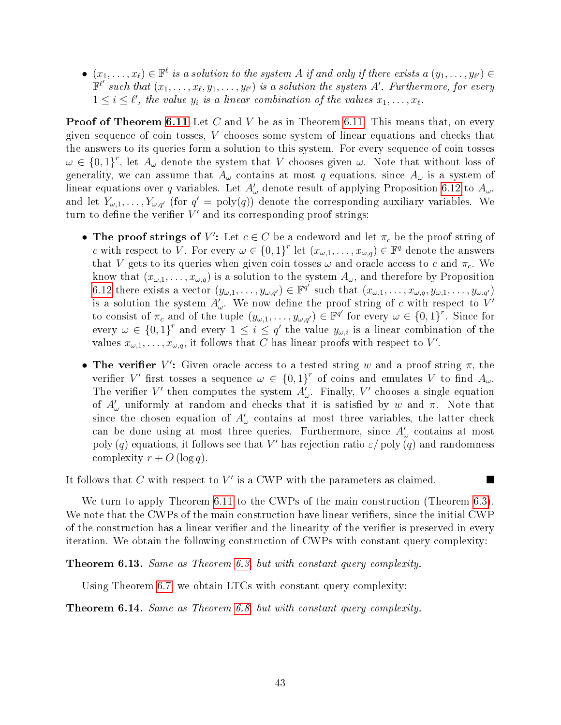$\bullet$   $(x_1,\ldots,x_\ell)\in\mathbb{F}^\ell$  is a solution to the system A if and only if there exists a  $(y_1,\ldots,y_{\ell'})\in\mathbb{F}^\ell$  $\mathbb{F}^{\ell'}$  such that  $(x_1,\ldots,x_\ell,y_1,\ldots,y_{\ell'})$  is a solution the system A'. Furthermore, for every  $1 \leq i \leq \ell'$ , the value  $y_i$  is a linear combination of the values  $x_1, \ldots, x_\ell$ .

**Proof of Theorem [6.11](#page-41-1)** Let C and V be as in Theorem [6.11.](#page-41-1) This means that, on every given sequence of coin tosses, V chooses some system of linear equations and checks that the answers to its queries form a solution to this system. For every sequence of coin tosses  $\omega \in \{0,1\}^r$ , let  $A_{\omega}$  denote the system that V chooses given  $\omega$ . Note that without loss of generality, we can assume that  $A_{\omega}$  contains at most q equations, since  $A_{\omega}$  is a system of linear equations over q variables. Let  $A'_\omega$  denote result of applying Proposition [6.12](#page-41-2) to  $A_\omega$ , and let  $Y_{\omega,1},\ldots,Y_{\omega,q'}$  (for  $q' = \text{poly}(q)$ ) denote the corresponding auxiliary variables. We turn to define the verifier  $V'$  and its corresponding proof strings:

- The proof strings of V': Let  $c \in C$  be a codeword and let  $\pi_c$  be the proof string of c with respect to V. For every  $\omega \in \{0,1\}^r$  let  $(x_{\omega,1},\ldots,x_{\omega,q}) \in \mathbb{F}^q$  denote the answers that V gets to its queries when given coin tosses  $\omega$  and oracle access to c and  $\pi_c$ . We know that  $(x_{\omega,1},\ldots,x_{\omega,q})$  is a solution to the system  $A_{\omega}$ , and therefore by Proposition [6.12](#page-41-2) there exists a vector  $(y_{\omega,1},\ldots,y_{\omega,q'})\in\mathbb{F}^{q'}$  such that  $(x_{\omega,1},\ldots,x_{\omega,q},y_{\omega,1},\ldots,y_{\omega,q'})$ is a solution the system  $A'_\omega$ . We now define the proof string of c with respect to  $V'$ to consist of  $\pi_c$  and of the tuple  $(y_{\omega,1},\ldots,y_{\omega,q'})\in\mathbb{F}^{q'}$  for every  $\omega\in\{0,1\}^r$ . Since for every  $\omega \in \{0,1\}^r$  and every  $1 \leq i \leq q'$  the value  $y_{\omega,i}$  is a linear combination of the values  $x_{\omega,1},\ldots,x_{\omega,q}$ , it follows that C has linear proofs with respect to V'.
- The verifier V': Given oracle access to a tested string w and a proof string  $\pi$ , the verifier V' first tosses a sequence  $\omega \in \{0,1\}^r$  of coins and emulates V to find  $A_{\omega}$ . The verifier V' then computes the system  $A'_\omega$ . Finally, V' chooses a single equation of  $A'_\n\omega$  uniformly at random and checks that it is satisfied by w and  $\pi$ . Note that since the chosen equation of  $A'_\omega$  contains at most three variables, the latter check can be done using at most three queries. Furthermore, since  $A'_\omega$  contains at most poly (q) equations, it follows see that V' has rejection ratio  $\varepsilon$  poly (q) and randomness complexity  $r + O(\log q)$ .

It follows that C with respect to  $V'$  is a CWP with the parameters as claimed.

We turn to apply Theorem [6.11](#page-41-1) to the CWPs of the main construction (Theorem [6.3\)](#page-37-0). We note that the CWPs of the main construction have linear verifiers, since the initial CWP of the construction has a linear verifier and the linearity of the verifier is preserved in every iteration. We obtain the following construction of CWPs with constant query complexity:

<span id="page-42-0"></span>Theorem 6.13. Same as Theorem [6.3,](#page-37-0) but with constant query complexity.

Using Theorem [6.7,](#page-39-0) we obtain LTCs with constant query complexity:

Theorem 6.14. Same as Theorem [6.8,](#page-40-0) but with constant query complexity.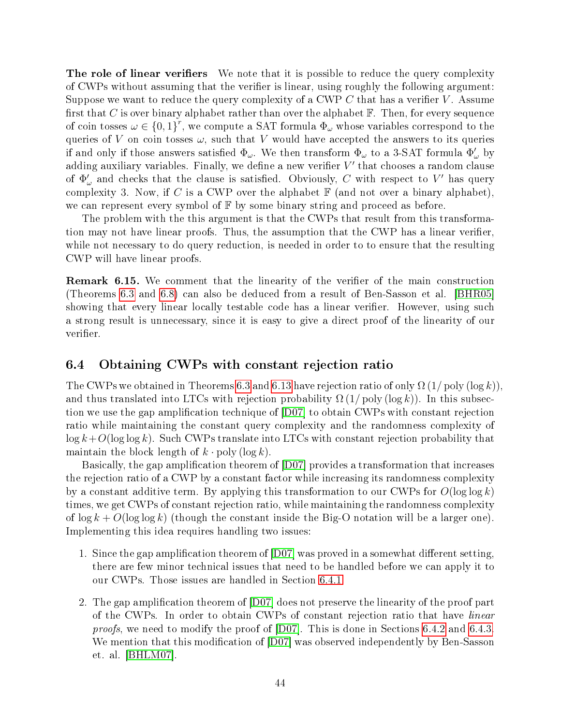The role of linear verifiers We note that it is possible to reduce the query complexity of CWPs without assuming that the verifier is linear, using roughly the following argument: Suppose we want to reduce the query complexity of a CWP  $C$  that has a verifier  $V$ . Assume first that C is over binary alphabet rather than over the alphabet  $\mathbb F$ . Then, for every sequence of coin tosses  $\omega \in \{0,1\}^r$ , we compute a SAT formula  $\Phi_{\omega}$  whose variables correspond to the queries of V on coin tosses  $\omega$ , such that V would have accepted the answers to its queries if and only if those answers satisfied  $\Phi_\omega$ . We then transform  $\Phi_\omega$  to a 3-SAT formula  $\Phi'_\omega$  by adding auxiliary variables. Finally, we define a new verifier  $V'$  that chooses a random clause of  $\Phi'_\omega$  and checks that the clause is satisfied. Obviously, C with respect to V' has query complexity 3. Now, if C is a CWP over the alphabet  $\mathbb F$  (and not over a binary alphabet), we can represent every symbol of  $\mathbb F$  by some binary string and proceed as before.

The problem with the this argument is that the CWPs that result from this transformation may not have linear proofs. Thus, the assumption that the CWP has a linear verifier, while not necessary to do query reduction, is needed in order to to ensure that the resulting CWP will have linear proofs.

**Remark 6.15.** We comment that the linearity of the verifier of the main construction (Theorems [6.3](#page-37-0) and [6.8\)](#page-40-0) can also be deduced from a result of Ben-Sasson et al. [\[BHR05\]](#page-57-7) showing that every linear locally testable code has a linear verifier. However, using such a strong result is unnecessary, since it is easy to give a direct proof of the linearity of our verifier.

#### <span id="page-43-0"></span>6.4 Obtaining CWPs with constant rejection ratio

The CWPs we obtained in Theorems [6.3](#page-37-0) and [6.13](#page-42-0) have rejection ratio of only  $\Omega(1/\text{poly}(\log k))$ . and thus translated into LTCs with rejection probability  $\Omega(1/\text{poly}(\log k))$ . In this subsection we use the gap amplication technique of [\[D07\]](#page-57-3) to obtain CWPs with constant rejection ratio while maintaining the constant query complexity and the randomness complexity of  $\log k + O(\log \log k)$ . Such CWPs translate into LTCs with constant rejection probability that maintain the block length of  $k \cdot \text{poly}(\log k)$ .

Basically, the gap amplication theorem of [\[D07\]](#page-57-3) provides a transformation that increases the rejection ratio of a CWP by a constant factor while increasing its randomness complexity by a constant additive term. By applying this transformation to our CWPs for  $O(\log \log k)$ times, we get CWPs of constant rejection ratio, while maintaining the randomness complexity of  $\log k + O(\log \log k)$  (though the constant inside the Big-O notation will be a larger one). Implementing this idea requires handling two issues:

- 1. Since the gap amplification theorem of  $[$ D07 $]$  was proved in a somewhat different setting, there are few minor technical issues that need to be handled before we can apply it to our CWPs. Those issues are handled in Section [6.4.1.](#page-44-0)
- 2. The gap amplication theorem of [\[D07\]](#page-57-3) does not preserve the linearity of the proof part of the CWPs. In order to obtain CWPs of constant rejection ratio that have linear proofs, we need to modify the proof of [\[D07\]](#page-57-3). This is done in Sections [6.4.2](#page-45-1) and [6.4.3.](#page-47-0) We mention that this modification of  $[D07]$  was observed independently by Ben-Sasson et. al. [\[BHLM07\]](#page-57-11).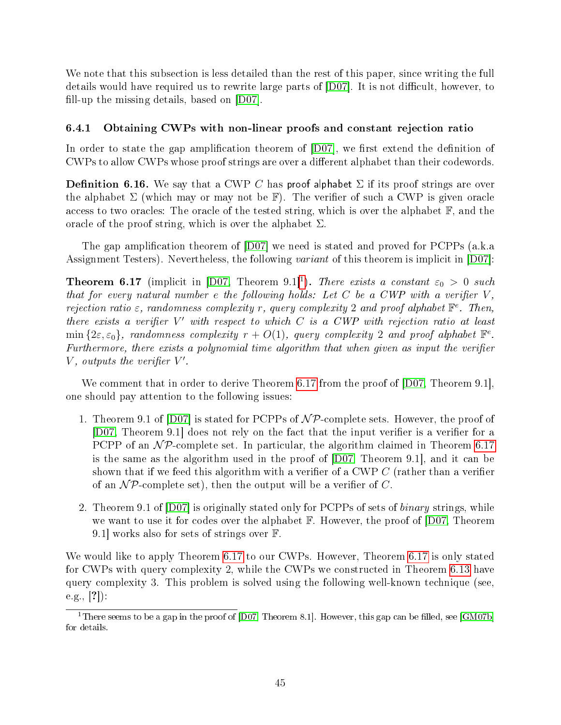We note that this subsection is less detailed than the rest of this paper, since writing the full details would have required us to rewrite large parts of  $[D07]$ . It is not difficult, however, to fill-up the missing details, based on  $[D07]$ .

## <span id="page-44-0"></span>6.4.1 Obtaining CWPs with non-linear proofs and constant rejection ratio

In order to state the gap amplification theorem of  $|D07|$ , we first extend the definition of CWPs to allow CWPs whose proof strings are over a different alphabet than their codewords.

**Definition 6.16.** We say that a CWP C has proof alphabet  $\Sigma$  if its proof strings are over the alphabet  $\Sigma$  (which may or may not be F). The verifier of such a CWP is given oracle access to two oracles: The oracle of the tested string, which is over the alphabet  $\mathbb{F}$ , and the oracle of the proof string, which is over the alphabet  $\Sigma$ .

The gap amplification theorem of  $|D07|$  we need is stated and proved for PCPPs (a.k.a Assignment Testers). Nevertheless, the following variant of this theorem is implicit in [\[D07\]](#page-57-3):

<span id="page-44-2"></span>**Theorem 6.[1](#page-44-1)7** (implicit in [\[D07,](#page-57-3) Theorem 9.1]<sup>1</sup>). There exists a constant  $\varepsilon_0 > 0$  such that for every natural number e the following holds: Let C be a CWP with a verifier  $V$ , rejection ratio  $\varepsilon$ , randomness complexity r, query complexity 2 and proof alphabet  $\mathbb{F}^e$ . Then, there exists a verifier  $V'$  with respect to which  $C$  is a  $CWP$  with rejection ratio at least min  $\{2\varepsilon, \varepsilon_0\}$ , randomness complexity  $r + O(1)$ , query complexity 2 and proof alphabet  $\mathbb{F}^e$ . Furthermore, there exists a polynomial time algorithm that when given as input the verifier  $V$ , outputs the verifier  $V'$ .

We comment that in order to derive Theorem [6.17](#page-44-2) from the proof of  $[$ D07, Theorem 9.1], one should pay attention to the following issues:

- 1. Theorem 9.1 of [\[D07\]](#page-57-3) is stated for PCPPs of  $N\mathcal{P}$ -complete sets. However, the proof of  $[D07,$  Theorem 9.1 does not rely on the fact that the input verifier is a verifier for a PCPP of an  $\mathcal{NP}$ -complete set. In particular, the algorithm claimed in Theorem [6.17](#page-44-2) is the same as the algorithm used in the proof of [\[D07,](#page-57-3) Theorem 9.1], and it can be shown that if we feed this algorithm with a verifier of a CWP  $C$  (rather than a verifier of an  $\mathcal{NP}$ -complete set), then the output will be a verifier of C.
- 2. Theorem 9.1 of  $\lfloor 107 \rfloor$  is originally stated only for PCPPs of sets of *binary* strings, while we want to use it for codes over the alphabet  $\mathbb{F}$ . However, the proof of  $|D07|$ , Theorem 9.1] works also for sets of strings over F.

We would like to apply Theorem [6.17](#page-44-2) to our CWPs. However, Theorem [6.17](#page-44-2) is only stated for CWPs with query complexity 2, while the CWPs we constructed in Theorem [6.13](#page-42-0) have query complexity 3. This problem is solved using the following well-known technique (see, e.g.,  $[?]$ :

<span id="page-44-3"></span><span id="page-44-1"></span><sup>&</sup>lt;sup>1</sup>There seems to be a gap in the proof of [\[D07,](#page-57-3) Theorem 8.1]. However, this gap can be filled, see [\[GM07b\]](#page-58-11) for details.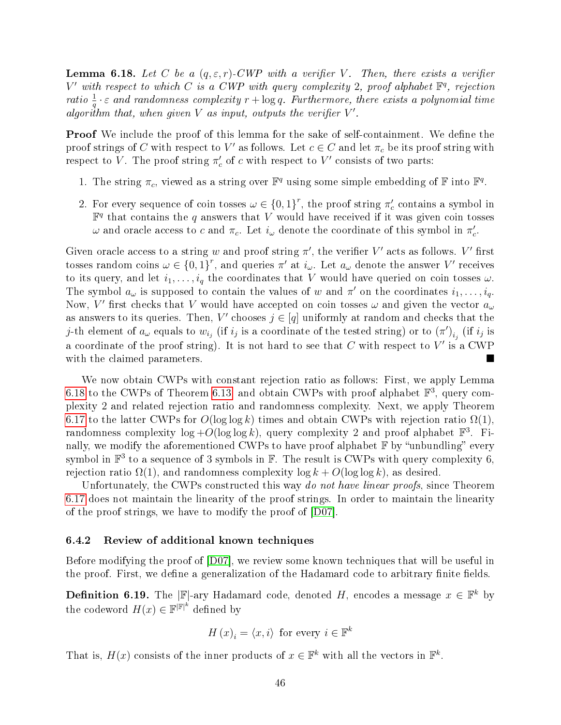**Lemma 6.18.** Let C be a  $(q, \varepsilon, r)$ -CWP with a verifier V. Then, there exists a verifier V' with respect to which C is a CWP with query complexity 2, proof alphabet  $\mathbb{F}^q$ , rejection ratio  $\frac{1}{q} \cdot \varepsilon$  and randomness complexity  $r + \log q$ . Furthermore, there exists a polynomial time algorithm that, when given  $V$  as input, outputs the verifier  $V'$ .

**Proof** We include the proof of this lemma for the sake of self-containment. We define the proof strings of C with respect to  $V'$  as follows. Let  $c \in C$  and let  $\pi_c$  be its proof string with respect to V. The proof string  $\pi_c'$  of c with respect to V' consists of two parts:

- 1. The string  $\pi_c$ , viewed as a string over  $\mathbb{F}^q$  using some simple embedding of  $\mathbb F$  into  $\mathbb{F}^q$ .
- 2. For every sequence of coin tosses  $\omega \in \{0,1\}^r$ , the proof string  $\pi_c'$  contains a symbol in  $\mathbb{F}^q$  that contains the q answers that V would have received if it was given coin tosses  $\omega$  and oracle access to c and  $\pi_c$ . Let  $i_{\omega}$  denote the coordinate of this symbol in  $\pi_c'$ .

Given oracle access to a string w and proof string  $\pi'$ , the verifier V' acts as follows. V' first tosses random coins  $\omega \in \{0,1\}^r$ , and queries  $\pi'$  at  $i_{\omega}$ . Let  $a_{\omega}$  denote the answer V' receives to its query, and let  $i_1, \ldots, i_q$  the coordinates that V would have queried on coin tosses  $\omega$ . The symbol  $a_{\omega}$  is supposed to contain the values of w and  $\pi'$  on the coordinates  $i_1, \ldots, i_q$ . Now, V' first checks that V would have accepted on coin tosses  $\omega$  and given the vector  $a_{\omega}$ as answers to its queries. Then, V' chooses  $j \in [q]$  uniformly at random and checks that the j-th element of  $a_\omega$  equals to  $w_{i_j}$  (if  $i_j$  is a coordinate of the tested string) or to  ${(\pi')}_{i_j}$  (if  $i_j$  is a coordinate of the proof string). It is not hard to see that  $C$  with respect to  $V'$  is a CWP with the claimed parameters.

We now obtain CWPs with constant rejection ratio as follows: First, we apply Lemma [6.18](#page-44-3) to the CWPs of Theorem [6.13,](#page-42-0) and obtain CWPs with proof alphabet  $\mathbb{F}^3$ , query complexity 2 and related rejection ratio and randomness complexity. Next, we apply Theorem [6.17](#page-44-2) to the latter CWPs for  $O(\log \log k)$  times and obtain CWPs with rejection ratio  $\Omega(1)$ , randomness complexity  $\log + O(\log \log k)$ , query complexity 2 and proof alphabet  $\mathbb{F}^3$ . Finally, we modify the aforementioned CWPs to have proof alphabet  $\mathbb F$  by "unbundling" every symbol in  $\mathbb{F}^3$  to a sequence of 3 symbols in  $\mathbb{F}$ . The result is CWPs with query complexity 6, rejection ratio  $\Omega(1)$ , and randomness complexity  $\log k + O(\log \log k)$ , as desired.

Unfortunately, the CWPs constructed this way do not have linear proofs, since Theorem [6.17](#page-44-2) does not maintain the linearity of the proof strings. In order to maintain the linearity of the proof strings, we have to modify the proof of [\[D07\]](#page-57-3).

#### <span id="page-45-1"></span>6.4.2 Review of additional known techniques

Before modifying the proof of [\[D07\]](#page-57-3), we review some known techniques that will be useful in the proof. First, we define a generalization of the Hadamard code to arbitrary finite fields.

<span id="page-45-0"></span>**Definition 6.19.** The  $|\mathbb{F}|$ -ary Hadamard code, denoted H, encodes a message  $x \in \mathbb{F}^k$  by the codeword  $H(x) \in \mathbb{F}^{\lvert \mathbb{F} \rvert^k}$  defined by

$$
H(x)_i = \langle x, i \rangle \text{ for every } i \in \mathbb{F}^k
$$

That is,  $H(x)$  consists of the inner products of  $x \in \mathbb{F}^k$  with all the vectors in  $\mathbb{F}^k$ .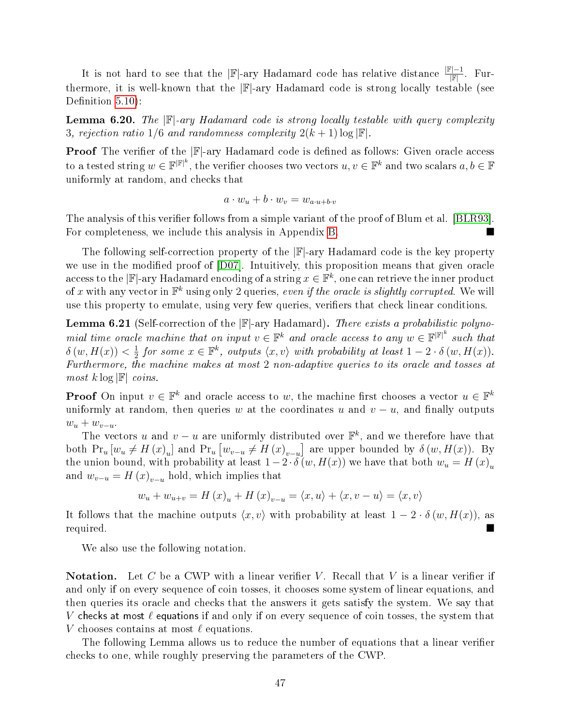It is not hard to see that the |F|-ary Hadamard code has relative distance  $\frac{F|-1}{|F|}$ . Furthermore, it is well-known that the  $|\mathbb{F}|$ -ary Hadamard code is strong locally testable (see Definition  $5.10$ ):

<span id="page-46-1"></span>**Lemma 6.20.** The  $\mathbb{F}$ -ary Hadamard code is strong locally testable with query complexity 3, rejection ratio 1/6 and randomness complexity  $2(k+1)\log|\mathbb{F}|$ .

**Proof** The verifier of the  $|\mathbb{F}|$ -ary Hadamard code is defined as follows: Given oracle access to a tested string  $w \in \mathbb{F}^{\vert \mathbb{F} \vert^k}$ , the verifier chooses two vectors  $u,v \in \mathbb{F}^k$  and two scalars  $a,b \in \mathbb{F}$ uniformly at random, and checks that

$$
a \cdot w_u + b \cdot w_v = w_{a \cdot u + b \cdot v}
$$

The analysis of this verifier follows from a simple variant of the proof of Blum et al. [\[BLR93\]](#page-57-12). For completeness, we include this analysis in Appendix [B.](#page-60-1)

The following self-correction property of the  $\mathbb{F}$ -ary Hadamard code is the key property we use in the modified proof of  $[$ D07 $]$ . Intuitively, this proposition means that given oracle access to the  $|\mathbb{F}|$ -ary Hadamard encoding of a string  $x \in \mathbb{F}^k$ , one can retrieve the inner product of x with any vector in  $\mathbb{F}^k$  using only 2 queries, even if the oracle is slightly corrupted. We will use this property to emulate, using very few queries, verifiers that check linear conditions.

<span id="page-46-0"></span>**Lemma 6.21** (Self-correction of the  $|\mathbb{F}|$ -ary Hadamard). There exists a probabilistic polynomial time oracle machine that on input  $v \in \mathbb{F}^k$  and oracle access to any  $w \in \mathbb{F}^{|\mathbb{F}|^k}$  such that  $\delta(w, H(x)) < \frac{1}{2}$  $\frac{1}{2}$  for some  $x \in \mathbb{F}^k$ , outputs  $\langle x, v \rangle$  with probability at least  $1 - 2 \cdot \delta(w, H(x))$ . Furthermore, the machine makes at most 2 non-adaptive queries to its oracle and tosses at  $most \; k \log |\mathbb{F}| \; coins.$ 

**Proof** On input  $v \in \mathbb{F}^k$  and oracle access to w, the machine first chooses a vector  $u \in \mathbb{F}^k$ uniformly at random, then queries w at the coordinates u and  $v - u$ , and finally outputs  $w_u + w_{v-u}.$ 

The vectors u and  $v - u$  are uniformly distributed over  $\mathbb{F}^k$ , and we therefore have that both  $Pr_u[w_u \neq H(x)_u]$  and  $Pr_u[w_{v-u} \neq H(x)_{v-u}]$  are upper bounded by  $\delta(w, H(x))$ . By the union bound, with probability at least  $1-2\cdot\delta(w, H(x))$  we have that both  $w_u = H(x)_u$ and  $w_{v-u} = H(x)_{v-u}$  hold, which implies that

$$
w_u + w_{u+v} = H(x)_u + H(x)_{v-u} = \langle x, u \rangle + \langle x, v - u \rangle = \langle x, v \rangle
$$

It follows that the machine outputs  $\langle x, v \rangle$  with probability at least  $1 - 2 \cdot \delta(w, H(x))$ , as required.

We also use the following notation.

**Notation.** Let C be a CWP with a linear verifier V. Recall that V is a linear verifier if and only if on every sequence of coin tosses, it chooses some system of linear equations, and then queries its oracle and checks that the answers it gets satisfy the system. We say that V checks at most  $\ell$  equations if and only if on every sequence of coin tosses, the system that V chooses contains at most  $\ell$  equations.

<span id="page-46-2"></span>The following Lemma allows us to reduce the number of equations that a linear verifier checks to one, while roughly preserving the parameters of the CWP.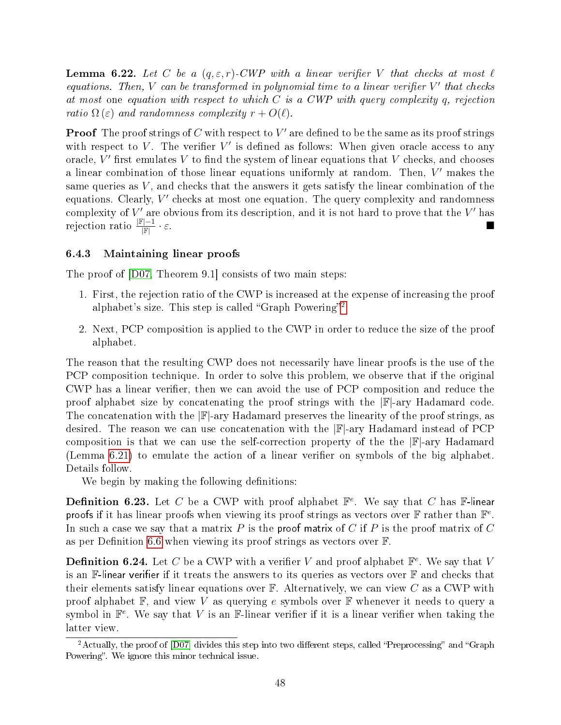**Lemma 6.22.** Let C be a  $(q, \varepsilon, r)$ -CWP with a linear verifier V that checks at most  $\ell$ equations. Then,  $V$  can be transformed in polynomial time to a linear verifier  $V'$  that checks at most one equation with respect to which  $C$  is a CWP with query complexity q, rejection ratio  $\Omega(\varepsilon)$  and randomness complexity  $r + O(\ell)$ .

**Proof** The proof strings of  $C$  with respect to  $V'$  are defined to be the same as its proof strings with respect to  $V$ . The verifier  $V'$  is defined as follows: When given oracle access to any oracle,  $V'$  first emulates  $V$  to find the system of linear equations that  $V$  checks, and chooses a linear combination of those linear equations uniformly at random. Then,  $V'$  makes the same queries as  $V$ , and checks that the answers it gets satisfy the linear combination of the equations. Clearly,  $V'$  checks at most one equation. The query complexity and randomness complexity of  $V'$  are obvious from its description, and it is not hard to prove that the  $V'$  has rejection ratio  $\frac{|\mathbb{F}|-1}{|\mathbb{F}|}$  $\cdot \varepsilon$ .

#### <span id="page-47-0"></span>6.4.3 Maintaining linear proofs

The proof of  $|D07|$ , Theorem 9.1 consists of two main steps:

- 1. First, the rejection ratio of the CWP is increased at the expense of increasing the proof alphabet's size. This step is called "Graph Powering"<sup>[2](#page-47-1)</sup>.
- 2. Next, PCP composition is applied to the CWP in order to reduce the size of the proof alphabet.

The reason that the resulting CWP does not necessarily have linear proofs is the use of the PCP composition technique. In order to solve this problem, we observe that if the original CWP has a linear verifier, then we can avoid the use of PCP composition and reduce the proof alphabet size by concatenating the proof strings with the |F|-ary Hadamard code. The concatenation with the  $\mathbb{F}$ -ary Hadamard preserves the linearity of the proof strings, as desired. The reason we can use concatenation with the  $|F|$ -ary Hadamard instead of PCP composition is that we can use the self-correction property of the the  $\mathbb{F}$ -ary Hadamard (Lemma  $6.21$ ) to emulate the action of a linear verifier on symbols of the big alphabet. Details follow.

We begin by making the following definitions:

**Definition 6.23.** Let  $C$  be a CWP with proof alphabet  $\mathbb{F}^e$ . We say that  $C$  has  $\mathbb{F}$ -linear proofs if it has linear proofs when viewing its proof strings as vectors over  $\mathbb F$  rather than  $\mathbb F^e$ . In such a case we say that a matrix  $P$  is the proof matrix of  $C$  if  $P$  is the proof matrix of  $C$ as per Definition [6.6](#page-38-1) when viewing its proof strings as vectors over  $\mathbb{F}$ .

**Definition 6.24.** Let C be a CWP with a verifier V and proof alphabet  $\mathbb{F}^e$ . We say that V is an  $\mathbb{F}$ -linear verifier if it treats the answers to its queries as vectors over  $\mathbb{F}$  and checks that their elements satisfy linear equations over  $\mathbb F$ . Alternatively, we can view C as a CWP with proof alphabet  $\mathbb{F}$ , and view V as querying e symbols over  $\mathbb{F}$  whenever it needs to query a symbol in  $\mathbb{F}^e$ . We say that V is an  $\mathbb{F}$ -linear verifier if it is a linear verifier when taking the latter view.

<span id="page-47-1"></span> $2$ Actually, the proof of [\[D07\]](#page-57-3) divides this step into two different steps, called "Preprocessing" and "Graph Powering". We ignore this minor technical issue.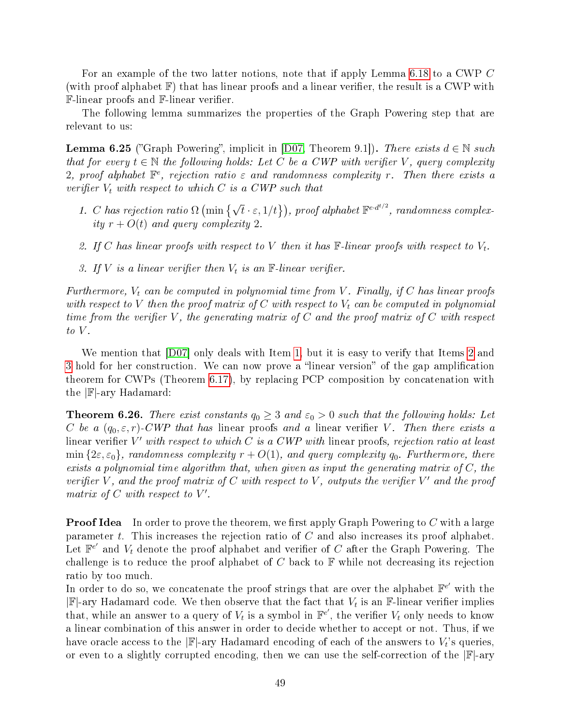For an example of the two latter notions, note that if apply Lemma [6.18](#page-44-3) to a CWP  $C$ (with proof alphabet  $\mathbb F$ ) that has linear proofs and a linear verifier, the result is a CWP with  $\mathbb{F}\text{-linear proofs and }\mathbb{F}\text{-linear verifier}.$ 

The following lemma summarizes the properties of the Graph Powering step that are relevant to us:

<span id="page-48-3"></span>**Lemma 6.25** ("Graph Powering", implicit in [\[D07,](#page-57-3) Theorem 9.1]). There exists  $d \in \mathbb{N}$  such that for every  $t \in \mathbb{N}$  the following holds: Let C be a CWP with verifier V, query complexity 2, proof alphabet  $\mathbb{F}^e$ , rejection ratio  $\varepsilon$  and randomness complexity r. Then there exists a verifier  $V_t$  with respect to which C is a CWP such that

- <span id="page-48-0"></span>1. C has rejection ratio  $\Omega$  (min  $\{\sqrt{t} \cdot \varepsilon, 1/t\}$ ), proof alphabet  $\mathbb{F}^{e \cdot d^{t/2}}$ , randomness complexity  $r + O(t)$  and query complexity 2.
- <span id="page-48-1"></span>2. If C has linear proofs with respect to V then it has  $\mathbb F$ -linear proofs with respect to  $V_t$ .
- <span id="page-48-2"></span>3. If V is a linear verifier then  $V_t$  is an  $\mathbb F$ -linear verifier.

Furthermore,  $V_t$  can be computed in polynomial time from V. Finally, if C has linear proofs with respect to V then the proof matrix of C with respect to  $V_t$  can be computed in polynomial time from the verifier V, the generating matrix of C and the proof matrix of C with respect to  $V$ .

We mention that  $[1007]$  only deals with Item [1,](#page-48-0) but it is easy to verify that Items [2](#page-48-1) and [3](#page-48-2) hold for her construction. We can now prove a "linear version" of the gap amplification theorem for CWPs (Theorem [6.17\)](#page-44-2), by replacing PCP composition by concatenation with the |F|-ary Hadamard:

<span id="page-48-4"></span>**Theorem 6.26.** There exist constants  $q_0 \geq 3$  and  $\varepsilon_0 > 0$  such that the following holds: Let C be a  $(q_0, \varepsilon, r)$ -CWP that has linear proofs and a linear verifier V. Then there exists a linear verifier  $V'$  with respect to which C is a CWP with linear proofs, rejection ratio at least min  $\{2\varepsilon, \varepsilon_0\}$ , randomness complexity  $r + O(1)$ , and query complexity  $q_0$ . Furthermore, there exists a polynomial time algorithm that, when given as input the generating matrix of  $C$ , the verifier V, and the proof matrix of  $C$  with respect to V, outputs the verifier  $V'$  and the proof matrix of  $C$  with respect to  $V'$ .

**Proof Idea** In order to prove the theorem, we first apply Graph Powering to  $C$  with a large parameter  $t$ . This increases the rejection ratio of  $C$  and also increases its proof alphabet. Let  $\mathbb{F}^{e'}$  and  $V_t$  denote the proof alphabet and verifier of C after the Graph Powering. The challenge is to reduce the proof alphabet of C back to  $\mathbb F$  while not decreasing its rejection ratio by too much.

In order to do so, we concatenate the proof strings that are over the alphabet  $\mathbb{F}^{e'}$  with the |F|-ary Hadamard code. We then observe that the fact that  $V_t$  is an F-linear verifier implies that, while an answer to a query of  $V_t$  is a symbol in  $\mathbb{F}^{e'}$ , the verifier  $V_t$  only needs to know a linear combination of this answer in order to decide whether to accept or not. Thus, if we have oracle access to the  $|\mathbb{F}|$ -ary Hadamard encoding of each of the answers to  $V_t$ 's queries, or even to a slightly corrupted encoding, then we can use the self-correction of the  $\mathbb{F}$ -ary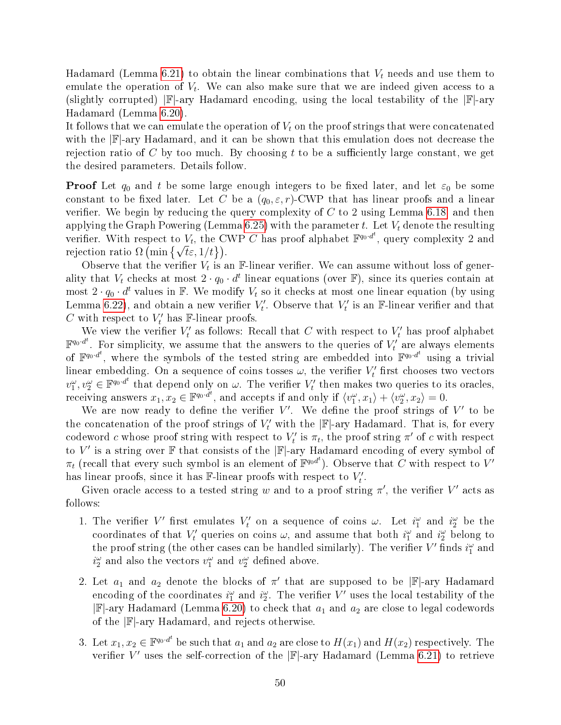Hadamard (Lemma [6.21\)](#page-46-0) to obtain the linear combinations that  $V_t$  needs and use them to emulate the operation of  $V_t$ . We can also make sure that we are indeed given access to a (slightly corrupted)  $\mathbb{F}$ -ary Hadamard encoding, using the local testability of the  $\mathbb{F}$ -ary Hadamard (Lemma [6.20\)](#page-46-1).

It follows that we can emulate the operation of  $V_t$  on the proof strings that were concatenated with the  $\mathbb{F}$ -ary Hadamard, and it can be shown that this emulation does not decrease the rejection ratio of C by too much. By choosing t to be a sufficiently large constant, we get the desired parameters. Details follow.

**Proof** Let  $q_0$  and t be some large enough integers to be fixed later, and let  $\varepsilon_0$  be some constant to be fixed later. Let C be a  $(q_0, \varepsilon, r)$ -CWP that has linear proofs and a linear verifier. We begin by reducing the query complexity of  $C$  to 2 using Lemma [6.18,](#page-44-3) and then applying the Graph Powering (Lemma [6.25\)](#page-48-3) with the parameter t. Let  $V_t$  denote the resulting verifier. With respect to  $V_t$ , the CWP C has proof alphabet  $\mathbb{F}^{q_0 \cdot d^t}$ , query complexity 2 and vermer. with respect to  $v_t$ , the U<br>rejection ratio  $\Omega$  (min  $\{\sqrt{t}\varepsilon,1/t\}$ ).

Observe that the verifier  $V_t$  is an F-linear verifier. We can assume without loss of generality that  $V_t$  checks at most  $2 \cdot q_0 \cdot d^t$  linear equations (over  $\mathbb F),$  since its queries contain at most  $2 \cdot q_0 \cdot d^t$  values in F. We modify  $V_t$  so it checks at most one linear equation (by using Lemma [6.22\)](#page-46-2), and obtain a new verifier  $V_t'$ . Observe that  $V_t'$  is an  $\mathbb F\text{-}$ linear verifier and that C with respect to  $V'_t$  has F-linear proofs.

We view the verifier  $V_t'$  as follows: Recall that C with respect to  $V_t'$  has proof alphabet  $\mathbb{F}^{q_0 \cdot d^t}$ . For simplicity, we assume that the answers to the queries of  $V_t$  are always elements of  $\mathbb{F}^{q_0 \cdot d^t}$ , where the symbols of the tested string are embedded into  $\mathbb{F}^{q_0 \cdot d^t}$  using a trivial linear embedding. On a sequence of coins tosses  $\omega$ , the verifier  $V_t'$  first chooses two vectors  $v_1^{\omega}, v_2^{\omega} \in \mathbb{F}^{q_0 \cdot d^t}$  that depend only on  $\omega$ . The verifier  $V'_t$  then makes two queries to its oracles, receiving answers  $x_1, x_2 \in \mathbb{F}^{q_0 \cdot d^t}$ , and accepts if and only if  $\langle v_1^\omega, x_1 \rangle + \langle v_2^\omega, x_2 \rangle = 0$ .

We are now ready to define the verifier  $V'$ . We define the proof strings of  $V'$  to be the concatenation of the proof strings of  $V_t'$  with the  $|\mathbb{F}|$ -ary Hadamard. That is, for every codeword c whose proof string with respect to  $V_t'$  is  $\pi_t$ , the proof string  $\pi'$  of c with respect to V' is a string over  $\mathbb F$  that consists of the  $|\mathbb F|$ -ary Hadamard encoding of every symbol of  $\pi_t$  (recall that every such symbol is an element of  $\mathbb{F}^{q_0d^t}$ ). Observe that C with respect to  $V'$ has linear proofs, since it has  $\mathbb F$ -linear proofs with respect to  $V'_t$ .

Given oracle access to a tested string w and to a proof string  $\pi'$ , the verifier V' acts as follows:

- 1. The verifier V' first emulates  $V'_t$  on a sequence of coins  $\omega$ . Let  $i_1^{\omega}$  and  $i_2^{\omega}$  be the coordinates of that  $V'_t$  queries on coins  $\omega$ , and assume that both  $i_1^{\omega}$  and  $i_2^{\omega}$  belong to the proof string (the other cases can be handled similarly). The verifier  $V'$  finds  $i_1^\omega$  and  $i_2^{\omega}$  and also the vectors  $v_1^{\omega}$  and  $v_2^{\omega}$  defined above.
- 2. Let  $a_1$  and  $a_2$  denote the blocks of  $\pi'$  that are supposed to be  $|\mathbb{F}|$ -ary Hadamard encoding of the coordinates  $i_1^\omega$  and  $i_2^\omega$ . The verifier  $V'$  uses the local testability of the |F|-ary Hadamard (Lemma [6.20\)](#page-46-1) to check that  $a_1$  and  $a_2$  are close to legal codewords of the |F|-ary Hadamard, and rejects otherwise.
- 3. Let  $x_1, x_2 \in \mathbb{F}^{q_0 \cdot d^t}$  be such that  $a_1$  and  $a_2$  are close to  $H(x_1)$  and  $H(x_2)$  respectively. The verifier V' uses the self-correction of the  $|\mathbb{F}|$ -ary Hadamard (Lemma [6.21\)](#page-46-0) to retrieve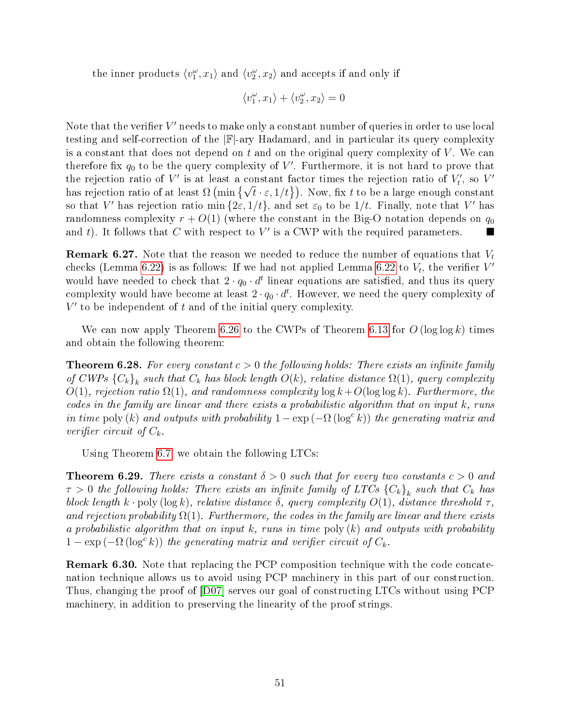the inner products  $\langle v_1^{\omega}, x_1 \rangle$  and  $\langle v_2^{\omega}, x_2 \rangle$  and accepts if and only if

$$
\langle v_1^\omega, x_1\rangle + \langle v_2^\omega, x_2\rangle = 0
$$

Note that the verifier  $V'$  needs to make only a constant number of queries in order to use local testing and self-correction of the |F|-ary Hadamard, and in particular its query complexity is a constant that does not depend on t and on the original query complexity of  $V$ . We can therefore fix  $q_0$  to be the query complexity of  $V'$ . Furthermore, it is not hard to prove that the rejection ratio of  $V'$  is at least a constant factor times the rejection ratio of  $V'_t$ , so  $V'$ the rejection ratio of v is at least a constant factor times the rejection ratio of  $v_t$ , so v<br>has rejection ratio of at least  $\Omega$  (min  $\{\sqrt{t}\cdot\varepsilon,1/t\}$ ). Now, fix  $t$  to be a large enough constant so that  $V'$  has rejection ratio min  $\{2\varepsilon, 1/t\}$ , and set  $\varepsilon_0$  to be  $1/t$ . Finally, note that  $V'$  has randomness complexity  $r + O(1)$  (where the constant in the Big-O notation depends on  $q_0$ and t). It follows that C with respect to V' is a CWP with the required parameters.  $\blacksquare$ 

**Remark 6.27.** Note that the reason we needed to reduce the number of equations that  $V_t$ checks (Lemma [6.22\)](#page-46-2) is as follows: If we had not applied Lemma [6.22](#page-46-2) to  $V_t$ , the verifier  $V'$ would have needed to check that  $2 \cdot q_0 \cdot d^t$  linear equations are satisfied, and thus its query complexity would have become at least  $2 \cdot q_0 \cdot d^t$ . However, we need the query complexity of  $V'$  to be independent of  $t$  and of the initial query complexity.

We can now apply Theorem [6.26](#page-48-4) to the CWPs of Theorem [6.13](#page-42-0) for  $O(\log \log k)$  times and obtain the following theorem:

<span id="page-50-1"></span>**Theorem 6.28.** For every constant  $c > 0$  the following holds: There exists an infinite family of CWPs  ${C_k}_k$  such that  $C_k$  has block length  $O(k)$ , relative distance  $\Omega(1)$ , query complexity  $O(1)$ , rejection ratio  $\Omega(1)$ , and randomness complexity  $\log k + O(\log \log k)$ . Furthermore, the codes in the family are linear and there exists a probabilistic algorithm that on input  $k$ , runs in time poly (k) and outputs with probability  $1 - \exp(-\Omega(\log^c k))$  the generating matrix and verifier circuit of  $C_k$ .

Using Theorem [6.7,](#page-39-0) we obtain the following LTCs:

<span id="page-50-0"></span>**Theorem 6.29.** There exists a constant  $\delta > 0$  such that for every two constants  $c > 0$  and  $\tau > 0$  the following holds: There exists an infinite family of LTCs  $\left\{C_k\right\}_k$  such that  $C_k$  has block length  $k \cdot \text{poly}(\log k)$ , relative distance  $\delta$ , query complexity  $O(1)$ , distance threshold  $\tau$ , and rejection probability  $\Omega(1)$ . Furthermore, the codes in the family are linear and there exists a probabilistic algorithm that on input k, runs in time poly  $(k)$  and outputs with probability  $1 - \exp(-\Omega(\log^c k))$  the generating matrix and verifier circuit of  $C_k$ .

Remark 6.30. Note that replacing the PCP composition technique with the code concatenation technique allows us to avoid using PCP machinery in this part of our construction. Thus, changing the proof of [\[D07\]](#page-57-3) serves our goal of constructing LTCs without using PCP machinery, in addition to preserving the linearity of the proof strings.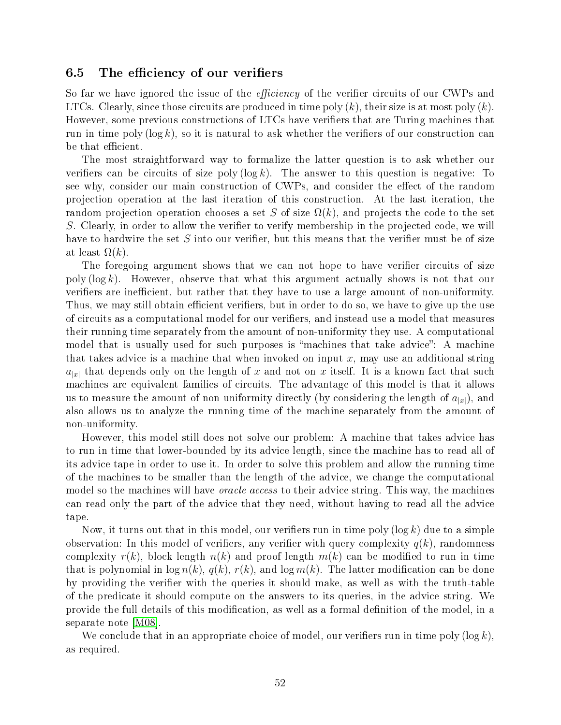#### <span id="page-51-0"></span>6.5 The efficiency of our verifiers

So far we have ignored the issue of the *efficiency* of the verifier circuits of our CWPs and LTCs. Clearly, since those circuits are produced in time poly  $(k)$ , their size is at most poly  $(k)$ . However, some previous constructions of LTCs have verifiers that are Turing machines that run in time poly  $(\log k)$ , so it is natural to ask whether the verifiers of our construction can be that efficient.

The most straightforward way to formalize the latter question is to ask whether our verifiers can be circuits of size poly  $(\log k)$ . The answer to this question is negative: To see why, consider our main construction of CWPs, and consider the effect of the random projection operation at the last iteration of this construction. At the last iteration, the random projection operation chooses a set S of size  $\Omega(k)$ , and projects the code to the set S. Clearly, in order to allow the verifier to verify membership in the projected code, we will have to hardwire the set S into our verifier, but this means that the verifier must be of size at least  $\Omega(k)$ .

The foregoing argument shows that we can not hope to have verifier circuits of size poly  $(\log k)$ . However, observe that what this argument actually shows is not that our verifiers are inefficient, but rather that they have to use a large amount of non-uniformity. Thus, we may still obtain efficient verifiers, but in order to do so, we have to give up the use of circuits as a computational model for our veriers, and instead use a model that measures their running time separately from the amount of non-uniformity they use. A computational model that is usually used for such purposes is "machines that take advice": A machine that takes advice is a machine that when invoked on input  $x$ , may use an additional string  $a_{|x|}$  that depends only on the length of x and not on x itself. It is a known fact that such machines are equivalent families of circuits. The advantage of this model is that it allows us to measure the amount of non-uniformity directly (by considering the length of  $a_{x}$ ), and also allows us to analyze the running time of the machine separately from the amount of non-uniformity.

However, this model still does not solve our problem: A machine that takes advice has to run in time that lower-bounded by its advice length, since the machine has to read all of its advice tape in order to use it. In order to solve this problem and allow the running time of the machines to be smaller than the length of the advice, we change the computational model so the machines will have *oracle access* to their advice string. This way, the machines can read only the part of the advice that they need, without having to read all the advice tape.

Now, it turns out that in this model, our verifiers run in time poly  $(\log k)$  due to a simple observation: In this model of verifiers, any verifier with query complexity  $q(k)$ , randomness complexity  $r(k)$ , block length  $n(k)$  and proof length  $m(k)$  can be modified to run in time that is polynomial in  $\log n(k)$ ,  $q(k)$ ,  $r(k)$ , and  $\log m(k)$ . The latter modification can be done by providing the verifier with the queries it should make, as well as with the truth-table of the predicate it should compute on the answers to its queries, in the advice string. We provide the full details of this modification, as well as a formal definition of the model, in a separate note [\[M08\]](#page-58-12).

We conclude that in an appropriate choice of model, our verifiers run in time poly  $(\log k)$ , as required.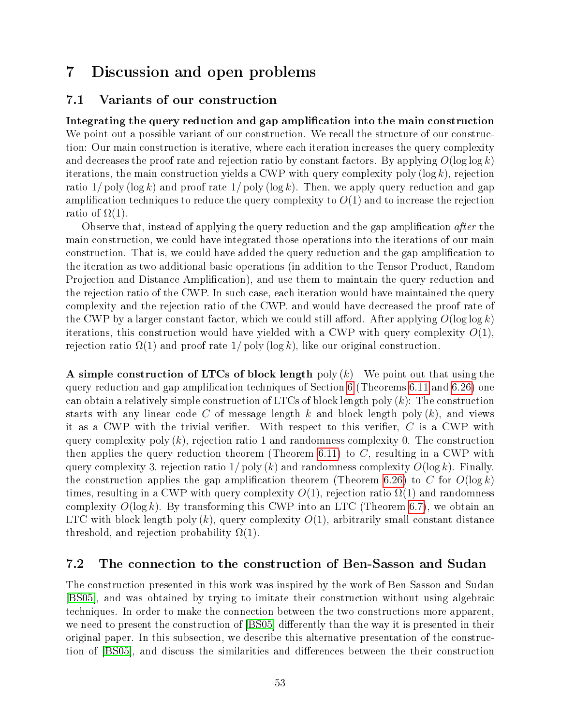# <span id="page-52-0"></span>7 Discussion and open problems

## 7.1 Variants of our construction

Integrating the query reduction and gap amplication into the main construction We point out a possible variant of our construction. We recall the structure of our construction: Our main construction is iterative, where each iteration increases the query complexity and decreases the proof rate and rejection ratio by constant factors. By applying  $O(\log \log k)$ iterations, the main construction yields a CWP with query complexity poly  $(\log k)$ , rejection ratio  $1/\text{poly}(\log k)$  and proof rate  $1/\text{poly}(\log k)$ . Then, we apply query reduction and gap amplification techniques to reduce the query complexity to  $O(1)$  and to increase the rejection ratio of  $\Omega(1)$ .

Observe that, instead of applying the query reduction and the gap amplification *after* the main construction, we could have integrated those operations into the iterations of our main construction. That is, we could have added the query reduction and the gap amplication to the iteration as two additional basic operations (in addition to the Tensor Product, Random Projection and Distance Amplification), and use them to maintain the query reduction and the rejection ratio of the CWP. In such case, each iteration would have maintained the query complexity and the rejection ratio of the CWP, and would have decreased the proof rate of the CWP by a larger constant factor, which we could still afford. After applying  $O(\log \log k)$ iterations, this construction would have yielded with a CWP with query complexity  $O(1)$ , rejection ratio  $\Omega(1)$  and proof rate  $1/\text{poly}(\log k)$ , like our original construction.

A simple construction of LTCs of block length  $poly(k)$  We point out that using the query reduction and gap amplication techniques of Section [6](#page-35-0) (Theorems [6.11](#page-41-1) and [6.26\)](#page-48-4) one can obtain a relatively simple construction of LTCs of block length poly  $(k)$ : The construction starts with any linear code C of message length k and block length poly  $(k)$ , and views it as a CWP with the trivial verifier. With respect to this verifier,  $C$  is a CWP with query complexity poly  $(k)$ , rejection ratio 1 and randomness complexity 0. The construction then applies the query reduction theorem (Theorem [6.11\)](#page-41-1) to  $C$ , resulting in a CWP with query complexity 3, rejection ratio  $1/\text{poly}(k)$  and randomness complexity  $O(\log k)$ . Finally, the construction applies the gap amplification theorem (Theorem [6.26\)](#page-48-4) to C for  $O(\log k)$ times, resulting in a CWP with query complexity  $O(1)$ , rejection ratio  $\Omega(1)$  and randomness complexity  $O(\log k)$ . By transforming this CWP into an LTC (Theorem [6.7\)](#page-39-0), we obtain an LTC with block length poly  $(k)$ , query complexity  $O(1)$ , arbitrarily small constant distance threshold, and rejection probability  $\Omega(1)$ .

## 7.2 The connection to the construction of Ben-Sasson and Sudan

The construction presented in this work was inspired by the work of Ben-Sasson and Sudan [\[BS05\]](#page-57-2), and was obtained by trying to imitate their construction without using algebraic techniques. In order to make the connection between the two constructions more apparent, we need to present the construction of [\[BS05\]](#page-57-2) differently than the way it is presented in their original paper. In this subsection, we describe this alternative presentation of the construc-tion of [\[BS05\]](#page-57-2), and discuss the similarities and differences between the their construction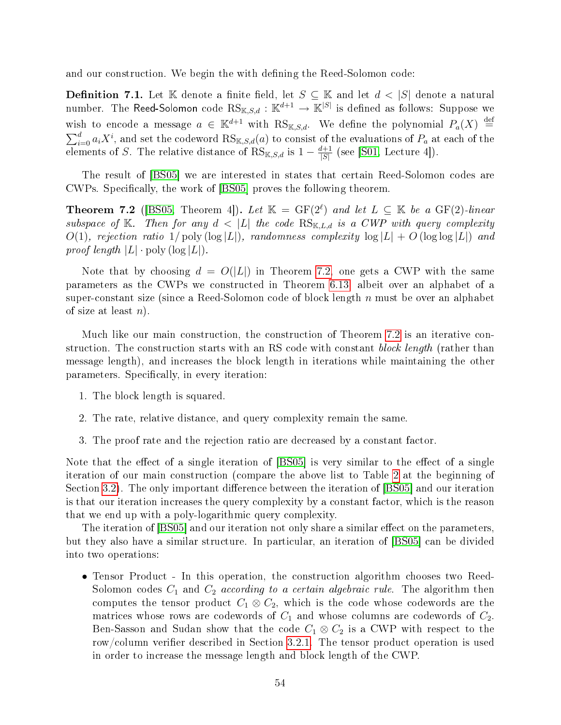<span id="page-53-1"></span>and our construction. We begin the with defining the Reed-Solomon code:

**Definition 7.1.** Let K denote a finite field, let  $S \subseteq K$  and let  $d < |S|$  denote a natural number. The Reed-Solomon code  $\text{RS}_{\mathbb{K},S,d}:\mathbb{K}^{d+1}\to\mathbb{K}^{|S|}$  is defined as follows: Suppose we wish to encode a message  $a \in \mathbb{K}^{d+1}$  with  $\text{RS}_{\mathbb{K},S,d}$ . We define the polynomial  $P_a(X) \stackrel{\text{def}}{=}$  $\sum_{i=0}^d a_iX^i,$  and set the codeword  $\mathrm{RS}_{\mathbb{K},S,d}(a)$  to consist of the evaluations of  $P_a$  at each of the elements of S. The relative distance of  $\text{RS}_{\mathbb{K},S,d}$  is  $1-\frac{d+1}{|S|}$  $\frac{l+1}{|S|}$  (see [\[S01,](#page-58-5) Lecture 4]).

The result of [\[BS05\]](#page-57-2) we are interested in states that certain Reed-Solomon codes are CWPs. Specifically, the work of [\[BS05\]](#page-57-2) proves the following theorem.

<span id="page-53-0"></span>**Theorem 7.2** ([\[BS05,](#page-57-2) Theorem 4]). Let  $\mathbb{K} = GF(2^{\ell})$  and let  $L \subseteq \mathbb{K}$  be a GF(2)-linear subspace of K. Then for any  $d < |L|$  the code  $\text{RS}_{K,L,d}$  is a CWP with query complexity  $O(1)$ , rejection ratio  $1/\text{poly}(\log|L|)$ , randomness complexity  $\log|L| + O(\log \log |L|)$  and proof length  $|L| \cdot \text{poly}(\log |L|)$ .

Note that by choosing  $d = O(|L|)$  in Theorem [7.2,](#page-53-0) one gets a CWP with the same parameters as the CWPs we constructed in Theorem [6.13,](#page-42-0) albeit over an alphabet of a super-constant size (since a Reed-Solomon code of block length n must be over an alphabet of size at least  $n$ ).

Much like our main construction, the construction of Theorem [7.2](#page-53-0) is an iterative construction. The construction starts with an RS code with constant *block length* (rather than message length), and increases the block length in iterations while maintaining the other parameters. Specifically, in every iteration:

- 1. The block length is squared.
- 2. The rate, relative distance, and query complexity remain the same.
- 3. The proof rate and the rejection ratio are decreased by a constant factor.

Note that the effect of a single iteration of  $[BS05]$  is very similar to the effect of a single iteration of our main construction (compare the above list to Table [2](#page-13-0) at the beginning of Section [3.2\)](#page-13-1). The only important difference between the iteration of [\[BS05\]](#page-57-2) and our iteration is that our iteration increases the query complexity by a constant factor, which is the reason that we end up with a poly-logarithmic query complexity.

The iteration of [\[BS05\]](#page-57-2) and our iteration not only share a similar effect on the parameters. but they also have a similar structure. In particular, an iteration of [\[BS05\]](#page-57-2) can be divided into two operations:

• Tensor Product - In this operation, the construction algorithm chooses two Reed-Solomon codes  $C_1$  and  $C_2$  according to a certain algebraic rule. The algorithm then computes the tensor product  $C_1 \otimes C_2$ , which is the code whose codewords are the matrices whose rows are codewords of  $C_1$  and whose columns are codewords of  $C_2$ . Ben-Sasson and Sudan show that the code  $C_1 \otimes C_2$  is a CWP with respect to the row/column verifier described in Section [3.2.1.](#page-14-1) The tensor product operation is used in order to increase the message length and block length of the CWP.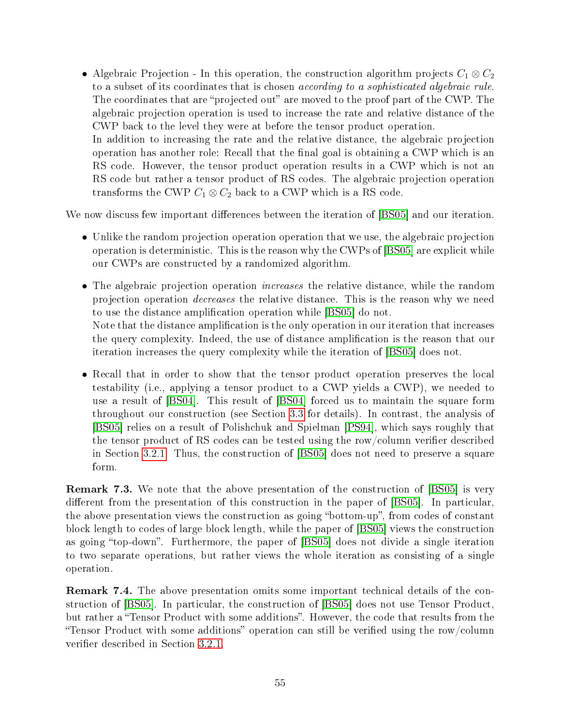• Algebraic Projection - In this operation, the construction algorithm projects  $C_1 \otimes C_2$ to a subset of its coordinates that is chosen according to a sophisticated algebraic rule. The coordinates that are "projected out" are moved to the proof part of the CWP. The algebraic projection operation is used to increase the rate and relative distance of the CWP back to the level they were at before the tensor product operation.

In addition to increasing the rate and the relative distance, the algebraic projection operation has another role: Recall that the final goal is obtaining a CWP which is an RS code. However, the tensor product operation results in a CWP which is not an RS code but rather a tensor product of RS codes. The algebraic projection operation transforms the CWP  $C_1 \otimes C_2$  back to a CWP which is a RS code.

We now discuss few important differences between the iteration of [\[BS05\]](#page-57-2) and our iteration.

- Unlike the random projection operation operation that we use, the algebraic projection operation is deterministic. This is the reason why the CWPs of [\[BS05\]](#page-57-2) are explicit while our CWPs are constructed by a randomized algorithm.
- The algebraic projection operation *increases* the relative distance, while the random projection operation decreases the relative distance. This is the reason why we need to use the distance amplification operation while [\[BS05\]](#page-57-2) do not. Note that the distance amplication is the only operation in our iteration that increases the query complexity. Indeed, the use of distance amplication is the reason that our iteration increases the query complexity while the iteration of [\[BS05\]](#page-57-2) does not.
- Recall that in order to show that the tensor product operation preserves the local testability (i.e., applying a tensor product to a CWP yields a CWP), we needed to use a result of [\[BS04\]](#page-57-6). This result of [\[BS04\]](#page-57-6) forced us to maintain the square form throughout our construction (see Section [3.3](#page-19-0) for details). In contrast, the analysis of [\[BS05\]](#page-57-2) relies on a result of Polishchuk and Spielman [\[PS94\]](#page-58-6), which says roughly that the tensor product of RS codes can be tested using the row/column verifier described in Section [3.2.1.](#page-14-1) Thus, the construction of [\[BS05\]](#page-57-2) does not need to preserve a square form.

Remark 7.3. We note that the above presentation of the construction of [\[BS05\]](#page-57-2) is very different from the presentation of this construction in the paper of  $[BS05]$ . In particular, the above presentation views the construction as going "bottom-up", from codes of constant block length to codes of large block length, while the paper of [\[BS05\]](#page-57-2) views the construction as going "top-down". Furthermore, the paper of  $|BS05|$  does not divide a single iteration to two separate operations, but rather views the whole iteration as consisting of a single operation.

Remark 7.4. The above presentation omits some important technical details of the construction of [\[BS05\]](#page-57-2). In particular, the construction of [\[BS05\]](#page-57-2) does not use Tensor Product, but rather a "Tensor Product with some additions". However, the code that results from the "Tensor Product with some additions" operation can still be verified using the row/column verifier described in Section [3.2.1.](#page-14-1)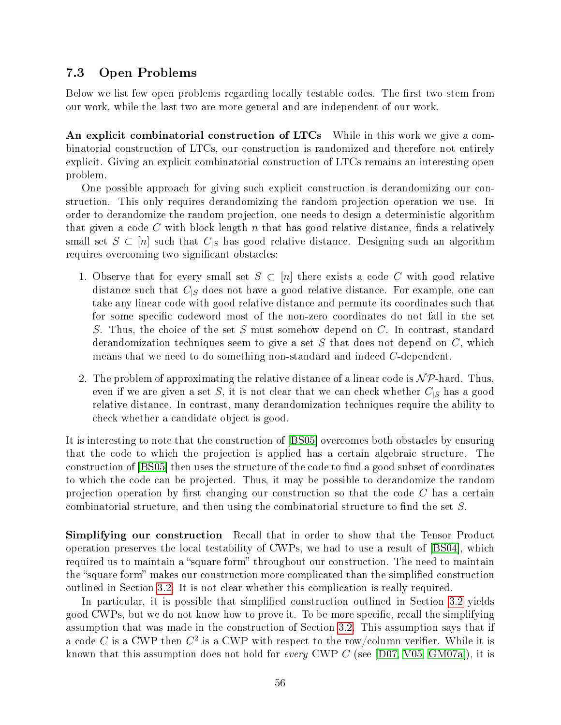## 7.3 Open Problems

Below we list few open problems regarding locally testable codes. The first two stem from our work, while the last two are more general and are independent of our work.

An explicit combinatorial construction of LTCs While in this work we give a combinatorial construction of LTCs, our construction is randomized and therefore not entirely explicit. Giving an explicit combinatorial construction of LTCs remains an interesting open problem.

One possible approach for giving such explicit construction is derandomizing our construction. This only requires derandomizing the random projection operation we use. In order to derandomize the random projection, one needs to design a deterministic algorithm that given a code C with block length n that has good relative distance, finds a relatively small set  $S \subset [n]$  such that  $C_{|S}$  has good relative distance. Designing such an algorithm requires overcoming two significant obstacles:

- 1. Observe that for every small set  $S \subset [n]$  there exists a code C with good relative distance such that  $C_{|S}$  does not have a good relative distance. For example, one can take any linear code with good relative distance and permute its coordinates such that for some specific codeword most of the non-zero coordinates do not fall in the set S. Thus, the choice of the set S must somehow depend on C. In contrast, standard derandomization techniques seem to give a set S that does not depend on  $C$ , which means that we need to do something non-standard and indeed C-dependent.
- 2. The problem of approximating the relative distance of a linear code is  $N\mathcal{P}$ -hard. Thus, even if we are given a set S, it is not clear that we can check whether  $C_{|S}$  has a good relative distance. In contrast, many derandomization techniques require the ability to check whether a candidate object is good.

It is interesting to note that the construction of [\[BS05\]](#page-57-2) overcomes both obstacles by ensuring that the code to which the projection is applied has a certain algebraic structure. The construction of [\[BS05\]](#page-57-2) then uses the structure of the code to find a good subset of coordinates to which the code can be projected. Thus, it may be possible to derandomize the random projection operation by first changing our construction so that the code  $C$  has a certain combinatorial structure, and then using the combinatorial structure to find the set  $S$ .

Simplifying our construction Recall that in order to show that the Tensor Product operation preserves the local testability of CWPs, we had to use a result of [\[BS04\]](#page-57-6), which required us to maintain a "square form" throughout our construction. The need to maintain the "square form" makes our construction more complicated than the simplified construction outlined in Section [3.2.](#page-13-1) It is not clear whether this complication is really required.

In particular, it is possible that simplified construction outlined in Section [3.2](#page-13-1) yields good CWPs, but we do not know how to prove it. To be more specific, recall the simplifying assumption that was made in the construction of Section [3.2.](#page-13-1) This assumption says that if a code C is a CWP then  $C^2$  is a CWP with respect to the row/column verifier. While it is known that this assumption does not hold for every CWP C (see [\[D07,](#page-57-3) [V05,](#page-58-7) [GM07a\]](#page-57-10)), it is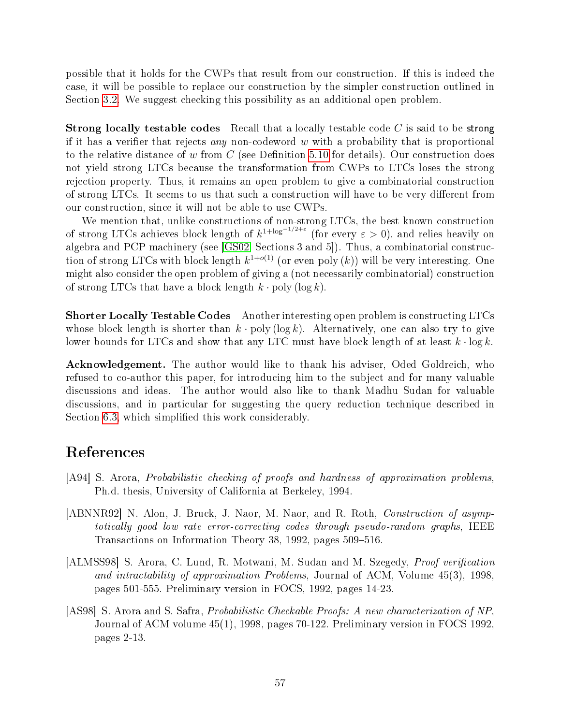possible that it holds for the CWPs that result from our construction. If this is indeed the case, it will be possible to replace our construction by the simpler construction outlined in Section [3.2.](#page-13-1) We suggest checking this possibility as an additional open problem.

**Strong locally testable codes** Recall that a locally testable code  $C$  is said to be strong if it has a verifier that rejects any non-codeword  $w$  with a probability that is proportional to the relative distance of w from C (see Definition [5.10](#page-31-0) for details). Our construction does not yield strong LTCs because the transformation from CWPs to LTCs loses the strong rejection property. Thus, it remains an open problem to give a combinatorial construction of strong LTCs. It seems to us that such a construction will have to be very different from our construction, since it will not be able to use CWPs.

We mention that, unlike constructions of non-strong LTCs, the best known construction of strong LTCs achieves block length of  $k^{1+\log^{-1/2+\epsilon}}$  (for every  $\varepsilon > 0$ ), and relies heavily on algebra and PCP machinery (see [\[GS02,](#page-58-2) Sections 3 and 5]). Thus, a combinatorial construction of strong LTCs with block length  $k^{1+o(1)}$  (or even poly  $(k)$ ) will be very interesting. One might also consider the open problem of giving a (not necessarily combinatorial) construction of strong LTCs that have a block length  $k \cdot \text{poly}(\log k)$ .

Shorter Locally Testable Codes Another interesting open problem is constructing LTCs whose block length is shorter than  $k \cdot \text{poly}(\log k)$ . Alternatively, one can also try to give lower bounds for LTCs and show that any LTC must have block length of at least  $k \cdot \log k$ .

Acknowledgement. The author would like to thank his adviser, Oded Goldreich, who refused to co-author this paper, for introducing him to the subject and for many valuable discussions and ideas. The author would also like to thank Madhu Sudan for valuable discussions, and in particular for suggesting the query reduction technique described in Section [6.3,](#page-41-0) which simplified this work considerably.

# References

- <span id="page-56-0"></span>[A94] S. Arora, Probabilistic checking of proofs and hardness of approximation problems, Ph.d. thesis, University of California at Berkeley, 1994.
- <span id="page-56-3"></span>[ABNNR92] N. Alon, J. Bruck, J. Naor, M. Naor, and R. Roth, Construction of asymptotically good low rate error-correcting codes through pseudo-random graphs, IEEE Transactions on Information Theory 38, 1992, pages 509–516.
- <span id="page-56-2"></span>[ALMSS98] S. Arora, C. Lund, R. Motwani, M. Sudan and M. Szegedy, *Proof verification* and intractability of approximation Problems, Journal of ACM, Volume 45(3), 1998, pages 501-555. Preliminary version in FOCS, 1992, pages 14-23.
- <span id="page-56-1"></span>[AS98] S. Arora and S. Safra, Probabilistic Checkable Proofs: A new characterization of NP, Journal of ACM volume 45(1), 1998, pages 70-122. Preliminary version in FOCS 1992, pages 2-13.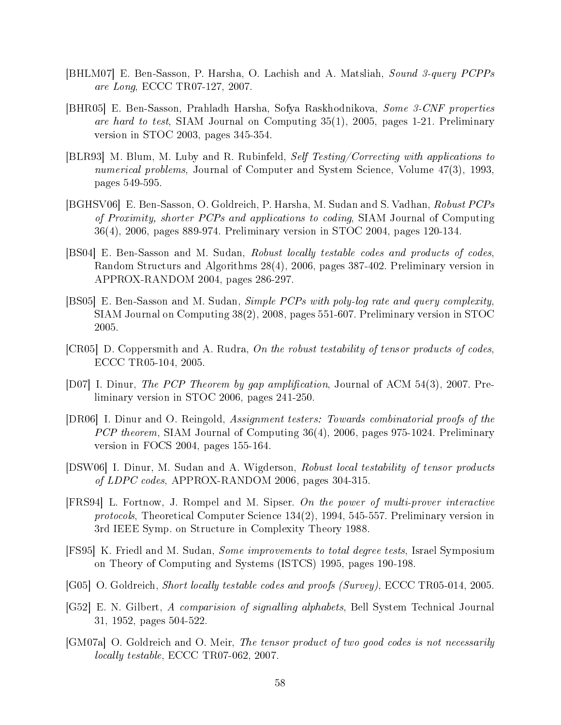- <span id="page-57-11"></span>[BHLM07] E. Ben-Sasson, P. Harsha, O. Lachish and A. Matsliah, Sound 3-query PCPPs are Long, ECCC TR07-127, 2007.
- <span id="page-57-7"></span>[BHR05] E. Ben-Sasson, Prahladh Harsha, Sofya Raskhodnikova, Some 3-CNF properties are hard to test, SIAM Journal on Computing  $35(1)$ , 2005, pages 1-21. Preliminary version in STOC 2003, pages 345-354.
- <span id="page-57-12"></span>[BLR93] M. Blum, M. Luby and R. Rubinfeld, Self Testing/Correcting with applications to numerical problems, Journal of Computer and System Science, Volume 47(3), 1993, pages 549-595.
- <span id="page-57-1"></span>[BGHSV06] E. Ben-Sasson, O. Goldreich, P. Harsha, M. Sudan and S. Vadhan, Robust PCPs of Proximity, shorter PCPs and applications to coding, SIAM Journal of Computing 36(4), 2006, pages 889-974. Preliminary version in STOC 2004, pages 120-134.
- <span id="page-57-6"></span>[BS04] E. Ben-Sasson and M. Sudan, Robust locally testable codes and products of codes, Random Structurs and Algorithms 28(4), 2006, pages 387-402. Preliminary version in APPROX-RANDOM 2004, pages 286-297.
- <span id="page-57-2"></span>[BS05] E. Ben-Sasson and M. Sudan, Simple PCPs with poly-log rate and query complexity, SIAM Journal on Computing 38(2), 2008, pages 551-607. Preliminary version in STOC 2005.
- <span id="page-57-9"></span>[CR05] D. Coppersmith and A. Rudra, On the robust testability of tensor products of codes, ECCC TR05-104, 2005.
- <span id="page-57-3"></span>[D07] I. Dinur, *The PCP Theorem by gap amplification*, Journal of ACM 54(3), 2007. Preliminary version in STOC 2006, pages 241-250.
- <span id="page-57-5"></span>[DR06] I. Dinur and O. Reingold, Assignment testers: Towards combinatorial proofs of the  $PCP$  theorem, SIAM Journal of Computing 36(4), 2006, pages 975-1024. Preliminary version in FOCS 2004, pages 155-164.
- <span id="page-57-8"></span>[DSW06] I. Dinur, M. Sudan and A. Wigderson, Robust local testability of tensor products of  $LDPC$  codes, APPROX-RANDOM 2006, pages 304-315.
- [FRS94] L. Fortnow, J. Rompel and M. Sipser. On the power of multi-prover interactive protocols, Theoretical Computer Science 134(2), 1994, 545-557. Preliminary version in 3rd IEEE Symp. on Structure in Complexity Theory 1988.
- <span id="page-57-0"></span>[FS95] K. Friedl and M. Sudan, Some improvements to total degree tests, Israel Symposium on Theory of Computing and Systems (ISTCS) 1995, pages 190-198.
- <span id="page-57-4"></span>[G05] O. Goldreich, Short locally testable codes and proofs (Survey), ECCC TR05-014, 2005.
- <span id="page-57-13"></span>[G52] E. N. Gilbert, A comparision of signalling alphabets, Bell System Technical Journal 31, 1952, pages 504-522.
- <span id="page-57-10"></span>[GM07a] O. Goldreich and O. Meir, The tensor product of two good codes is not necessarily locally testable, ECCC TR07-062, 2007.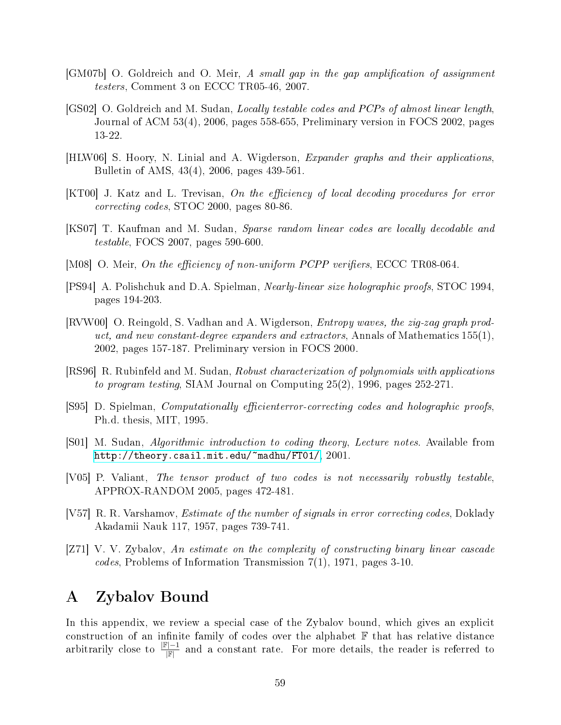- <span id="page-58-11"></span>[GM07b] O. Goldreich and O. Meir, A small gap in the gap amplication of assignment testers, Comment 3 on ECCC TR05-46, 2007.
- <span id="page-58-2"></span>[GS02] O. Goldreich and M. Sudan, Locally testable codes and PCPs of almost linear length, Journal of ACM 53(4), 2006, pages 558-655, Preliminary version in FOCS 2002, pages 13-22.
- <span id="page-58-8"></span>[HLW06] S. Hoory, N. Linial and A. Wigderson, Expander graphs and their applications, Bulletin of AMS, 43(4), 2006, pages 439-561.
- <span id="page-58-10"></span> $|KT00|$  J. Katz and L. Trevisan, On the efficiency of local decoding procedures for error correcting codes, STOC 2000, pages 80-86.
- <span id="page-58-3"></span>[KS07] T. Kaufman and M. Sudan, Sparse random linear codes are locally decodable and testable, FOCS 2007, pages 590-600.
- <span id="page-58-12"></span>[M08] O. Meir, On the efficiency of non-uniform PCPP verifiers, ECCC TR08-064.
- <span id="page-58-6"></span>[PS94] A. Polishchuk and D.A. Spielman, Nearly-linear size holographic proofs, STOC 1994, pages 194-203.
- <span id="page-58-4"></span>[RVW00] O. Reingold, S. Vadhan and A. Wigderson, Entropy waves, the zig-zag graph product, and new constant-degree expanders and extractors, Annals of Mathematics 155(1), 2002, pages 157-187. Preliminary version in FOCS 2000.
- <span id="page-58-1"></span>[RS96] R. Rubinfeld and M. Sudan, Robust characterization of polynomials with applications to program testing, SIAM Journal on Computing 25(2), 1996, pages 252-271.
- <span id="page-58-0"></span>[S95] D. Spielman, *Computationally efficienterror-correcting codes and holographic proofs*, Ph.d. thesis, MIT, 1995.
- <span id="page-58-5"></span>[S01] M. Sudan, Algorithmic introduction to coding theory, Lecture notes. Available from [http://theory.csail.mit.edu/~madhu/FT01/,](http://theory.csail.mit.edu/~madhu/FT01/) 2001.
- <span id="page-58-7"></span>[V05] P. Valiant, The tensor product of two codes is not necessarily robustly testable, APPROX-RANDOM 2005, pages 472-481.
- <span id="page-58-13"></span>[V57] R. R. Varshamov, Estimate of the number of signals in error correcting codes, Doklady Akadamii Nauk 117, 1957, pages 739-741.
- <span id="page-58-14"></span>[Z71] V. V. Zybalov, An estimate on the complexity of constructing binary linear cascade codes, Problems of Information Transmission 7(1), 1971, pages 3-10.

# <span id="page-58-9"></span>A Zybalov Bound

In this appendix, we review a special case of the Zybalov bound, which gives an explicit construction of an infinite family of codes over the alphabet  $\mathbb F$  that has relative distance arbitrarily close to  $\frac{F|-1}{|F|}$  and a constant rate. For more details, the reader is referred to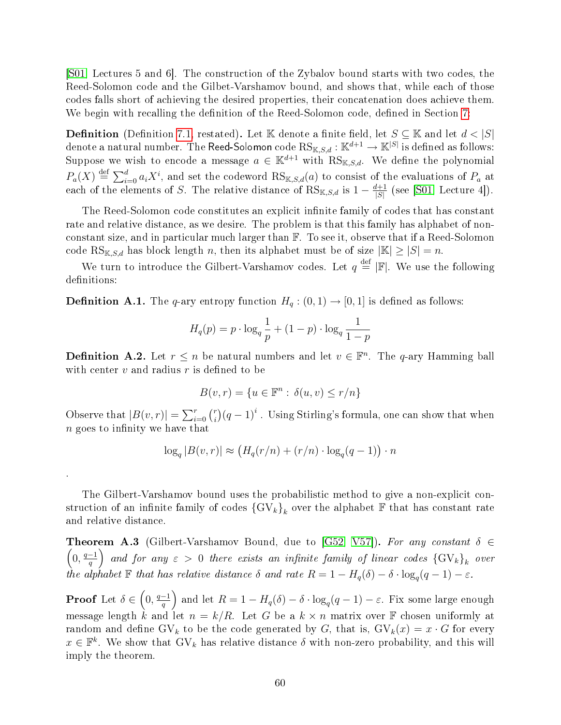[\[S01,](#page-58-5) Lectures 5 and 6]. The construction of the Zybalov bound starts with two codes, the Reed-Solomon code and the Gilbet-Varshamov bound, and shows that, while each of those codes falls short of achieving the desired properties, their concatenation does achieve them. We begin with recalling the definition of the Reed-Solomon code, defined in Section [7:](#page-52-0)

**Definition** (Definition [7.1,](#page-53-1) restated). Let K denote a finite field, let  $S \subseteq \mathbb{K}$  and let  $d < |S|$ denote a natural number. The Reed-Solomon code  $\mathrm{RS}_{\mathbb{K},S,d}:\mathbb{K}^{d+1}\to\mathbb{K}^{|S|}$  is defined as follows: Suppose we wish to encode a message  $a \in \mathbb{K}^{d+1}$  with  $\operatorname{RS}_{\mathbb{K},S,d}$ . We define the polynomial  $P_a(X) \stackrel{\text{def}}{=} \sum_{i=0}^d a_i X^i$ , and set the codeword  $\text{RS}_{\mathbb{K},S,d}(a)$  to consist of the evaluations of  $P_a$  at each of the elements of S. The relative distance of  $RS_{K,S,d}$  is  $1 - \frac{d+1}{|S|}$  $\frac{l+1}{|S|}$  (see [\[S01,](#page-58-5) Lecture 4]).

The Reed-Solomon code constitutes an explicit infinite family of codes that has constant rate and relative distance, as we desire. The problem is that this family has alphabet of nonconstant size, and in particular much larger than F. To see it, observe that if a Reed-Solomon code RS<sub>K,S,d</sub> has block length n, then its alphabet must be of size  $|\mathbb{K}| \geq |S| = n$ .

We turn to introduce the Gilbert-Varshamov codes. Let  $q \stackrel{\text{def}}{=} |\mathbb{F}|$ . We use the following definitions:

**Definition A.1.** The q-ary entropy function  $H_q : (0,1) \rightarrow [0,1]$  is defined as follows:

$$
H_q(p) = p \cdot \log_q \frac{1}{p} + (1 - p) \cdot \log_q \frac{1}{1 - p}
$$

**Definition A.2.** Let  $r \leq n$  be natural numbers and let  $v \in \mathbb{F}^n$ . The q-ary Hamming ball with center  $v$  and radius  $r$  is defined to be

$$
B(v,r) = \{u \in \mathbb{F}^n : \delta(u,v) \le r/n\}
$$

Observe that  $|B(v,r)| = \sum_{i=0}^r \binom{r}{i}$  $\binom{r}{i}(q-1)^i$  . Using Stirling's formula, one can show that when  $n$  goes to infinity we have that

$$
\log_q |B(v,r)| \approx (H_q(r/n) + (r/n) \cdot \log_q(q-1)) \cdot n
$$

.

The Gilbert-Varshamov bound uses the probabilistic method to give a non-explicit construction of an infinite family of codes  $\{GV_k\}_k$  over the alphabet  $\mathbb F$  that has constant rate and relative distance.

**Theorem A.3** (Gilbert-Varshamov Bound, due to [\[G52,](#page-57-13) [V57\]](#page-58-13)). For any constant  $\delta \in$  $\left(0, \frac{q-1}{q}\right)$ q ) and for any  $\varepsilon \, > \, 0$  there exists an infinite family of linear codes  $\left\{ \mathrm{GV}_{k}\right\} _{k}$  over the alphabet  $\mathbb F$  that has relative distance  $\delta$  and rate  $R = 1 - H_q(\delta) - \delta \cdot \log_q(q-1) - \varepsilon$ .

**Proof** Let  $\delta \in \left(0, \frac{q-1}{q}\right)$ q ) and let  $R = 1 - H_q(\delta) - \delta \cdot \log_q(q-1) - \varepsilon$ . Fix some large enough message length  $\grave{k}$  and let  $n=k/R.$  Let  $G$  be a  $k\times n$  matrix over  ${\mathbb F}$  chosen uniformly at random and define GV<sub>k</sub> to be the code generated by G, that is,  $GV_k(x) = x \cdot G$  for every  $x \in \mathbb{F}^k$ . We show that  $\mathrm{GV}_k$  has relative distance  $\delta$  with non-zero probability, and this will imply the theorem.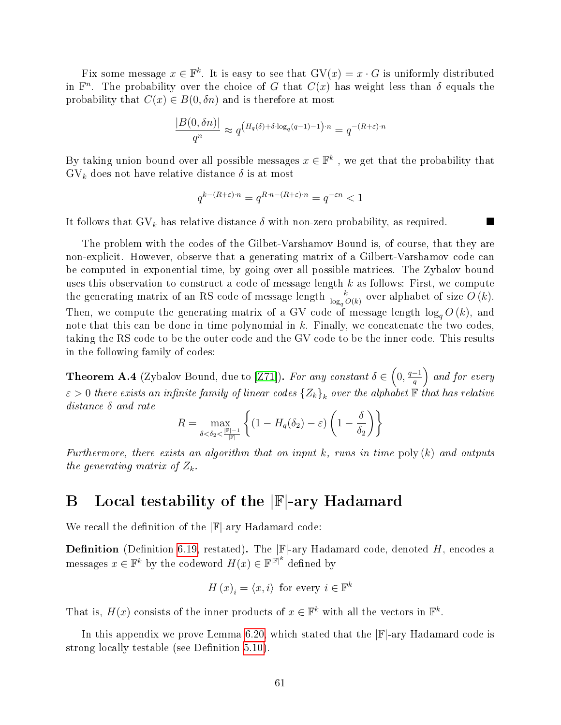Fix some message  $x \in \mathbb{F}^k$ . It is easy to see that  $\text{GV}(x) = x \cdot G$  is uniformly distributed in  $\mathbb{F}^n$ . The probability over the choice of G that  $C(x)$  has weight less than  $\delta$  equals the probability that  $C(x) \in B(0, \delta n)$  and is therefore at most

$$
\frac{|B(0, \delta n)|}{q^n} \approx q^{\left(H_q(\delta) + \delta \cdot \log_q(q-1) - 1\right) \cdot n} = q^{-(R+\varepsilon) \cdot n}
$$

By taking union bound over all possible messages  $x \in \mathbb{F}^k$  , we get that the probability that  $\mathrm{GV}_k$  does not have relative distance  $\delta$  is at most

$$
q^{k-(R+\varepsilon)\cdot n}=q^{R\cdot n-(R+\varepsilon)\cdot n}=q^{-\varepsilon n}<1
$$

It follows that  $\mathrm{GV}_k$  has relative distance  $\delta$  with non-zero probability, as required.

The problem with the codes of the Gilbet-Varshamov Bound is, of course, that they are non-explicit. However, observe that a generating matrix of a Gilbert-Varshamov code can be computed in exponential time, by going over all possible matrices. The Zybalov bound uses this observation to construct a code of message length  $k$  as follows: First, we compute the generating matrix of an RS code of message length  $\frac{k}{\log_q O(k)}$  over alphabet of size  $O(k)$ . Then, we compute the generating matrix of a GV code of message length  $\log_q O(k)$ , and note that this can be done in time polynomial in k. Finally, we concatenate the two codes. taking the RS code to be the outer code and the GV code to be the inner code. This results in the following family of codes:

<span id="page-60-0"></span>**Theorem A.4** (Zybalov Bound, due to [\[Z71\]](#page-58-14)). For any constant  $\delta \in (0, \frac{q-1}{q})$ q and for every  $\varepsilon>0$  there exists an infinite family of linear codes  $\{Z_k\}_k$  over the alphabet  $\mathbb F$  that has relative distance δ and rate

$$
R = \max_{\delta < \delta_2 < \frac{|\mathbb{F}| - 1}{|\mathbb{F}|}} \left\{ (1 - H_q(\delta_2) - \varepsilon) \left( 1 - \frac{\delta}{\delta_2} \right) \right\}
$$

Furthermore, there exists an algorithm that on input k, runs in time poly  $(k)$  and outputs the generating matrix of  $Z_k$ .

# <span id="page-60-1"></span>B Local testability of the  $|\mathbb{F}|$ -ary Hadamard

We recall the definition of the  $|\mathbb{F}|$ -ary Hadamard code:

**Definition** (Definition [6.19,](#page-45-0) restated). The  $\mathbb{F}$ -ary Hadamard code, denoted H, encodes a messages  $x \in \mathbb{F}^k$  by the codeword  $H(x) \in \mathbb{F}^{|\mathbb{F}|^k}$  defined by

$$
H\left(x\right)_i = \left\langle x, i\right\rangle \text{ for every } i \in \mathbb{F}^k
$$

That is,  $H(x)$  consists of the inner products of  $x \in \mathbb{F}^k$  with all the vectors in  $\mathbb{F}^k$ .

In this appendix we prove Lemma [6.20,](#page-46-1) which stated that the  $|\mathbb{F}|$ -ary Hadamard code is strong locally testable (see Definition [5.10\)](#page-31-0).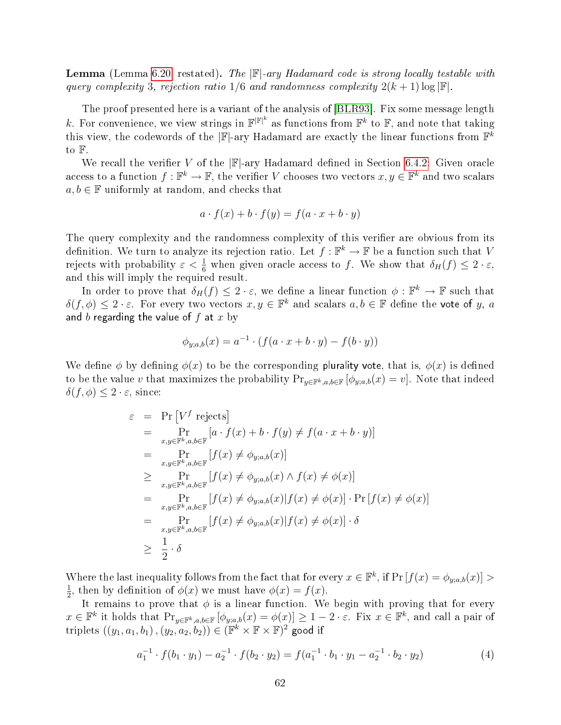**Lemma** (Lemma [6.20,](#page-46-1) restated). The  $\mathbb{F}$ -ary Hadamard code is strong locally testable with query complexity 3, rejection ratio 1/6 and randomness complexity  $2(k+1)$  log  $\mathbb{F}$ .

The proof presented here is a variant of the analysis of [\[BLR93\]](#page-57-12). Fix some message length k. For convenience, we view strings in  $\mathbb{F}^{\vert \mathbb{F} \vert^k}$  as functions from  $\mathbb{F}^k$  to  $\mathbb{F},$  and note that taking this view, the codewords of the  $|\mathbb{F}|$ -ary Hadamard are exactly the linear functions from  $\mathbb{F}^k$ to F.

We recall the verifier V of the  $|\mathbb{F}|$ -ary Hadamard defined in Section [6.4.2:](#page-45-1) Given oracle access to a function  $f: \mathbb{F}^k \to \mathbb{F}$ , the verifier V chooses two vectors  $x, y \in \mathbb{F}^k$  and two scalars  $a, b \in \mathbb{F}$  uniformly at random, and checks that

$$
a \cdot f(x) + b \cdot f(y) = f(a \cdot x + b \cdot y)
$$

The query complexity and the randomness complexity of this verifier are obvious from its definition. We turn to analyze its rejection ratio. Let  $f: \mathbb{F}^k \to \mathbb{F}$  be a function such that V rejects with probability  $\varepsilon < \frac{1}{6}$  when given oracle access to f. We show that  $\delta_H(f) \leq 2 \cdot \varepsilon$ , and this will imply the required result.

In order to prove that  $\delta_H(f) \leq 2 \cdot \varepsilon$ , we define a linear function  $\phi : \mathbb{F}^k \to \mathbb{F}$  such that  $\delta(f, \phi) \leq 2 \cdot \varepsilon$ . For every two vectors  $x, y \in \mathbb{F}^k$  and scalars  $a, b \in \mathbb{F}$  define the vote of y, a and b regarding the value of  $f$  at  $x$  by

$$
\phi_{y;a,b}(x) = a^{-1} \cdot (f(a \cdot x + b \cdot y) - f(b \cdot y))
$$

We define  $\phi$  by defining  $\phi(x)$  to be the corresponding plurality vote, that is,  $\phi(x)$  is defined to be the value v that maximizes the probability  $Pr_{y \in \mathbb{F}^k, a,b \in \mathbb{F}} [\phi_{y;a,b}(x) = v]$ . Note that indeed  $\delta(f, \phi) \leq 2 \cdot \varepsilon$ , since:

$$
\varepsilon = \Pr \left[ V^f \text{ rejects} \right]
$$
\n
$$
= \Pr_{x,y \in \mathbb{F}^k, a,b \in \mathbb{F}} \left[ a \cdot f(x) + b \cdot f(y) \neq f(a \cdot x + b \cdot y) \right]
$$
\n
$$
= \Pr_{x,y \in \mathbb{F}^k, a,b \in \mathbb{F}} \left[ f(x) \neq \phi_{y;a,b}(x) \right]
$$
\n
$$
\geq \Pr_{x,y \in \mathbb{F}^k, a,b \in \mathbb{F}} \left[ f(x) \neq \phi_{y;a,b}(x) \land f(x) \neq \phi(x) \right]
$$
\n
$$
= \Pr_{x,y \in \mathbb{F}^k, a,b \in \mathbb{F}} \left[ f(x) \neq \phi_{y;a,b}(x) | f(x) \neq \phi(x) \right] \cdot \Pr \left[ f(x) \neq \phi(x) \right]
$$
\n
$$
= \Pr_{x,y \in \mathbb{F}^k, a,b \in \mathbb{F}} \left[ f(x) \neq \phi_{y;a,b}(x) | f(x) \neq \phi(x) \right] \cdot \delta
$$
\n
$$
\geq \frac{1}{2} \cdot \delta
$$

Where the last inequality follows from the fact that for every  $x \in \mathbb{F}^k$ , if  $Pr[f(x) = \phi_{y;a,b}(x)] >$ 1  $\frac{1}{2}$ , then by definition of  $\phi(x)$  we must have  $\phi(x) = f(x)$ .

It remains to prove that  $\phi$  is a linear function. We begin with proving that for every  $x \in \mathbb{F}^k$  it holds that  $\Pr_{y \in \mathbb{F}^k, a, b \in \mathbb{F}} [\phi_{y;a,b}(x) = \phi(x)] \ge 1 - 2 \cdot \varepsilon$ . Fix  $x \in \mathbb{F}^k$ , and call a pair of triplets  $((y_1,a_1,b_1),(y_2,a_2,b_2))\in (\mathbb{F}^k\times\mathbb{F}\times\mathbb{F})^2$  good if

<span id="page-61-0"></span>
$$
a_1^{-1} \cdot f(b_1 \cdot y_1) - a_2^{-1} \cdot f(b_2 \cdot y_2) = f(a_1^{-1} \cdot b_1 \cdot y_1 - a_2^{-1} \cdot b_2 \cdot y_2)
$$
 (4)